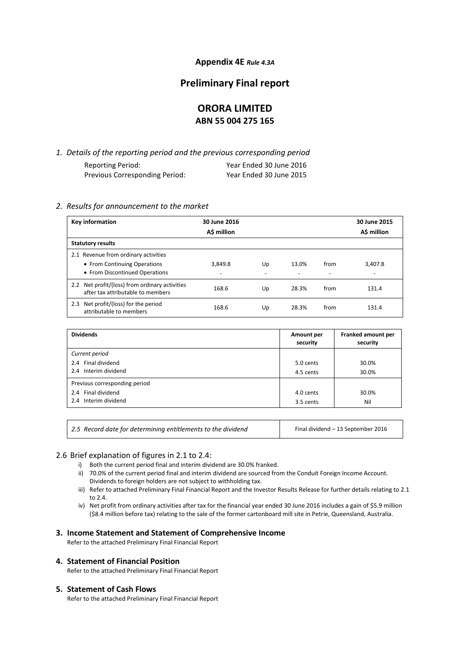### **Appendix 4E** *Rule 4.3A*

### **Preliminary Final report**

### **ORORA LIMITED ABN 55 004 275 165**

*1. Details of the reporting period and the previous corresponding period* Reporting Period: Year Ended 30 June 2016 Previous Corresponding Period: Year Ended 30 June 2015

#### *2. Results for announcement to the market*

| Key information                                                                                        | 30 June 2016<br>A\$ million         |         |                                   |           | 30 June 2015<br>A\$ million         |
|--------------------------------------------------------------------------------------------------------|-------------------------------------|---------|-----------------------------------|-----------|-------------------------------------|
| <b>Statutory results</b>                                                                               |                                     |         |                                   |           |                                     |
| 2.1 Revenue from ordinary activities<br>• From Continuing Operations<br>• From Discontinued Operations | 3.849.8<br>$\overline{\phantom{0}}$ | Up<br>- | 13.0%<br>$\overline{\phantom{a}}$ | from<br>٠ | 3,407.8<br>$\overline{\phantom{a}}$ |
| 2.2 Net profit/(loss) from ordinary activities<br>after tax attributable to members                    | 168.6                               | Up      | 28.3%                             | from      | 131.4                               |
| Net profit/(loss) for the period<br>2.3<br>attributable to members                                     | 168.6                               | Up      | 28.3%                             | from      | 131.4                               |

| <b>Dividends</b>              | Amount per<br>security | Franked amount per<br>security |
|-------------------------------|------------------------|--------------------------------|
| Current period                |                        |                                |
| 2.4 Final dividend            | 5.0 cents              | 30.0%                          |
| 2.4 Interim dividend          | 4.5 cents              | 30.0%                          |
| Previous corresponding period |                        |                                |
| 2.4 Final dividend            | 4.0 cents              | 30.0%                          |
| 2.4 Interim dividend          | 3.5 cents              | Nil                            |

2.5 Record date for determining entitlements to the dividend Final dividend – 13 September 2016

### 2.6 Brief explanation of figures in 2.1 to 2.4:

- i) Both the current period final and interim dividend are 30.0% franked.
- ii) 70.0% of the current period final and interim dividend are sourced from the Conduit Foreign Income Account. Dividends to foreign holders are not subject to withholding tax.
- iii) Refer to attached Preliminary Final Financial Report and the Investor Results Release for further details relating to 2.1 to 2.4.
- iv) Net profit from ordinary activities after tax for the financial year ended 30 June 2016 includes a gain of \$5.9 million (\$8.4 million before tax) relating to the sale of the former cartonboard mill site in Petrie, Queensland, Australia.

#### **3. Income Statement and Statement of Comprehensive Income**

Refer to the attached Preliminary Final Financial Report

#### **4. Statement of Financial Position**

Refer to the attached Preliminary Final Financial Report

#### **5. Statement of Cash Flows**

Refer to the attached Preliminary Final Financial Report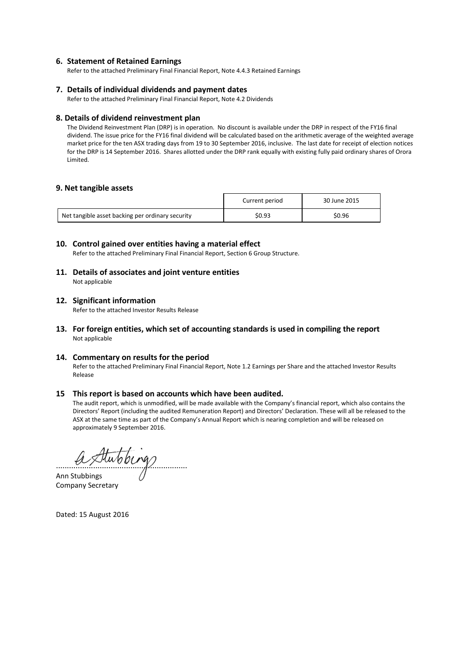#### **6. Statement of Retained Earnings**

Refer to the attached Preliminary Final Financial Report, Note 4.4.3 Retained Earnings

#### **7. Details of individual dividends and payment dates**

Refer to the attached Preliminary Final Financial Report, Note 4.2 Dividends

#### **8. Details of dividend reinvestment plan**

The Dividend Reinvestment Plan (DRP) is in operation. No discount is available under the DRP in respect of the FY16 final dividend. The issue price for the FY16 final dividend will be calculated based on the arithmetic average of the weighted average market price for the ten ASX trading days from 19 to 30 September 2016, inclusive. The last date for receipt of election notices for the DRP is 14 September 2016. Shares allotted under the DRP rank equally with existing fully paid ordinary shares of Orora Limited.

#### **9. Net tangible assets**

|                                                  | Current period | 30 June 2015 |
|--------------------------------------------------|----------------|--------------|
| Net tangible asset backing per ordinary security | \$0.93         | \$0.96       |

#### **10. Control gained over entities having a material effect**

Refer to the attached Preliminary Final Financial Report, Section 6 Group Structure.

#### **11. Details of associates and joint venture entities**  Not applicable

#### **12. Significant information**

Refer to the attached Investor Results Release

#### **13. For foreign entities, which set of accounting standards is used in compiling the report** Not applicable

#### **14. Commentary on results for the period**

Refer to the attached Preliminary Final Financial Report, Note 1.2 Earnings per Share and the attached Investor Results Release

#### **15 This report is based on accounts which have been audited.**

The audit report, which is unmodified, will be made available with the Company's financial report, which also contains the Directors' Report (including the audited Remuneration Report) and Directors' Declaration. These will all be released to the ASX at the same time as part of the Company's Annual Report which is nearing completion and will be released on approximately 9 September 2016.

............................................................

Ann Stubbings Company Secretary

Dated: 15 August 2016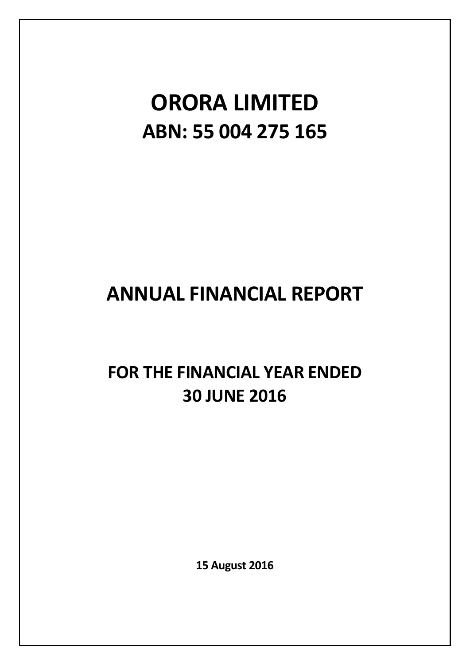# **ORORA LIMITED ABN: 55 004 275 165**

# **ANNUAL FINANCIAL REPORT**

## **FOR THE FINANCIAL YEAR ENDED 30 JUNE 2016**

**15 August 2016**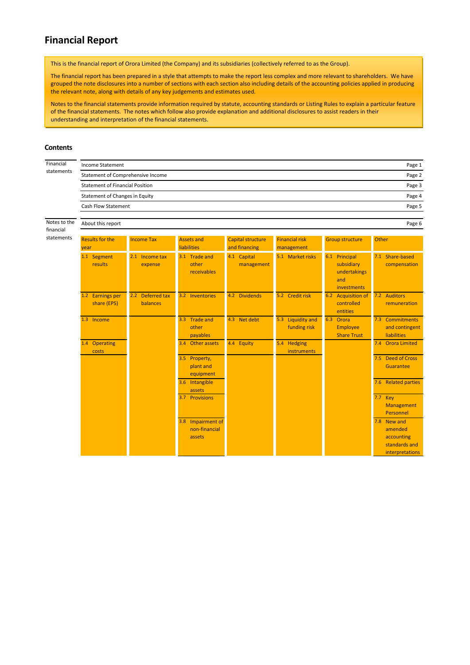### **Financial Report**

This is the financial report of Orora Limited (the Company) and its subsidiaries (collectively referred to as the Group).

The financial report has been prepared in a style that attempts to make the report less complex and more relevant to shareholders. We have grouped the note disclosures into a number of sections with each section also including details of the accounting policies applied in producing the relevant note, along with details of any key judgements and estimates used.

Notes to the financial statements provide information required by statute, accounting standards or Listing Rules to explain a particular feature of the financial statements. The notes which follow also provide explanation and additional disclosures to assist readers in their understanding and interpretation of the financial statements.

#### **Contents**

| Financial                 | <b>Income Statement</b><br>Page 1                |                                           |                                              |                                    |                                     |                                                                   |                                                                          |  |  |
|---------------------------|--------------------------------------------------|-------------------------------------------|----------------------------------------------|------------------------------------|-------------------------------------|-------------------------------------------------------------------|--------------------------------------------------------------------------|--|--|
| statements                | Statement of Comprehensive Income                |                                           |                                              |                                    |                                     |                                                                   | Page 2                                                                   |  |  |
|                           | <b>Statement of Financial Position</b><br>Page 3 |                                           |                                              |                                    |                                     |                                                                   |                                                                          |  |  |
|                           | Statement of Changes in Equity                   |                                           |                                              |                                    |                                     |                                                                   | Page 4                                                                   |  |  |
|                           | <b>Cash Flow Statement</b>                       |                                           |                                              |                                    |                                     |                                                                   | Page 5                                                                   |  |  |
| Notes to the<br>financial | About this report                                |                                           |                                              |                                    |                                     |                                                                   | Page 6                                                                   |  |  |
| statements                | <b>Results for the</b><br>year                   | <b>Income Tax</b>                         | <b>Assets and</b><br><b>liabilities</b>      | Capital structure<br>and financing | <b>Financial risk</b><br>management | <b>Group structure</b>                                            | Other                                                                    |  |  |
|                           | 1.1 Segment<br>results                           | 2.1 Income tax<br>expense                 | 3.1 Trade and<br>other<br><b>receivables</b> | 4.1 Capital<br>management          | 5.1 Market risks                    | 6.1 Principal<br>subsidiary<br>undertakings<br>and<br>investments | 7.1 Share-based<br>compensation                                          |  |  |
|                           | 1.2 Earnings per<br>share (EPS)                  | $2.2^{\circ}$<br>Deferred tax<br>balances | 3.2 Inventories                              | 4.2 Dividends                      | 5.2 Credit risk                     | 6.2 Acquisition of<br>controlled<br>entities                      | 7.2 Auditors<br>remuneration                                             |  |  |
|                           | 1.3 Income                                       |                                           | 3.3 Trade and<br>other<br>payables           | 4.3 Net debt                       | 5.3 Liquidity and<br>funding risk   | 6.3 Orora<br><b>Employee</b><br><b>Share Trust</b>                | 7.3 Commitments<br>and contingent<br>liabilities                         |  |  |
|                           | 1.4 Operating<br>costs                           |                                           | 3.4 Other assets                             | 4.4 Equity                         | 5.4 Hedging<br>instruments          |                                                                   | 7.4 Orora Limited                                                        |  |  |
|                           |                                                  |                                           | 3.5 Property,<br>plant and<br>equipment      |                                    |                                     |                                                                   | 7.5 Deed of Cross<br>Guarantee                                           |  |  |
|                           |                                                  |                                           | 3.6 Intangible<br>assets                     |                                    |                                     |                                                                   | 7.6 Related parties                                                      |  |  |
|                           |                                                  |                                           | 3.7 Provisions                               |                                    |                                     |                                                                   | 7.7 Key<br>Management<br>Personnel                                       |  |  |
|                           |                                                  |                                           | 3.8 Impairment of<br>non-financial<br>assets |                                    |                                     |                                                                   | 7.8 New and<br>amended<br>accounting<br>standards and<br>interpretations |  |  |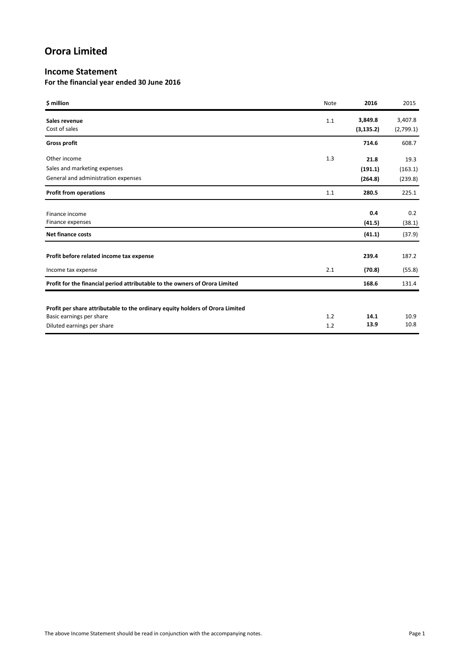### **Income Statement**

**For the financial year ended 30 June 2016**

| \$ million                                                                    | <b>Note</b> | 2016                  | 2015                 |
|-------------------------------------------------------------------------------|-------------|-----------------------|----------------------|
| Sales revenue<br>Cost of sales                                                | 1.1         | 3,849.8<br>(3, 135.2) | 3,407.8<br>(2,799.1) |
| <b>Gross profit</b>                                                           |             | 714.6                 | 608.7                |
| Other income                                                                  | 1.3         | 21.8                  | 19.3                 |
| Sales and marketing expenses                                                  |             | (191.1)               | (163.1)              |
| General and administration expenses                                           |             | (264.8)               | (239.8)              |
| <b>Profit from operations</b>                                                 | 1.1         | 280.5                 | 225.1                |
| Finance income                                                                |             | 0.4                   | 0.2                  |
| Finance expenses                                                              |             | (41.5)                | (38.1)               |
| <b>Net finance costs</b>                                                      |             | (41.1)                | (37.9)               |
| Profit before related income tax expense                                      |             | 239.4                 | 187.2                |
| Income tax expense                                                            | 2.1         | (70.8)                | (55.8)               |
| Profit for the financial period attributable to the owners of Orora Limited   |             | 168.6                 | 131.4                |
|                                                                               |             |                       |                      |
| Profit per share attributable to the ordinary equity holders of Orora Limited |             |                       |                      |
| Basic earnings per share                                                      | 1.2         | 14.1                  | 10.9                 |
| Diluted earnings per share                                                    | 1.2         | 13.9                  | 10.8                 |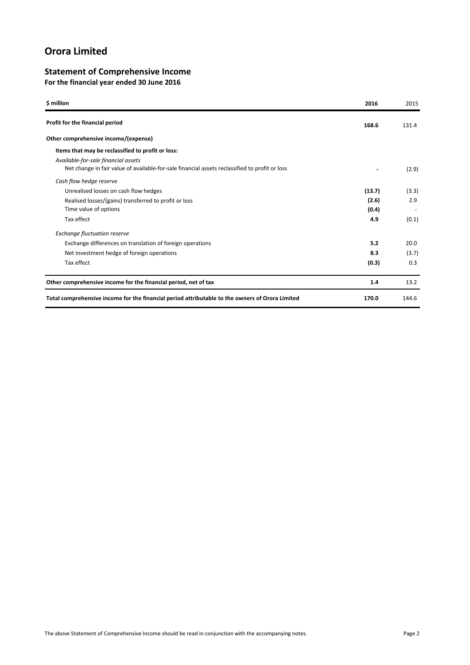### **Statement of Comprehensive Income**

**For the financial year ended 30 June 2016**

| \$ million                                                                                                                            | 2016   | 2015  |
|---------------------------------------------------------------------------------------------------------------------------------------|--------|-------|
| Profit for the financial period                                                                                                       | 168.6  | 131.4 |
| Other comprehensive income/(expense)                                                                                                  |        |       |
| Items that may be reclassified to profit or loss:                                                                                     |        |       |
| Available-for-sale financial assets<br>Net change in fair value of available-for-sale financial assets reclassified to profit or loss |        | (2.9) |
| Cash flow hedge reserve                                                                                                               |        |       |
| Unrealised losses on cash flow hedges                                                                                                 | (13.7) | (3.3) |
| Realised losses/(gains) transferred to profit or loss                                                                                 | (2.6)  | 2.9   |
| Time value of options                                                                                                                 | (0.4)  |       |
| Tax effect                                                                                                                            | 4.9    | (0.1) |
| <b>Exchange fluctuation reserve</b>                                                                                                   |        |       |
| Exchange differences on translation of foreign operations                                                                             | 5.2    | 20.0  |
| Net investment hedge of foreign operations                                                                                            | 8.3    | (3.7) |
| Tax effect                                                                                                                            | (0.3)  | 0.3   |
| Other comprehensive income for the financial period, net of tax                                                                       | 1.4    | 13.2  |
| Total comprehensive income for the financial period attributable to the owners of Orora Limited                                       | 170.0  | 144.6 |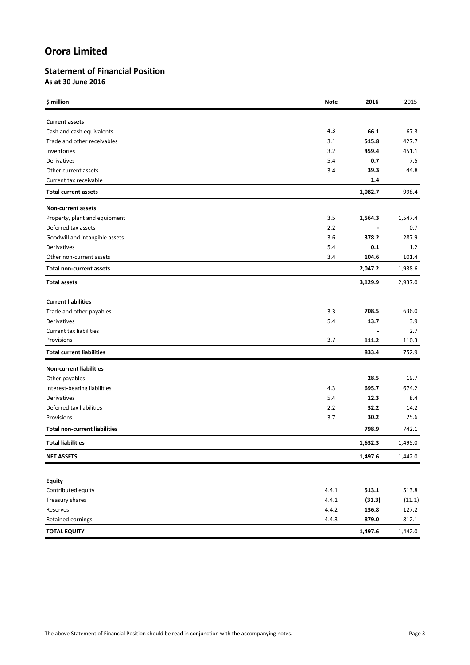### **Statement of Financial Position As at 30 June 2016**

| \$ million                           | <b>Note</b> | 2016    | 2015    |
|--------------------------------------|-------------|---------|---------|
| <b>Current assets</b>                |             |         |         |
| Cash and cash equivalents            | 4.3         | 66.1    | 67.3    |
| Trade and other receivables          | 3.1         | 515.8   | 427.7   |
| Inventories                          | 3.2         | 459.4   | 451.1   |
| Derivatives                          | 5.4         | 0.7     | 7.5     |
| Other current assets                 | 3.4         | 39.3    | 44.8    |
| Current tax receivable               |             | 1.4     |         |
| <b>Total current assets</b>          |             | 1,082.7 | 998.4   |
| Non-current assets                   |             |         |         |
| Property, plant and equipment        | 3.5         | 1,564.3 | 1,547.4 |
| Deferred tax assets                  | 2.2         |         | 0.7     |
| Goodwill and intangible assets       | 3.6         | 378.2   | 287.9   |
| Derivatives                          | 5.4         | 0.1     | 1.2     |
| Other non-current assets             | 3.4         | 104.6   | 101.4   |
| <b>Total non-current assets</b>      |             | 2,047.2 | 1,938.6 |
| <b>Total assets</b>                  |             | 3,129.9 | 2,937.0 |
| <b>Current liabilities</b>           |             |         |         |
| Trade and other payables             | 3.3         | 708.5   | 636.0   |
| Derivatives                          | 5.4         | 13.7    | 3.9     |
| <b>Current tax liabilities</b>       |             |         | 2.7     |
| Provisions                           | 3.7         | 111.2   | 110.3   |
| <b>Total current liabilities</b>     |             | 833.4   | 752.9   |
| <b>Non-current liabilities</b>       |             |         |         |
| Other payables                       |             | 28.5    | 19.7    |
| Interest-bearing liabilities         | 4.3         | 695.7   | 674.2   |
| Derivatives                          | 5.4         | 12.3    | 8.4     |
| Deferred tax liabilities             | 2.2         | 32.2    | 14.2    |
| Provisions                           | 3.7         | 30.2    | 25.6    |
| <b>Total non-current liabilities</b> |             | 798.9   | 742.1   |
| <b>Total liabilities</b>             |             | 1,632.3 | 1,495.0 |
| <b>NET ASSETS</b>                    |             | 1,497.6 | 1,442.0 |
|                                      |             |         |         |
| <b>Equity</b><br>Contributed equity  | 4.4.1       | 513.1   | 513.8   |
| Treasury shares                      | 4.4.1       | (31.3)  | (11.1)  |
| Reserves                             | 4.4.2       | 136.8   | 127.2   |
| Retained earnings                    | 4.4.3       | 879.0   | 812.1   |
| <b>TOTAL EQUITY</b>                  |             | 1,497.6 | 1,442.0 |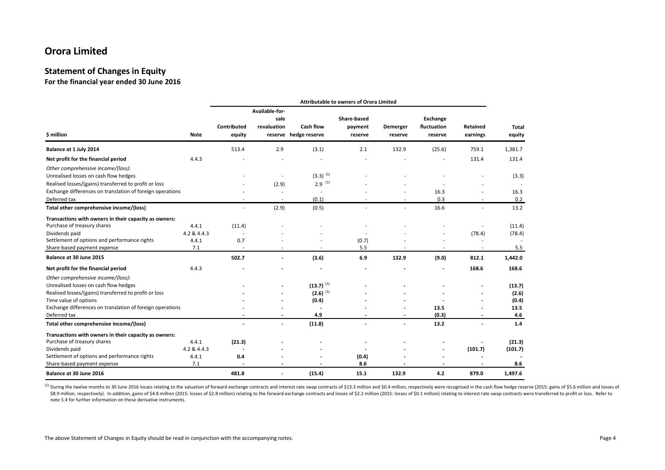### **Statement of Changes in Equity**

### **For the financial year ended 30 June 2016**

| Attributable to owners of Orora Limited                                                                                                                                                                                                    |                               |                       |                                       |                                                                                      |                                   |                          |                                    |                      |                                         |
|--------------------------------------------------------------------------------------------------------------------------------------------------------------------------------------------------------------------------------------------|-------------------------------|-----------------------|---------------------------------------|--------------------------------------------------------------------------------------|-----------------------------------|--------------------------|------------------------------------|----------------------|-----------------------------------------|
| \$ million                                                                                                                                                                                                                                 | <b>Note</b>                   | Contributed<br>equity | Available-for-<br>sale<br>revaluation | Cash flow<br>reserve hedge reserve                                                   | Share-based<br>payment<br>reserve | Demerger<br>reserve      | Exchange<br>fluctuation<br>reserve | Retained<br>earnings | <b>Total</b><br>equity                  |
| Balance at 1 July 2014                                                                                                                                                                                                                     |                               | 513.4                 | 2.9                                   | (3.1)                                                                                | 2.1                               | 132.9                    | (25.6)                             | 759.1                | 1,381.7                                 |
| Net profit for the financial period                                                                                                                                                                                                        | 4.4.3                         |                       |                                       |                                                                                      |                                   |                          |                                    | 131.4                | 131.4                                   |
| Other comprehensive income/(loss):<br>Unrealised losses on cash flow hedges                                                                                                                                                                |                               |                       |                                       | $(3.3)^{(1)}$                                                                        |                                   |                          |                                    |                      | (3.3)                                   |
| Realised losses/(gains) transferred to profit or loss                                                                                                                                                                                      |                               |                       | (2.9)                                 | $2.9$ <sup>(1)</sup>                                                                 |                                   |                          |                                    |                      |                                         |
| Exchange differences on translation of foreign operations                                                                                                                                                                                  |                               |                       |                                       | $\sim$                                                                               |                                   |                          | 16.3                               |                      | 16.3                                    |
| Deferred tax                                                                                                                                                                                                                               |                               |                       |                                       | (0.1)                                                                                |                                   |                          | 0.3                                |                      | 0.2                                     |
| Total other comprehensive income/(loss)                                                                                                                                                                                                    |                               |                       | (2.9)                                 | (0.5)                                                                                |                                   |                          | 16.6                               |                      | 13.2                                    |
| Transactions with owners in their capacity as owners:<br>Purchase of treasury shares<br>Dividends paid<br>Settlement of options and performance rights                                                                                     | 4.4.1<br>4.2 & 4.4.3<br>4.4.1 | (11.4)<br>0.7         |                                       |                                                                                      | (0.7)                             |                          |                                    | (78.4)               | (11.4)<br>(78.4)                        |
| Share-based payment expense                                                                                                                                                                                                                | 7.1                           |                       |                                       |                                                                                      | 5.5                               |                          |                                    |                      | 5.5                                     |
| Balance at 30 June 2015                                                                                                                                                                                                                    |                               | 502.7                 |                                       | (3.6)                                                                                | 6.9                               | 132.9                    | (9.0)                              | 812.1                | 1,442.0                                 |
| Net profit for the financial period                                                                                                                                                                                                        | 4.4.3                         |                       |                                       |                                                                                      |                                   |                          |                                    | 168.6                | 168.6                                   |
| Other comprehensive income/(loss):<br>Unrealised losses on cash flow hedges<br>Realised losses/(gains) transferred to profit or loss<br>Time value of options<br>Exchange differences on translation of foreign operations<br>Deferred tax |                               |                       |                                       | $(13.7)^{(1)}$<br>$(2.6)$ <sup>(1)</sup><br>(0.4)<br>$\overline{\phantom{a}}$<br>4.9 |                                   | $\overline{\phantom{a}}$ | 13.5<br>(0.3)                      |                      | (13.7)<br>(2.6)<br>(0.4)<br>13.5<br>4.6 |
| Total other comprehensive income/(loss)                                                                                                                                                                                                    |                               |                       |                                       | (11.8)                                                                               |                                   |                          | 13.2                               |                      | $1.4$                                   |
| Transactions with owners in their capacity as owners:<br>Purchase of treasury shares<br>Dividends paid<br>Settlement of options and performance rights                                                                                     | 4.4.1<br>4.2 & 4.4.3<br>4.4.1 | (21.3)<br>0.4         |                                       |                                                                                      | (0.4)                             |                          |                                    | (101.7)              | (21.3)<br>(101.7)                       |
| Share-based payment expense                                                                                                                                                                                                                | 7.1                           |                       |                                       |                                                                                      | 8.6                               |                          |                                    |                      | 8.6                                     |
| Balance at 30 June 2016                                                                                                                                                                                                                    |                               | 481.8                 |                                       | (15.4)                                                                               | 15.1                              | 132.9                    | 4.2                                | 879.0                | 1,497.6                                 |

(1) During the twelve months to 30 June 2016 losses relating to the valuation of forward exchange contracts and interest rate swap contracts of \$13.3 million and \$0.4 million, respectively were recognised in the cash flow \$8.9 million, respectively). In addition, gains of \$4.8 million (2015: losses of \$2.8 million) relating to the forward exchange contracts and losses of \$2.2 million (2015: losses of \$2.8 million) relating to the forward ex note 5.4 for further information on these derivative instruments.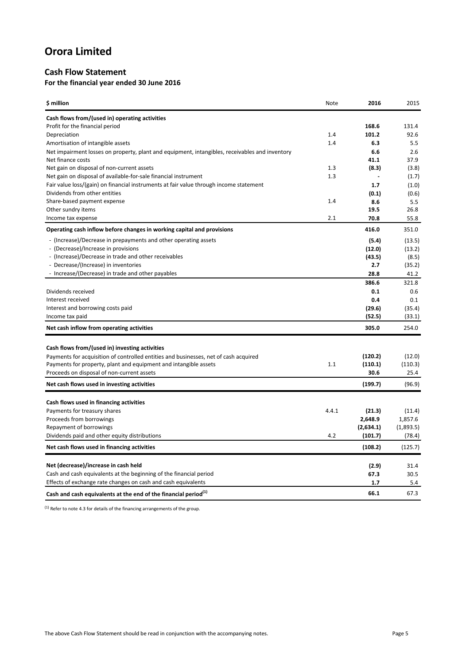### **Cash Flow Statement**

**For the financial year ended 30 June 2016**

| \$ million                                                                                     | Note  | 2016      | 2015      |
|------------------------------------------------------------------------------------------------|-------|-----------|-----------|
| Cash flows from/(used in) operating activities                                                 |       |           |           |
| Profit for the financial period                                                                |       | 168.6     | 131.4     |
| Depreciation                                                                                   | 1.4   | 101.2     | 92.6      |
| Amortisation of intangible assets                                                              | 1.4   | 6.3       | 5.5       |
| Net impairment losses on property, plant and equipment, intangibles, receivables and inventory |       | 6.6       | 2.6       |
| Net finance costs                                                                              |       | 41.1      | 37.9      |
| Net gain on disposal of non-current assets                                                     | 1.3   | (8.3)     | (3.8)     |
| Net gain on disposal of available-for-sale financial instrument                                | 1.3   |           | (1.7)     |
| Fair value loss/(gain) on financial instruments at fair value through income statement         |       | 1.7       | (1.0)     |
| Dividends from other entities                                                                  |       | (0.1)     | (0.6)     |
| Share-based payment expense                                                                    | 1.4   | 8.6       | 5.5       |
| Other sundry items                                                                             |       | 19.5      | 26.8      |
| Income tax expense                                                                             | 2.1   | 70.8      | 55.8      |
| Operating cash inflow before changes in working capital and provisions                         |       | 416.0     | 351.0     |
| - (Increase)/Decrease in prepayments and other operating assets                                |       | (5.4)     | (13.5)    |
| - (Decrease)/Increase in provisions                                                            |       | (12.0)    | (13.2)    |
| - (Increase)/Decrease in trade and other receivables                                           |       | (43.5)    | (8.5)     |
| - Decrease/(Increase) in inventories                                                           |       | 2.7       | (35.2)    |
| - Increase/(Decrease) in trade and other payables                                              |       | 28.8      | 41.2      |
|                                                                                                |       | 386.6     | 321.8     |
| Dividends received                                                                             |       | 0.1       | 0.6       |
| Interest received                                                                              |       | 0.4       | 0.1       |
| Interest and borrowing costs paid                                                              |       | (29.6)    | (35.4)    |
| Income tax paid                                                                                |       | (52.5)    | (33.1)    |
| Net cash inflow from operating activities                                                      |       | 305.0     | 254.0     |
| Cash flows from/(used in) investing activities                                                 |       |           |           |
| Payments for acquisition of controlled entities and businesses, net of cash acquired           |       | (120.2)   | (12.0)    |
| Payments for property, plant and equipment and intangible assets                               | 1.1   | (110.1)   | (110.3)   |
| Proceeds on disposal of non-current assets                                                     |       | 30.6      | 25.4      |
| Net cash flows used in investing activities                                                    |       | (199.7)   | (96.9)    |
|                                                                                                |       |           |           |
| Cash flows used in financing activities                                                        |       |           |           |
| Payments for treasury shares                                                                   | 4.4.1 | (21.3)    | (11.4)    |
| Proceeds from borrowings                                                                       |       | 2,648.9   | 1,857.6   |
| Repayment of borrowings                                                                        |       | (2,634.1) | (1,893.5) |
| Dividends paid and other equity distributions                                                  | 4.2   | (101.7)   | (78.4)    |
| Net cash flows used in financing activities                                                    |       | (108.2)   | (125.7)   |
|                                                                                                |       |           |           |
| Net (decrease)/increase in cash held                                                           |       | (2.9)     | 31.4      |
| Cash and cash equivalents at the beginning of the financial period                             |       | 67.3      | 30.5      |
| Effects of exchange rate changes on cash and cash equivalents                                  |       | 1.7       | 5.4       |
| Cash and cash equivalents at the end of the financial period <sup>(1)</sup>                    |       | 66.1      | 67.3      |

 $<sup>(1)</sup>$  Refer to note 4.3 for details of the financing arrangements of the group.</sup>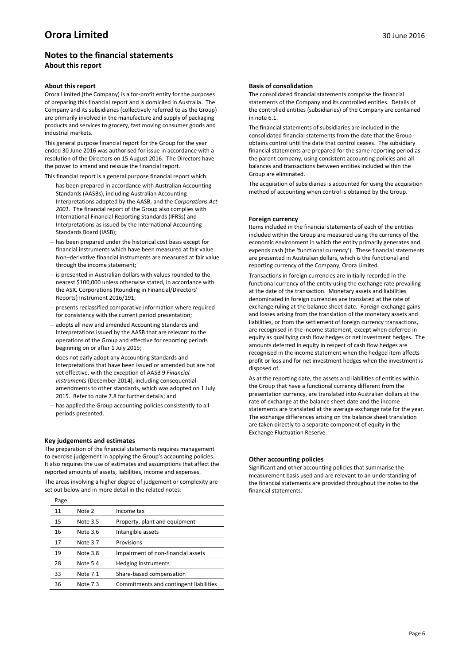### **Notes to the financial statements About this report**

#### **About this report**

Orora Limited (the Company) is a for-profit entity for the purposes of preparing this financial report and is domiciled in Australia. The Company and its subsidiaries (collectively referred to as the Group) are primarily involved in the manufacture and supply of packaging products and services to grocery, fast moving consumer goods and industrial markets.

This general purpose financial report for the Group for the year ended 30 June 2016 was authorised for issue in accordance with a resolution of the Directors on 15 August 2016. The Directors have the power to amend and reissue the financial report.

This financial report is a general purpose financial report which:

- − has been prepared in accordance with Australian Accounting Standards (AASBs), including Australian Accounting Interpretations adopted by the AASB, and the *Corporations Act 2001*. The financial report of the Group also complies with International Financial Reporting Standards (IFRSs) and Interpretations as issued by the International Accounting Standards Board (IASB);
- has been prepared under the historical cost basis except for financial instruments which have been measured at fair value. Non–derivative financial instruments are measured at fair value through the income statement;
- − is presented in Australian dollars with values rounded to the nearest \$100,000 unless otherwise stated, in accordance with the ASIC Corporations (Rounding in Financial/Directors' Reports) Instrument 2016/191;
- presents reclassified comparative information where required for consistency with the current period presentation;
- − adopts all new and amended Accounting Standards and Interpretations issued by the AASB that are relevant to the operations of the Group and effective for reporting periods beginning on or after 1 July 2015;
- − does not early adopt any Accounting Standards and Interpretations that have been issued or amended but are not yet effective, with the exception of AASB 9 *Financial Instruments* (December 2014), including consequential amendments to other standards, which was adopted on 1 July 2015. Refer to note 7.8 for further details; and
- has applied the Group accounting policies consistently to all periods presented.

#### **Key judgements and estimates**

The preparation of the financial statements requires management to exercise judgement in applying the Group's accounting policies. It also requires the use of estimates and assumptions that affect the reported amounts of assets, liabilities, income and expenses.

The areas involving a higher degree of judgement or complexity are set out below and in more detail in the related notes:

| Page |          |                                        |
|------|----------|----------------------------------------|
| 11   | Note 2   | Income tax                             |
| 15   | Note 3.5 | Property, plant and equipment          |
| 16   | Note 3.6 | Intangible assets                      |
| 17   | Note 3.7 | Provisions                             |
| 19   | Note 3.8 | Impairment of non-financial assets     |
| 28   | Note 5.4 | Hedging instruments                    |
| 33   | Note 7.1 | Share-based compensation               |
| 36   | Note 7.3 | Commitments and contingent liabilities |

#### **Basis of consolidation**

The consolidated financial statements comprise the financial statements of the Company and its controlled entities. Details of the controlled entities (subsidiaries) of the Company are contained in note 6.1.

The financial statements of subsidiaries are included in the consolidated financial statements from the date that the Group obtains control until the date that control ceases. The subsidiary financial statements are prepared for the same reporting period as the parent company, using consistent accounting policies and all balances and transactions between entities included within the Group are eliminated.

The acquisition of subsidiaries is accounted for using the acquisition method of accounting when control is obtained by the Group.

#### **Foreign currency**

Items included in the financial statements of each of the entities included within the Group are measured using the currency of the economic environment in which the entity primarily generates and expends cash (the 'functional currency'). These financial statements are presented in Australian dollars, which is the functional and reporting currency of the Company, Orora Limited.

Transactions in foreign currencies are initially recorded in the functional currency of the entity using the exchange rate prevailing at the date of the transaction. Monetary assets and liabilities denominated in foreign currencies are translated at the rate of exchange ruling at the balance sheet date. Foreign exchange gains and losses arising from the translation of the monetary assets and liabilities, or from the settlement of foreign currency transactions, are recognised in the income statement, except when deferred in equity as qualifying cash flow hedges or net investment hedges. The amounts deferred in equity in respect of cash flow hedges are recognised in the income statement when the hedged item affects profit or loss and for net investment hedges when the investment is disposed of.

As at the reporting date, the assets and liabilities of entities within the Group that have a functional currency different from the presentation currency, are translated into Australian dollars at the rate of exchange at the balance sheet date and the income statements are translated at the average exchange rate for the year. The exchange differences arising on the balance sheet translation are taken directly to a separate component of equity in the Exchange Fluctuation Reserve.

#### **Other accounting policies**

Significant and other accounting policies that summarise the measurement basis used and are relevant to an understanding of the financial statements are provided throughout the notes to the financial statements.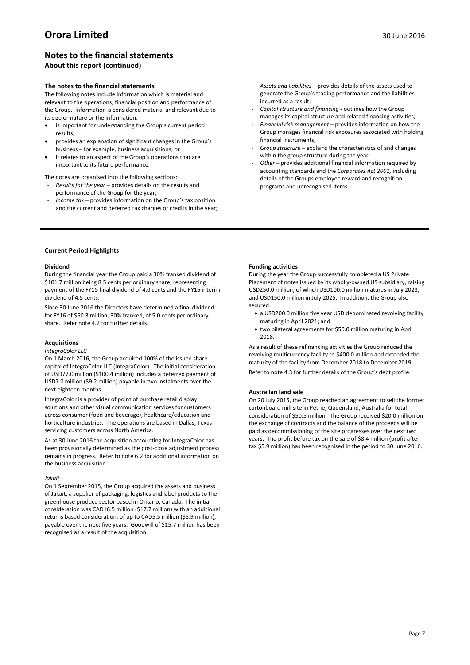### **Notes to the financial statements About this report (continued)**

#### **The notes to the financial statements**

The following notes include information which is material and relevant to the operations, financial position and performance of the Group. Information is considered material and relevant due to its size or nature or the information:

- is important for understanding the Group's current period results;
- provides an explanation of significant changes in the Group's business – for example, business acquisitions; or
- it relates to an aspect of the Group's operations that are important to its future performance.

The notes are organised into the following sections:

- *Results for the year* provides details on the results and performance of the Group for the year;
- *Income tax* provides information on the Group's tax position and the current and deferred tax charges or credits in the year;
- *Assets and liabilities* provides details of the assets used to generate the Group's trading performance and the liabilities incurred as a result;
- *Capital structure and financing -* outlines how the Group manages its capital structure and related financing activities;
- *Financial risk management* provides information on how the Group manages financial risk exposures associated with holding financial instruments;
- *Group structure* explains the characteristics of and changes within the group structure during the year;
- *Other –* provides additional financial information required by accounting standards and the *Corporates Act 2001,* including details of the Groups employee reward and recognition programs and unrecognised items.

#### **Current Period Highlights**

#### **Dividend**

During the financial year the Group paid a 30% franked dividend of \$101.7 million being 8.5 cents per ordinary share, representing payment of the FY15 final dividend of 4.0 cents and the FY16 interim dividend of 4.5 cents.

Since 30 June 2016 the Directors have determined a final dividend for FY16 of \$60.3 million, 30% franked, of 5.0 cents per ordinary share. Refer note 4.2 for further details.

#### **Acquisitions**

*IntegraColor LLC*

On 1 March 2016, the Group acquired 100% of the issued share capital of IntegraColor LLC (IntegraColor). The initial consideration of USD77.0 million (\$100.4 million) includes a deferred payment of USD7.0 million (\$9.2 million) payable in two instalments over the next eighteen months.

IntegraColor is a provider of point of purchase retail display solutions and other visual communication services for customers across consumer (food and beverage), healthcare/education and horticulture industries. The operations are based in Dallas, Texas servicing customers across North America.

As at 30 June 2016 the acquisition accounting for IntegraColor has been provisionally determined as the post-close adjustment process remains in progress. Refer to note 6.2 for additional information on the business acquisition.

#### *Jakait*

On 1 September 2015, the Group acquired the assets and business of Jakait, a supplier of packaging, logistics and label products to the greenhouse produce sector based in Ontario, Canada. The initial consideration was CAD16.5 million (\$17.7 million) with an additional returns based consideration, of up to CAD5.5 million (\$5.9 million), payable over the next five years. Goodwill of \$15.7 million has been recognised as a result of the acquisition.

#### **Funding activities**

During the year the Group successfully completed a US Private Placement of notes issued by its wholly-owned US subsidiary, raising USD250.0 million, of which USD100.0 million matures in July 2023, and USD150.0 million in July 2025. In addition, the Group also secured:

- a USD200.0 million five year USD denominated revolving facility maturing in April 2021; and
- two bilateral agreements for \$50.0 million maturing in April 2018.

As a result of these refinancing activities the Group reduced the revolving multicurrency facility to \$400.0 million and extended the maturity of the facility from December 2018 to December 2019.

Refer to note 4.3 for further details of the Group's debt profile.

#### **Australian land sale**

On 20 July 2015, the Group reached an agreement to sell the former cartonboard mill site in Petrie, Queensland, Australia for total consideration of \$50.5 million. The Group received \$20.0 million on the exchange of contracts and the balance of the proceeds will be paid as decommissioning of the site progresses over the next two years. The profit before tax on the sale of \$8.4 million (profit after tax \$5.9 million) has been recognised in the period to 30 June 2016.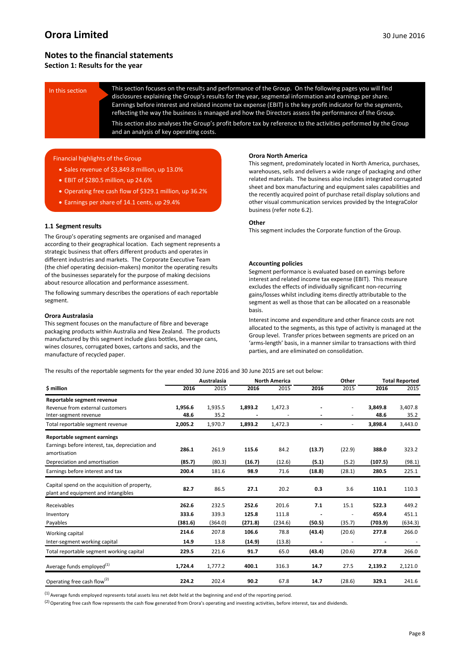### **Notes to the financial statements**

**Section 1: Results for the year**

|                 | This section focuses on the results and performance of the Group. On the following pages you will find                                                                                                                |
|-----------------|-----------------------------------------------------------------------------------------------------------------------------------------------------------------------------------------------------------------------|
| In this section | disclosures explaining the Group's results for the year, segmental information and earnings per share.                                                                                                                |
|                 | Earnings before interest and related income tax expense (EBIT) is the key profit indicator for the segments,<br>reflecting the way the business is managed and how the Directors assess the performance of the Group. |
|                 | This section also analyses the Group's profit before tax by reference to the activities performed by the Group<br>and an analysis of key operating costs.                                                             |

#### Financial highlights of the Group

- Sales revenue of \$3,849.8 million, up 13.0%
- EBIT of \$280.5 million, up 24.6%
- Operating free cash flow of \$329.1 million, up 36.2%
- Earnings per share of 14.1 cents, up 29.4%

#### **1.1 Segment results**

The Group's operating segments are organised and managed according to their geographical location. Each segment represents a strategic business that offers different products and operates in different industries and markets. The Corporate Executive Team (the chief operating decision-makers) monitor the operating results of the businesses separately for the purpose of making decisions about resource allocation and performance assessment.

The following summary describes the operations of each reportable segment.

#### **Orora Australasia**

This segment focuses on the manufacture of fibre and beverage packaging products within Australia and New Zealand. The products manufactured by this segment include glass bottles, beverage cans, wines closures, corrugated boxes, cartons and sacks, and the manufacture of recycled paper.

#### **Orora North America**

This segment, predominately located in North America, purchases, warehouses, sells and delivers a wide range of packaging and other related materials. The business also includes integrated corrugated sheet and box manufacturing and equipment sales capabilities and the recently acquired point of purchase retail display solutions and other visual communication services provided by the IntegraColor business (refer note 6.2).

#### **Other**

This segment includes the Corporate function of the Group.

#### **Accounting policies**

Segment performance is evaluated based on earnings before interest and related income tax expense (EBIT). This measure excludes the effects of individually significant non-recurring gains/losses whilst including items directly attributable to the segment as well as those that can be allocated on a reasonable basis.

Interest income and expenditure and other finance costs are not allocated to the segments, as this type of activity is managed at the Group level. Transfer prices between segments are priced on an 'arms-length' basis, in a manner similar to transactions with third parties, and are eliminated on consolidation.

The results of the reportable segments for the year ended 30 June 2016 and 30 June 2015 are set out below:

|                                                                                      | <b>Australasia</b> |         | <b>North America</b> |         | Other  |        | <b>Total Reported</b> |         |
|--------------------------------------------------------------------------------------|--------------------|---------|----------------------|---------|--------|--------|-----------------------|---------|
| \$ million                                                                           | 2016               | 2015    | 2016                 | 2015    | 2016   | 2015   | 2016                  | 2015    |
| Reportable segment revenue                                                           |                    |         |                      |         |        |        |                       |         |
| Revenue from external customers                                                      | 1,956.6            | 1,935.5 | 1,893.2              | 1,472.3 |        |        | 3,849.8               | 3,407.8 |
| Inter-segment revenue                                                                | 48.6               | 35.2    |                      |         |        |        | 48.6                  | 35.2    |
| Total reportable segment revenue                                                     | 2,005.2            | 1,970.7 | 1,893.2              | 1,472.3 |        | ٠      | 3,898.4               | 3,443.0 |
| Reportable segment earnings                                                          |                    |         |                      |         |        |        |                       |         |
| Earnings before interest, tax, depreciation and<br>amortisation                      | 286.1              | 261.9   | 115.6                | 84.2    | (13.7) | (22.9) | 388.0                 | 323.2   |
| Depreciation and amortisation                                                        | (85.7)             | (80.3)  | (16.7)               | (12.6)  | (5.1)  | (5.2)  | (107.5)               | (98.1)  |
| Earnings before interest and tax                                                     | 200.4              | 181.6   | 98.9                 | 71.6    | (18.8) | (28.1) | 280.5                 | 225.1   |
| Capital spend on the acquisition of property,<br>plant and equipment and intangibles | 82.7               | 86.5    | 27.1                 | 20.2    | 0.3    | 3.6    | 110.1                 | 110.3   |
| Receivables                                                                          | 262.6              | 232.5   | 252.6                | 201.6   | 7.1    | 15.1   | 522.3                 | 449.2   |
| Inventory                                                                            | 333.6              | 339.3   | 125.8                | 111.8   |        |        | 459.4                 | 451.1   |
| Payables                                                                             | (381.6)            | (364.0) | (271.8)              | (234.6) | (50.5) | (35.7) | (703.9)               | (634.3) |
| Working capital                                                                      | 214.6              | 207.8   | 106.6                | 78.8    | (43.4) | (20.6) | 277.8                 | 266.0   |
| Inter-segment working capital                                                        | 14.9               | 13.8    | (14.9)               | (13.8)  |        |        |                       |         |
| Total reportable segment working capital                                             | 229.5              | 221.6   | 91.7                 | 65.0    | (43.4) | (20.6) | 277.8                 | 266.0   |
| Average funds employed <sup>(1)</sup>                                                | 1,724.4            | 1,777.2 | 400.1                | 316.3   | 14.7   | 27.5   | 2,139.2               | 2,121.0 |
| Operating free cash flow <sup>(2)</sup>                                              | 224.2              | 202.4   | 90.2                 | 67.8    | 14.7   | (28.6) | 329.1                 | 241.6   |

 $(1)$  Average funds employed represents total assets less net debt held at the beginning and end of the reporting period.

<sup>(2)</sup> Operating free cash flow represents the cash flow generated from Orora's operating and investing activities, before interest, tax and dividends.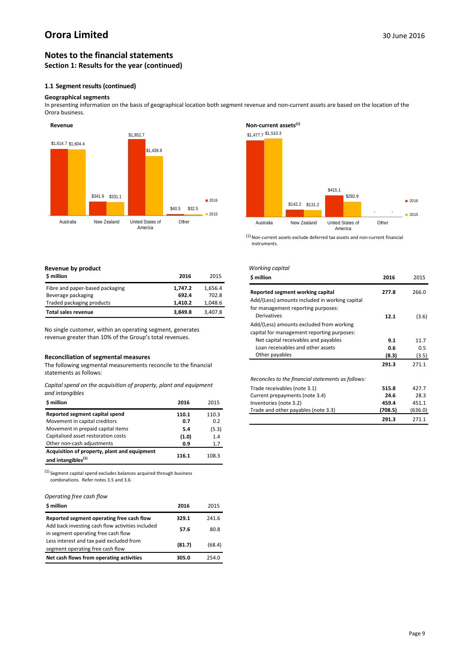### **Notes to the financial statements**

**Section 1: Results for the year (continued)**

#### **1.1 Segment results (continued)**

#### **Geographical segments**

**Revenue by product**

In presenting information on the basis of geographical location both segment revenue and non-current assets are based on the location of the Orora business.

Traded packaging products **1,410.2** 1,048.6



### **Revenue Non-current assets**<sup>(1)</sup>



 $(1)$  Non-current assets exclude deferred tax assets and non-current financial instruments.

#### *Working capital*

| \$ million                                         | 2016    | 2015    |
|----------------------------------------------------|---------|---------|
| Reported segment working capital                   | 277.8   | 266.0   |
| Add/(Less) amounts included in working capital     |         |         |
| for management reporting purposes:                 |         |         |
| Derivatives                                        | 12.1    | (3.6)   |
| Add/(Less) amounts excluded from working           |         |         |
| capital for management reporting purposes:         |         |         |
| Net capital receivables and payables               | 9.1     | 11.7    |
| Loan receivables and other assets                  | 0.6     | 0.5     |
| Other payables                                     | (8.3)   | (3.5)   |
|                                                    | 291.3   | 271.1   |
|                                                    |         |         |
| Reconciles to the financial statements as follows: |         |         |
| Trade receivables (note 3.1)                       | 515.8   | 427.7   |
| Current prepayments (note 3.4)                     | 24.6    | 28.3    |
| Inventories (note 3.2)                             | 459.4   | 451.1   |
| Trade and other payables (note 3.3)                | (708.5) | (636.0) |
|                                                    | 291.3   | 271.1   |

| \$ million                      | 2016    | 2015    |
|---------------------------------|---------|---------|
| Fibre and paper-based packaging | 1.747.2 | 1.656.4 |
| Beverage packaging              | 692.4   | 702.8   |
| Traded packaging products       | 1.410.2 | 1.048.6 |

No single customer, within an operating segment, generates revenue greater than 10% of the Group's total revenues.

**Total sales revenue 3,849.8** 3,407.8

#### **Reconciliation of segmental measures**

The following segmental measurements reconcile to the financial statements as follows:

*Capital spend on the acquisition of property, plant and equipment and intangibles*

| \$ million                                                                     | 2016  | 2015  |
|--------------------------------------------------------------------------------|-------|-------|
| Reported segment capital spend                                                 | 110.1 | 110.3 |
| Movement in capital creditors                                                  | 0.7   | 0.2   |
| Movement in prepaid capital items                                              | 5.4   | (5.3) |
| Capitalised asset restoration costs                                            | (1.0) | 1.4   |
| Other non-cash adjustments                                                     | 0.9   | 1.7   |
| Acquisition of property, plant and equipment<br>and intangibles <sup>(1)</sup> | 116.1 | 108.3 |

 $<sup>(1)</sup>$  Segment capital spend excludes balances acquired through business</sup> combinations. Refer notes 3.5 and 3.6.

#### *Operating free cash flow*

| \$ million                                                                              | 2016   | 2015   |
|-----------------------------------------------------------------------------------------|--------|--------|
| Reported segment operating free cash flow                                               | 329.1  | 241.6  |
| Add back investing cash flow activities included<br>in segment operating free cash flow | 57.6   | 80.8   |
| Less interest and tax paid excluded from<br>segment operating free cash flow            | (81.7) | (68.4) |
| Net cash flows from operating activities                                                | 305.0  | 254.0  |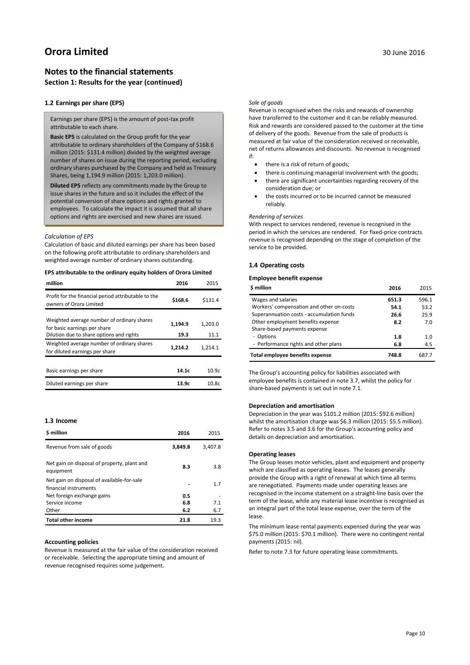### **Notes to the financial statements**

**Section 1: Results for the year (continued)**

#### **1.2 Earnings per share (EPS)**

Earnings per share (EPS) is the amount of post-tax profit attributable to each share.

**Basic EPS** is calculated on the Group profit for the year attributable to ordinary shareholders of the Company of \$168.6 million (2015: \$131.4 million) divided by the weighted average number of shares on issue during the reporting period, excluding ordinary shares purchased by the Company and held as Treasury Shares, being 1,194.9 million (2015: 1,203.0 million).

**Diluted EPS** reflects any commitments made by the Group to issue shares in the future and so it includes the effect of the potential conversion of share options and rights granted to employees. To calculate the impact it is assumed that all share options and rights are exercised and new shares are issued.

#### *Calculation of EPS*

Calculation of basic and diluted earnings per share has been based on the following profit attributable to ordinary shareholders and weighted average number of ordinary shares outstanding.

#### **EPS attributable to the ordinary equity holders of Orora Limited**

| million                                                                                                                | 2016            | 2015            |
|------------------------------------------------------------------------------------------------------------------------|-----------------|-----------------|
| Profit for the financial period attributable to the<br>owners of Orora Limited                                         | \$168.6         | \$131.4         |
| Weighted average number of ordinary shares<br>for basic earnings per share<br>Dilution due to share options and rights | 1,194.9<br>19.3 | 1,203.0<br>11.1 |
| Weighted average number of ordinary shares<br>for diluted earnings per share                                           | 1,214.2         | 1,214.1         |
| Basic earnings per share                                                                                               | 14.1c           | 10.9c           |
| Diluted earnings per share                                                                                             | 13.9c           | 10.8c           |

#### **1.3 Income**

| <b>S</b> million                                                    | 2016    | 2015    |
|---------------------------------------------------------------------|---------|---------|
| Revenue from sale of goods                                          | 3,849.8 | 3.407.8 |
| Net gain on disposal of property, plant and<br>equipment            | 8.3     | 3.8     |
| Net gain on disposal of available-for-sale<br>financial instruments |         | 1.7     |
| Net foreign exchange gains                                          | 0.5     |         |
| Service income                                                      | 6.8     | 7.1     |
| Other                                                               | 6.2     | 6.7     |
| <b>Total other income</b>                                           | 21.8    | 19.3    |

#### **Accounting policies**

Revenue is measured at the fair value of the consideration received or receivable. Selecting the appropriate timing and amount of revenue recognised requires some judgement.

#### *Sale of goods*

Revenue is recognised when the risks and rewards of ownership have transferred to the customer and it can be reliably measured. Risk and rewards are considered passed to the customer at the time of delivery of the goods. Revenue from the sale of products is measured at fair value of the consideration received or receivable, net of returns allowances and discounts. No revenue is recognised if:

- there is a risk of return of goods:
- there is continuing managerial involvement with the goods; • there are significant uncertainties regarding recovery of the
- consideration due; or
- the costs incurred or to be incurred cannot be measured reliably.

#### *Rendering of services*

With respect to services rendered, revenue is recognised in the period in which the services are rendered. For fixed-price contracts revenue is recognised depending on the stage of completion of the service to be provided.

#### **1.4 Operating costs**

#### **Employee benefit expense**

| \$ million                                | 2016  | 2015  |
|-------------------------------------------|-------|-------|
| Wages and salaries                        | 651.3 | 596.1 |
| Workers' compensation and other on-costs  | 54.1  | 53.2  |
| Superannuation costs - accumulation funds | 26.6  | 25.9  |
| Other employment benefits expense         | 8.2   | 7.0   |
| Share-based payments expense              |       |       |
| - Options                                 | 1.8   | 1.0   |
| - Performance rights and other plans      | 6.8   | 4.5   |
| Total employee benefits expense           | 748.8 | 687.7 |

The Group's accounting policy for liabilities associated with employee benefits is contained in note 3.7, whilst the policy for share-based payments is set out in note 7.1.

#### **Depreciation and amortisation**

Depreciation in the year was \$101.2 million (2015: \$92.6 million) whilst the amortisation charge was \$6.3 million (2015: \$5.5 million). Refer to notes 3.5 and 3.6 for the Group's accounting policy and details on depreciation and amortisation.

#### **Operating leases**

The Group leases motor vehicles, plant and equipment and property which are classified as operating leases. The leases generally provide the Group with a right of renewal at which time all terms are renegotiated. Payments made under operating leases are recognised in the income statement on a straight-line basis over the term of the lease, while any material lease incentive is recognised as an integral part of the total lease expense, over the term of the lease.

The minimum lease rental payments expensed during the year was \$75.0 million (2015: \$70.1 million). There were no contingent rental payments (2015: nil).

Refer to note 7.3 for future operating lease commitments.

Page 10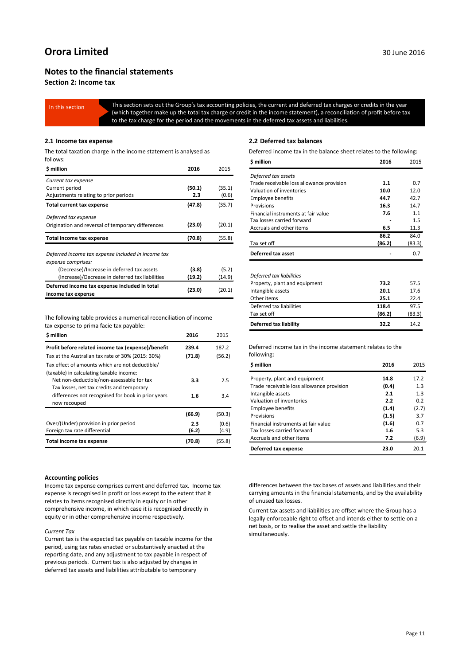#### **Notes to the financial statements**

**Section 2: Income tax**

In this section This section sets out the Group's tax accounting policies, the current and deferred tax charges or credits in the year (which together make up the total tax charge or credit in the income statement), a reconciliation of profit before tax to the tax charge for the period and the movements in the deferred tax assets and liabilities.

#### **2.1 Income tax expense**

The total taxation charge in the income statement is analysed as follows:

| \$ million                                         | 2016   | 2015   |
|----------------------------------------------------|--------|--------|
| Current tax expense                                |        |        |
| Current period                                     | (50.1) | (35.1) |
| Adjustments relating to prior periods              | 2.3    | (0.6)  |
| Total current tax expense                          | (47.8) | (35.7) |
| Deferred tax expense                               |        |        |
| Origination and reversal of temporary differences  | (23.0) | (20.1) |
| Total income tax expense                           | (70.8) | (55.8) |
| Deferred income tax expense included in income tax |        |        |
| expense comprises:                                 |        |        |
| (Decrease)/Increase in deferred tax assets         | (3.8)  | (5.2)  |
| (Increase)/Decrease in deferred tax liabilities    | (19.2) | (14.9) |
|                                                    |        |        |
| Deferred income tax expense included in total      | (23.0) | (20.1) |

The following table provides a numerical reconciliation of income tax expense to prima facie tax payable:

| \$ million                                                                                  | 2016         | 2015           |
|---------------------------------------------------------------------------------------------|--------------|----------------|
| Profit before related income tax (expense)/benefit                                          | 239.4        | 187.2          |
| Tax at the Australian tax rate of 30% (2015: 30%)                                           | (71.8)       | (56.2)         |
| Tax effect of amounts which are not deductible/<br>(taxable) in calculating taxable income: |              |                |
| Net non-deductible/non-assessable for tax<br>Tax losses, net tax credits and temporary      | 3.3          | 2.5            |
| differences not recognised for book in prior years<br>now recouped                          | 1.6          | 3.4            |
|                                                                                             | (66.9)       | (50.3)         |
| Over/(Under) provision in prior period<br>Foreign tax rate differential                     | 2.3<br>(6.2) | (0.6)<br>(4.9) |
| <b>Total income tax expense</b>                                                             | (70.8)       | (55.8)         |

#### **Accounting policies**

Income tax expense comprises current and deferred tax. Income tax expense is recognised in profit or loss except to the extent that it relates to items recognised directly in equity or in other comprehensive income, in which case it is recognised directly in equity or in other comprehensive income respectively.

#### *Current Tax*

Current tax is the expected tax payable on taxable income for the period, using tax rates enacted or substantively enacted at the reporting date, and any adjustment to tax payable in respect of previous periods. Current tax is also adjusted by changes in deferred tax assets and liabilities attributable to temporary

#### **2.2 Deferred tax balances**

Deferred income tax in the balance sheet relates to the following:

| \$ million                                | 2016   | 2015   |
|-------------------------------------------|--------|--------|
| Deferred tax assets                       |        |        |
| Trade receivable loss allowance provision | 1.1    | 0.7    |
| Valuation of inventories                  | 10.0   | 12.0   |
| <b>Employee benefits</b>                  | 44.7   | 42.7   |
| Provisions                                | 16.3   | 14.7   |
| Financial instruments at fair value       | 7.6    | 1.1    |
| Tax losses carried forward                |        | 1.5    |
| Accruals and other items                  | 6.5    | 11.3   |
|                                           | 86.2   | 84.0   |
| Tax set off                               | (86.2) | (83.3) |
| Deferred tax asset                        |        | 0.7    |
|                                           |        |        |
| Deferred tax liabilities                  |        |        |
| Property, plant and equipment             | 73.2   | 57.5   |
| Intangible assets                         | 20.1   | 17.6   |
| Other items                               | 25.1   | 22.4   |
| Deferred tax liabilities                  | 118.4  | 97.5   |
| Tax set off                               | (86.2) | (83.3) |
| Deferred tax liability                    | 32.2   | 14.2   |

#### Deferred income tax in the income statement relates to the following:

| <b>S</b> million                          | 2016  | 2015  |
|-------------------------------------------|-------|-------|
| Property, plant and equipment             | 14.8  | 17.2  |
| Trade receivable loss allowance provision | (0.4) | 1.3   |
| Intangible assets                         | 2.1   | 1.3   |
| Valuation of inventories                  | 2.2   | 0.2   |
| <b>Employee benefits</b>                  | (1.4) | (2.7) |
| Provisions                                | (1.5) | 3.7   |
| Financial instruments at fair value       | (1.6) | 0.7   |
| Tax losses carried forward                | 1.6   | 5.3   |
| Accruals and other items                  | 7.2   | (6.9) |
| Deferred tax expense                      | 23.0  | 20.1  |

differences between the tax bases of assets and liabilities and their carrying amounts in the financial statements, and by the availability of unused tax losses.

Current tax assets and liabilities are offset where the Group has a legally enforceable right to offset and intends either to settle on a net basis, or to realise the asset and settle the liability simultaneously.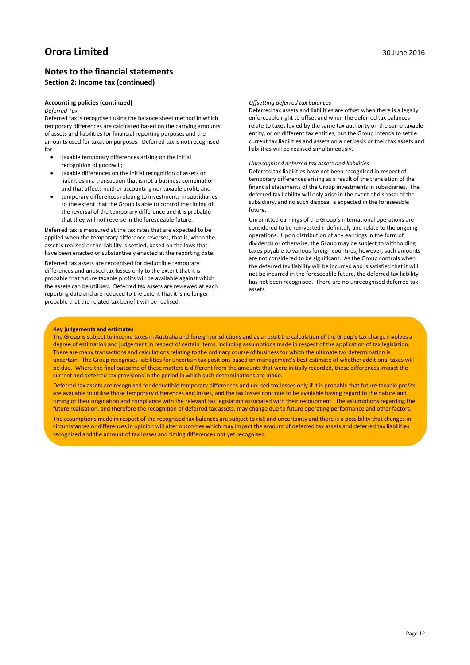### **Notes to the financial statements Section 2: Income tax (continued)**

#### **Accounting policies (continued)**

#### *Deferred Tax*

Deferred tax is recognised using the balance sheet method in which temporary differences are calculated based on the carrying amounts of assets and liabilities for financial reporting purposes and the amounts used for taxation purposes. Deferred tax is not recognised for:

- taxable temporary differences arising on the initial recognition of goodwill;
- taxable differences on the initial recognition of assets or liabilities in a transaction that is not a business combination and that affects neither accounting nor taxable profit; and
- temporary differences relating to investments in subsidiaries to the extent that the Group is able to control the timing of the reversal of the temporary difference and it is probable that they will not reverse in the foreseeable future.

Deferred tax is measured at the tax rates that are expected to be applied when the temporary difference reverses, that is, when the asset is realised or the liability is settled, based on the laws that have been enacted or substantively enacted at the reporting date.

Deferred tax assets are recognised for deductible temporary differences and unused tax losses only to the extent that it is probable that future taxable profits will be available against which the assets can be utilised. Deferred tax assets are reviewed at each reporting date and are reduced to the extent that it is no longer probable that the related tax benefit will be realised.

#### *Offsetting deferred tax balances*

Deferred tax assets and liabilities are offset when there is a legally enforceable right to offset and when the deferred tax balances relate to taxes levied by the same tax authority on the same taxable entity, or on different tax entities, but the Group intends to settle current tax liabilities and assets on a net basis or their tax assets and liabilities will be realised simultaneously.

#### *Unrecognised deferred tax assets and liabilities*

Deferred tax liabilities have not been recognised in respect of temporary differences arising as a result of the translation of the financial statements of the Group investments in subsidiaries. The deferred tax liability will only arise in the event of disposal of the subsidiary, and no such disposal is expected in the foreseeable future.

Unremitted earnings of the Group's international operations are considered to be reinvested indefinitely and relate to the ongoing operations. Upon distribution of any earnings in the form of dividends or otherwise, the Group may be subject to withholding taxes payable to various foreign countries, however, such amounts are not considered to be significant. As the Group controls when the deferred tax liability will be incurred and is satisfied that it will not be incurred in the foreseeable future, the deferred tax liability has not been recognised. There are no unrecognised deferred tax assets.

#### **Key judgements and estimates**

The Group is subject to income taxes in Australia and foreign jurisdictions and as a result the calculation of the Group's tax charge involves a degree of estimation and judgement in respect of certain items, including assumptions made in respect of the application of tax legislation. There are many transactions and calculations relating to the ordinary course of business for which the ultimate tax determination is uncertain. The Group recognises liabilities for uncertain tax positions based on management's best estimate of whether additional taxes will be due. Where the final outcome of these matters is different from the amounts that were initially recorded, these differences impact the current and deferred tax provisions in the period in which such determinations are made.

Deferred tax assets are recognised for deductible temporary differences and unused tax losses only if it is probable that future taxable profits are available to utilise those temporary differences and losses, and the tax losses continue to be available having regard to the nature and timing of their origination and compliance with the relevant tax legislation associated with their recoupment. The assumptions regarding the future realisation, and therefore the recognition of deferred tax assets, may change due to future operating performance and other factors.

The assumptions made in respect of the recognised tax balances are subject to risk and uncertainty and there is a possibility that changes in circumstances or differences in opinion will alter outcomes which may impact the amount of deferred tax assets and deferred tax liabilities recognised and the amount of tax losses and timing differences not yet recognised.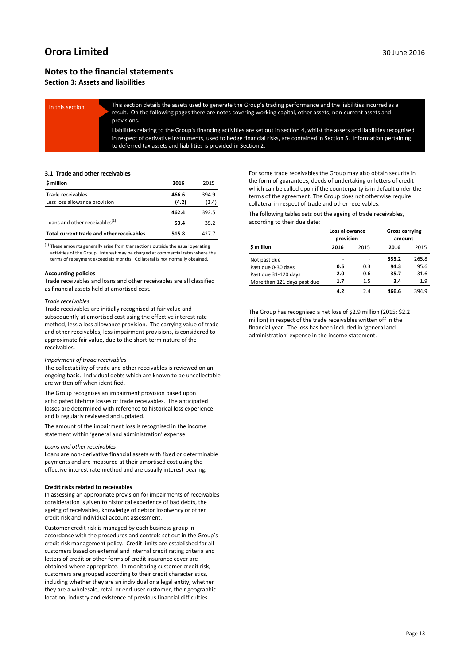### **Notes to the financial statements**

**Section 3: Assets and liabilities**

In this section This section details the assets used to generate the Group's trading performance and the liabilities incurred as a result. On the following pages there are notes covering working capital, other assets, non-current assets and provisions. Liabilities relating to the Group's financing activities are set out in section 4, whilst the assets and liabilities recognised in respect of derivative instruments, used to hedge financial risks, are contained in Section 5. Information pertaining to deferred tax assets and liabilities is provided in Section 2.

#### **3.1 Trade and other receivables**

| \$ million                                 | 2016  | 2015  |
|--------------------------------------------|-------|-------|
| Trade receivables                          | 466.6 | 394.9 |
| Less loss allowance provision              | (4.2) | (2.4) |
|                                            | 462.4 | 392.5 |
| Loans and other receivables <sup>(1)</sup> | 53.4  | 35.2  |
| Total current trade and other receivables  | 515.8 | 427.7 |

<sup>(1)</sup> These amounts generally arise from transactions outside the usual operating activities of the Group. Interest may be charged at commercial rates where the terms of repayment exceed six months. Collateral is not normally obtained.

#### **Accounting policies**

Trade receivables and loans and other receivables are all classified as financial assets held at amortised cost.

#### *Trade receivables*

Trade receivables are initially recognised at fair value and subsequently at amortised cost using the effective interest rate method, less a loss allowance provision. The carrying value of trade and other receivables, less impairment provisions, is considered to approximate fair value, due to the short-term nature of the receivables.

#### *Impairment of trade receivables*

The collectability of trade and other receivables is reviewed on an ongoing basis. Individual debts which are known to be uncollectable are written off when identified.

The Group recognises an impairment provision based upon anticipated lifetime losses of trade receivables. The anticipated losses are determined with reference to historical loss experience and is regularly reviewed and updated.

The amount of the impairment loss is recognised in the income statement within 'general and administration' expense.

#### *Loans and other receivables*

Loans are non-derivative financial assets with fixed or determinable payments and are measured at their amortised cost using the effective interest rate method and are usually interest-bearing.

#### **Credit risks related to receivables**

In assessing an appropriate provision for impairments of receivables consideration is given to historical experience of bad debts, the ageing of receivables, knowledge of debtor insolvency or other credit risk and individual account assessment.

Customer credit risk is managed by each business group in accordance with the procedures and controls set out in the Group's credit risk management policy. Credit limits are established for all customers based on external and internal credit rating criteria and letters of credit or other forms of credit insurance cover are obtained where appropriate. In monitoring customer credit risk, customers are grouped according to their credit characteristics, including whether they are an individual or a legal entity, whether they are a wholesale, retail or end-user customer, their geographic location, industry and existence of previous financial difficulties.

For some trade receivables the Group may also obtain security in the form of guarantees, deeds of undertaking or letters of credit which can be called upon if the counterparty is in default under the terms of the agreement. The Group does not otherwise require collateral in respect of trade and other receivables.

The following tables sets out the ageing of trade receivables, according to their due date:

|                             | Loss allowance<br>provision |      | <b>Gross carrying</b><br>amount |       |
|-----------------------------|-----------------------------|------|---------------------------------|-------|
| \$ million                  | 2016                        | 2015 | 2016                            | 2015  |
| Not past due                |                             |      | 333.2                           | 265.8 |
| Past due 0-30 days          | 0.5                         | 0.3  | 94.3                            | 95.6  |
| Past due 31-120 days        | 2.0                         | 0.6  | 35.7                            | 31.6  |
| More than 121 days past due | 1.7                         | 1.5  | 3.4                             | 1.9   |
|                             | 4.2                         | 2.4  | 466.6                           | 394.9 |

The Group has recognised a net loss of \$2.9 million (2015: \$2.2 million) in respect of the trade receivables written off in the financial year. The loss has been included in 'general and administration' expense in the income statement.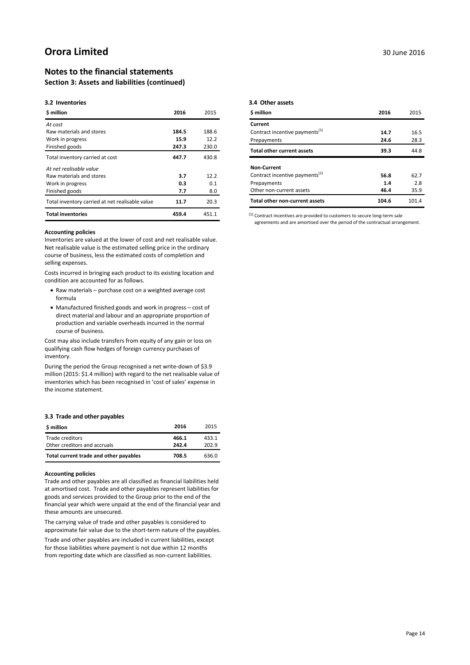### **Notes to the financial statements**

**Section 3: Assets and liabilities (continued)**

#### **3.2 Inventories**

| <b>S</b> million                                | 2016  | 2015  |
|-------------------------------------------------|-------|-------|
| At cost                                         |       |       |
| Raw materials and stores                        | 184.5 | 188.6 |
| Work in progress                                | 15.9  | 12.2  |
| Finished goods                                  | 247.3 | 230.0 |
| Total inventory carried at cost                 | 447.7 | 430.8 |
| At net realisable value                         |       |       |
| Raw materials and stores                        | 3.7   | 12.2  |
| Work in progress                                | 0.3   | 0.1   |
| Finished goods                                  | 7.7   | 8.0   |
| Total inventory carried at net realisable value | 11.7  | 20.3  |
| <b>Total inventories</b>                        | 459.4 | 451.1 |

#### **Accounting policies**

Inventories are valued at the lower of cost and net realisable value. Net realisable value is the estimated selling price in the ordinary course of business, less the estimated costs of completion and selling expenses.

Costs incurred in bringing each product to its existing location and condition are accounted for as follows.

- Raw materials purchase cost on a weighted average cost formula
- Manufactured finished goods and work in progress cost of direct material and labour and an appropriate proportion of production and variable overheads incurred in the normal course of business.

Cost may also include transfers from equity of any gain or loss on qualifying cash flow hedges of foreign currency purchases of inventory.

During the period the Group recognised a net write-down of \$3.9 million (2015: \$1.4 million) with regard to the net realisable value of inventories which has been recognised in 'cost of sales' expense in the income statement.

#### **3.3 Trade and other payables**

| \$ million                             | 2016  | 2015  |
|----------------------------------------|-------|-------|
| Trade creditors                        | 466.1 | 433.1 |
| Other creditors and accruals           | 242.4 | 202.9 |
| Total current trade and other payables | 708.5 | 636.0 |

#### **Accounting policies**

Trade and other payables are all classified as financial liabilities held at amortised cost. Trade and other payables represent liabilities for goods and services provided to the Group prior to the end of the financial year which were unpaid at the end of the financial year and these amounts are unsecured.

The carrying value of trade and other payables is considered to approximate fair value due to the short-term nature of the payables.

Trade and other payables are included in current liabilities, except for those liabilities where payment is not due within 12 months from reporting date which are classified as non-current liabilities.

#### **3.4 Other assets**

| \$ million                                 | 2016  | 2015  |
|--------------------------------------------|-------|-------|
| Current                                    |       |       |
| Contract incentive payments <sup>(1)</sup> | 14.7  | 16.5  |
| Prepayments                                | 24.6  | 28.3  |
| <b>Total other current assets</b>          | 39.3  | 44.8  |
| <b>Non-Current</b>                         |       |       |
| Contract incentive payments <sup>(1)</sup> | 56.8  | 62.7  |
| Prepayments                                | 1.4   | 2.8   |
| Other non-current assets                   | 46.4  | 35.9  |
| <b>Total other non-current assets</b>      | 104.6 | 101.4 |

(1) Contract incentives are provided to customers to secure long-term sale

agreements and are amortised over the period of the contractual arrangement.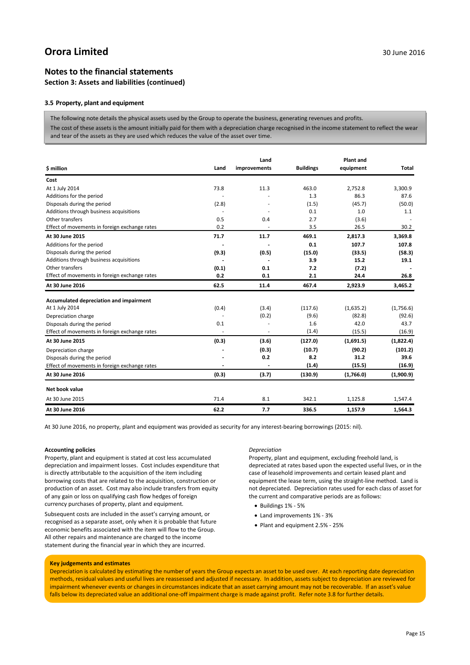### **Notes to the financial statements**

**Section 3: Assets and liabilities (continued)**

#### **3.5 Property, plant and equipment**

The following note details the physical assets used by the Group to operate the business, generating revenues and profits.

The cost of these assets is the amount initially paid for them with a depreciation charge recognised in the income statement to reflect the wear and tear of the assets as they are used which reduces the value of the asset over time.

|                                               |       | Land         |                  | <b>Plant and</b> |              |
|-----------------------------------------------|-------|--------------|------------------|------------------|--------------|
| \$ million                                    | Land  | improvements | <b>Buildings</b> | equipment        | <b>Total</b> |
| Cost                                          |       |              |                  |                  |              |
| At 1 July 2014                                | 73.8  | 11.3         | 463.0            | 2,752.8          | 3,300.9      |
| Additions for the period                      |       |              | 1.3              | 86.3             | 87.6         |
| Disposals during the period                   | (2.8) |              | (1.5)            | (45.7)           | (50.0)       |
| Additions through business acquisitions       |       |              | 0.1              | 1.0              | 1.1          |
| Other transfers                               | 0.5   | 0.4          | 2.7              | (3.6)            |              |
| Effect of movements in foreign exchange rates | 0.2   | ÷.           | 3.5              | 26.5             | 30.2         |
| At 30 June 2015                               | 71.7  | 11.7         | 469.1            | 2,817.3          | 3,369.8      |
| Additions for the period                      |       |              | 0.1              | 107.7            | 107.8        |
| Disposals during the period                   | (9.3) | (0.5)        | (15.0)           | (33.5)           | (58.3)       |
| Additions through business acquisitions       |       |              | 3.9              | 15.2             | 19.1         |
| Other transfers                               | (0.1) | 0.1          | 7.2              | (7.2)            |              |
| Effect of movements in foreign exchange rates | 0.2   | 0.1          | 2.1              | 24.4             | 26.8         |
| At 30 June 2016                               | 62.5  | 11.4         | 467.4            | 2,923.9          | 3,465.2      |
| Accumulated depreciation and impairment       |       |              |                  |                  |              |
| At 1 July 2014                                | (0.4) | (3.4)        | (117.6)          | (1,635.2)        | (1,756.6)    |
| Depreciation charge                           |       | (0.2)        | (9.6)            | (82.8)           | (92.6)       |
| Disposals during the period                   | 0.1   |              | 1.6              | 42.0             | 43.7         |
| Effect of movements in foreign exchange rates |       | ÷.           | (1.4)            | (15.5)           | (16.9)       |
| At 30 June 2015                               | (0.3) | (3.6)        | (127.0)          | (1,691.5)        | (1,822.4)    |
| Depreciation charge                           |       | (0.3)        | (10.7)           | (90.2)           | (101.2)      |
| Disposals during the period                   |       | 0.2          | 8.2              | 31.2             | 39.6         |
| Effect of movements in foreign exchange rates |       |              | (1.4)            | (15.5)           | (16.9)       |
| At 30 June 2016                               | (0.3) | (3.7)        | (130.9)          | (1,766.0)        | (1,900.9)    |
| Net book value                                |       |              |                  |                  |              |
| At 30 June 2015                               | 71.4  | 8.1          | 342.1            | 1,125.8          | 1,547.4      |
| At 30 June 2016                               | 62.2  | 7.7          | 336.5            | 1,157.9          | 1,564.3      |

At 30 June 2016, no property, plant and equipment was provided as security for any interest-bearing borrowings (2015: nil).

#### **Accounting policies**

Property, plant and equipment is stated at cost less accumulated depreciation and impairment losses. Cost includes expenditure that is directly attributable to the acquisition of the item including borrowing costs that are related to the acquisition, construction or production of an asset. Cost may also include transfers from equity of any gain or loss on qualifying cash flow hedges of foreign currency purchases of property, plant and equipment.

Subsequent costs are included in the asset's carrying amount, or recognised as a separate asset, only when it is probable that future economic benefits associated with the item will flow to the Group. All other repairs and maintenance are charged to the income statement during the financial year in which they are incurred.

#### *Depreciation*

Property, plant and equipment, excluding freehold land, is depreciated at rates based upon the expected useful lives, or in the case of leasehold improvements and certain leased plant and equipment the lease term, using the straight-line method. Land is not depreciated. Depreciation rates used for each class of asset for the current and comparative periods are as follows:

- Buildings 1% 5%
- Land improvements 1% 3%
- Plant and equipment 2.5% 25%

#### **Key judgements and estimates**

Depreciation is calculated by estimating the number of years the Group expects an asset to be used over. At each reporting date depreciation methods, residual values and useful lives are reassessed and adjusted if necessary. In addition, assets subject to depreciation are reviewed for impairment whenever events or changes in circumstances indicate that an asset carrying amount may not be recoverable. If an asset's value falls below its depreciated value an additional one-off impairment charge is made against profit. Refer note 3.8 for further details.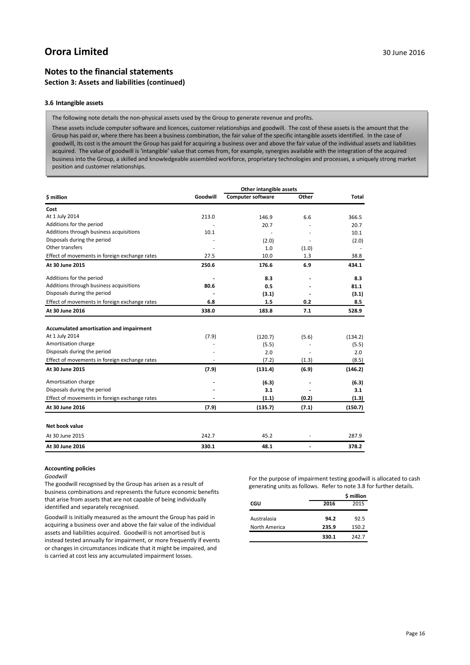### **Notes to the financial statements Section 3: Assets and liabilities (continued)**

#### **3.6 Intangible assets**

The following note details the non-physical assets used by the Group to generate revenue and profits.

These assets include computer software and licences, customer relationships and goodwill. The cost of these assets is the amount that the Group has paid or, where there has been a business combination, the fair value of the specific intangible assets identified. In the case of goodwill, its cost is the amount the Group has paid for acquiring a business over and above the fair value of the individual assets and liabilities acquired. The value of goodwill is 'intangible' value that comes from, for example, synergies available with the integration of the acquired business into the Group, a skilled and knowledgeable assembled workforce, proprietary technologies and processes, a uniquely strong market position and customer relationships.

|                                               |          | Other intangible assets           |       |         |
|-----------------------------------------------|----------|-----------------------------------|-------|---------|
| \$ million                                    | Goodwill | <b>Computer software</b><br>Other |       | Total   |
| Cost                                          |          |                                   |       |         |
| At 1 July 2014                                | 213.0    | 146.9                             | 6.6   | 366.5   |
| Additions for the period                      |          | 20.7                              |       | 20.7    |
| Additions through business acquisitions       | 10.1     |                                   |       | 10.1    |
| Disposals during the period                   |          | (2.0)                             |       | (2.0)   |
| Other transfers                               |          | 1.0                               | (1.0) |         |
| Effect of movements in foreign exchange rates | 27.5     | 10.0                              | 1.3   | 38.8    |
| At 30 June 2015                               | 250.6    | 176.6                             | 6.9   | 434.1   |
| Additions for the period                      |          | 8.3                               |       | 8.3     |
| Additions through business acquisitions       | 80.6     | 0.5                               |       | 81.1    |
| Disposals during the period                   |          | (3.1)                             |       | (3.1)   |
| Effect of movements in foreign exchange rates | 6.8      | 1.5                               | 0.2   | 8.5     |
| At 30 June 2016                               | 338.0    | 183.8                             | 7.1   | 528.9   |
| Accumulated amortisation and impairment       |          |                                   |       |         |
| At 1 July 2014                                | (7.9)    | (120.7)                           | (5.6) | (134.2) |
| Amortisation charge                           |          | (5.5)                             |       | (5.5)   |
| Disposals during the period                   |          | 2.0                               |       | 2.0     |
| Effect of movements in foreign exchange rates |          | (7.2)                             | (1.3) | (8.5)   |
| At 30 June 2015                               | (7.9)    | (131.4)                           | (6.9) | (146.2) |
| Amortisation charge                           |          | (6.3)                             |       | (6.3)   |
| Disposals during the period                   |          | 3.1                               |       | 3.1     |
| Effect of movements in foreign exchange rates |          | (1.1)                             | (0.2) | (1.3)   |
| At 30 June 2016                               | (7.9)    | (135.7)                           | (7.1) | (150.7) |
| Net book value                                |          |                                   |       |         |
| At 30 June 2015                               | 242.7    | 45.2                              |       | 287.9   |
| At 30 June 2016                               | 330.1    | 48.1                              |       | 378.2   |

### **Accounting policies**

*Goodwill*

The goodwill recognised by the Group has arisen as a result of business combinations and represents the future economic benefits that arise from assets that are not capable of being individually identified and separately recognised.

Goodwill is initially measured as the amount the Group has paid in acquiring a business over and above the fair value of the individual assets and liabilities acquired. Goodwill is not amortised but is instead tested annually for impairment, or more frequently if events or changes in circumstances indicate that it might be impaired, and is carried at cost less any accumulated impairment losses.

For the purpose of impairment testing goodwill is allocated to cash generating units as follows. Refer to note 3.8 for further details.

|               |       | \$ million |
|---------------|-------|------------|
| CGU           | 2016  | 2015       |
| Australasia   | 94.2  | 92.5       |
| North America | 235.9 | 150.2      |
|               | 330.1 | 242.7      |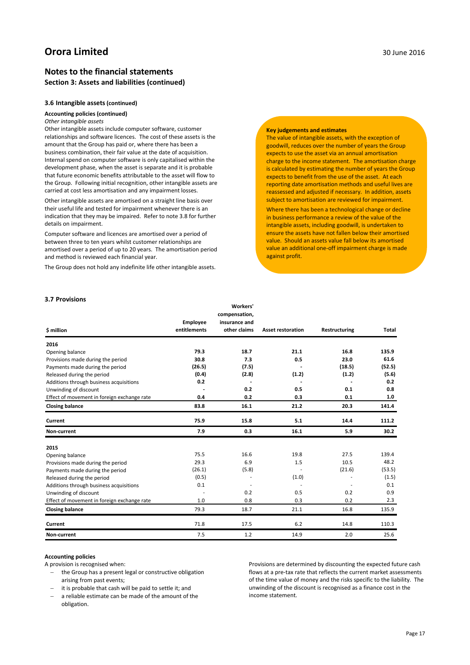#### **Notes to the financial statements Section 3: Assets and liabilities (continued)**

#### **3.6 Intangible assets (continued)**

#### **Accounting policies (continued)**

#### *Other intangible assets*

Other intangible assets include computer software, customer relationships and software licences. The cost of these assets is the amount that the Group has paid or, where there has been a business combination, their fair value at the date of acquisition. Internal spend on computer software is only capitalised within the development phase, when the asset is separate and it is probable that future economic benefits attributable to the asset will flow to the Group. Following initial recognition, other intangible assets are carried at cost less amortisation and any impairment losses.

Other intangible assets are amortised on a straight line basis over their useful life and tested for impairment whenever there is an indication that they may be impaired. Refer to note 3.8 for further details on impairment.

Computer software and licences are amortised over a period of between three to ten years whilst customer relationships are amortised over a period of up to 20 years. The amortisation period and method is reviewed each financial year.

The Group does not hold any indefinite life other intangible assets.

#### **Key judgements and estimates**

The value of intangible assets, with the exception of goodwill, reduces over the number of years the Group expects to use the asset via an annual amortisation charge to the income statement. The amortisation charge is calculated by estimating the number of years the Group expects to benefit from the use of the asset. At each reporting date amortisation methods and useful lives are reassessed and adjusted if necessary. In addition, assets subject to amortisation are reviewed for impairment.

Where there has been a technological change or decline in business performance a review of the value of the intangible assets, including goodwill, is undertaken to ensure the assets have not fallen below their amortised value. Should an assets value fall below its amortised value an additional one-off impairment charge is made against profit.

#### **3.7 Provisions**

|                                             |                                 | Workers'                                       |                          |               |        |
|---------------------------------------------|---------------------------------|------------------------------------------------|--------------------------|---------------|--------|
| \$ million                                  | <b>Employee</b><br>entitlements | compensation,<br>insurance and<br>other claims | <b>Asset restoration</b> | Restructuring | Total  |
| 2016                                        |                                 |                                                |                          |               |        |
| Opening balance                             | 79.3                            | 18.7                                           | 21.1                     | 16.8          | 135.9  |
| Provisions made during the period           | 30.8                            | 7.3                                            | 0.5                      | 23.0          | 61.6   |
| Payments made during the period             | (26.5)                          | (7.5)                                          |                          | (18.5)        | (52.5) |
| Released during the period                  | (0.4)                           | (2.8)                                          | (1.2)                    | (1.2)         | (5.6)  |
| Additions through business acquisitions     | 0.2                             |                                                |                          |               | 0.2    |
| Unwinding of discount                       |                                 | 0.2                                            | 0.5                      | 0.1           | 0.8    |
| Effect of movement in foreign exchange rate | 0.4                             | 0.2                                            | 0.3                      | 0.1           | 1.0    |
| <b>Closing balance</b>                      | 83.8                            | 16.1                                           | 21.2                     | 20.3          | 141.4  |
| Current                                     | 75.9                            | 15.8                                           | 5.1                      | 14.4          | 111.2  |
| Non-current                                 | 7.9                             | 0.3                                            | 16.1                     | 5.9           | 30.2   |
| 2015                                        |                                 |                                                |                          |               |        |
| Opening balance                             | 75.5                            | 16.6                                           | 19.8                     | 27.5          | 139.4  |
| Provisions made during the period           | 29.3                            | 6.9                                            | 1.5                      | 10.5          | 48.2   |
| Payments made during the period             | (26.1)                          | (5.8)                                          |                          | (21.6)        | (53.5) |
| Released during the period                  | (0.5)                           |                                                | (1.0)                    |               | (1.5)  |
| Additions through business acquisitions     | 0.1                             |                                                |                          | ٠             | 0.1    |
| Unwinding of discount                       |                                 | 0.2                                            | 0.5                      | 0.2           | 0.9    |
| Effect of movement in foreign exchange rate | 1.0                             | 0.8                                            | 0.3                      | 0.2           | 2.3    |
| <b>Closing balance</b>                      | 79.3                            | 18.7                                           | 21.1                     | 16.8          | 135.9  |
| Current                                     | 71.8                            | 17.5                                           | 6.2                      | 14.8          | 110.3  |
| Non-current                                 | 7.5                             | 1.2                                            | 14.9                     | 2.0           | 25.6   |

#### **Accounting policies**

A provision is recognised when:

- the Group has a present legal or constructive obligation arising from past events;
- it is probable that cash will be paid to settle it; and
- a reliable estimate can be made of the amount of the obligation.

Provisions are determined by discounting the expected future cash flows at a pre-tax rate that reflects the current market assessments of the time value of money and the risks specific to the liability. The unwinding of the discount is recognised as a finance cost in the income statement.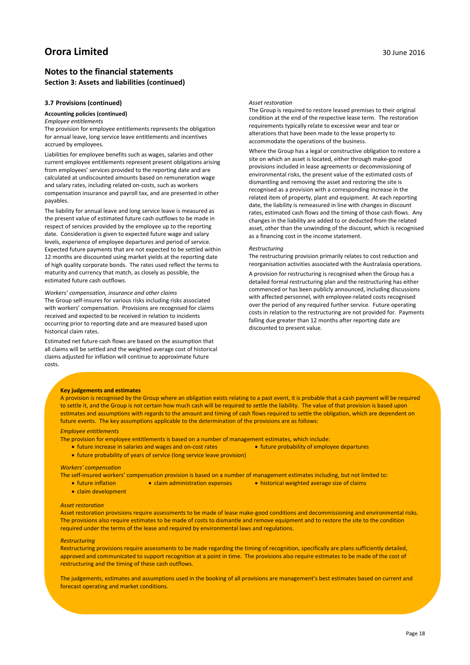### **Notes to the financial statements Section 3: Assets and liabilities (continued)**

#### **3.7 Provisions (continued)**

#### **Accounting policies (continued)**

#### *Employee entitlements*

The provision for employee entitlements represents the obligation for annual leave, long service leave entitlements and incentives accrued by employees.

Liabilities for employee benefits such as wages, salaries and other current employee entitlements represent present obligations arising from employees' services provided to the reporting date and are calculated at undiscounted amounts based on remuneration wage and salary rates, including related on-costs, such as workers compensation insurance and payroll tax, and are presented in other payables.

The liability for annual leave and long service leave is measured as the present value of estimated future cash outflows to be made in respect of services provided by the employee up to the reporting date. Consideration is given to expected future wage and salary levels, experience of employee departures and period of service. Expected future payments that are not expected to be settled within 12 months are discounted using market yields at the reporting date of high quality corporate bonds. The rates used reflect the terms to maturity and currency that match, as closely as possible, the estimated future cash outflows.

#### *Workers' compensation, insurance and other claims*

The Group self-insures for various risks including risks associated with workers' compensation. Provisions are recognised for claims received and expected to be received in relation to incidents occurring prior to reporting date and are measured based upon historical claim rates.

Estimated net future cash flows are based on the assumption that all claims will be settled and the weighted average cost of historical claims adjusted for inflation will continue to approximate future costs.

#### *Asset restoration*

The Group is required to restore leased premises to their original condition at the end of the respective lease term. The restoration requirements typically relate to excessive wear and tear or alterations that have been made to the lease property to accommodate the operations of the business.

Where the Group has a legal or constructive obligation to restore a site on which an asset is located, either through make-good provisions included in lease agreements or decommissioning of environmental risks, the present value of the estimated costs of dismantling and removing the asset and restoring the site is recognised as a provision with a corresponding increase in the related item of property, plant and equipment. At each reporting date, the liability is remeasured in line with changes in discount rates, estimated cash flows and the timing of those cash flows. Any changes in the liability are added to or deducted from the related asset, other than the unwinding of the discount, which is recognised as a financing cost in the income statement.

#### *Restructuring*

The restructuring provision primarily relates to cost reduction and reorganisation activities associated with the Australasia operations.

A provision for restructuring is recognised when the Group has a detailed formal restructuring plan and the restructuring has either commenced or has been publicly announced, including discussions with affected personnel, with employee-related costs recognised over the period of any required further service. Future operating costs in relation to the restructuring are not provided for. Payments falling due greater than 12 months after reporting date are discounted to present value.

#### **Key judgements and estimates**

A provision is recognised by the Group where an obligation exists relating to a past event, it is probable that a cash payment will be required to settle it, and the Group is not certain how much cash will be required to settle the liability. The value of that provision is based upon estimates and assumptions with regards to the amount and timing of cash flows required to settle the obligation, which are dependent on future events. The key assumptions applicable to the determination of the provisions are as follows:

#### *Employee entitlements*

The provision for employee entitlements is based on a number of management estimates, which include:

- future increase in salaries and wages and on-cost rates future probability of employee departures
- future probability of years of service (long service leave provision)

#### *Workers' compensation*

The self-insured workers' compensation provision is based on a number of management estimates including, but not limited to:

- future inflation claim administration expenses historical weighted average size of claims
- claim development

#### *Asset restoration*

Asset restoration provisions require assessments to be made of lease make-good conditions and decommissioning and environmental risks. The provisions also require estimates to be made of costs to dismantle and remove equipment and to restore the site to the condition required under the terms of the lease and required by environmental laws and regulations.

#### *Restructuring*

Restructuring provisions require assessments to be made regarding the timing of recognition, specifically are plans sufficiently detailed, approved and communicated to support recognition at a point in time. The provisions also require estimates to be made of the cost of restructuring and the timing of these cash outflows.

The judgements, estimates and assumptions used in the booking of all provisions are management's best estimates based on current and forecast operating and market conditions.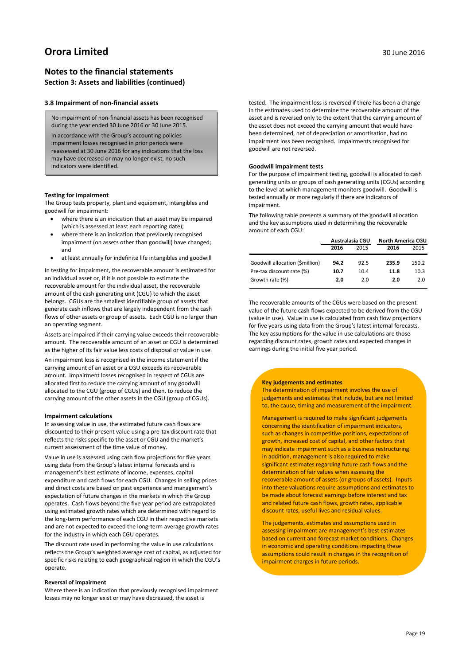#### **Notes to the financial statements Section 3: Assets and liabilities (continued)**

#### **3.8 Impairment of non-financial assets**

No impairment of non-financial assets has been recognised during the year ended 30 June 2016 or 30 June 2015.

In accordance with the Group's accounting policies impairment losses recognised in prior periods were reassessed at 30 June 2016 for any indications that the loss may have decreased or may no longer exist, no such indicators were identified.

#### **Testing for impairment**

The Group tests property, plant and equipment, intangibles and goodwill for impairment:

- where there is an indication that an asset may be impaired (which is assessed at least each reporting date);
- where there is an indication that previously recognised impairment (on assets other than goodwill) have changed; and
- at least annually for indefinite life intangibles and goodwill

In testing for impairment, the recoverable amount is estimated for an individual asset or, if it is not possible to estimate the recoverable amount for the individual asset, the recoverable amount of the cash generating unit (CGU) to which the asset belongs. CGUs are the smallest identifiable group of assets that generate cash inflows that are largely independent from the cash flows of other assets or group of assets. Each CGU is no larger than an operating segment.

Assets are impaired if their carrying value exceeds their recoverable amount. The recoverable amount of an asset or CGU is determined as the higher of its fair value less costs of disposal or value in use.

An impairment loss is recognised in the income statement if the carrying amount of an asset or a CGU exceeds its recoverable amount. Impairment losses recognised in respect of CGUs are allocated first to reduce the carrying amount of any goodwill allocated to the CGU (group of CGUs) and then, to reduce the carrying amount of the other assets in the CGU (group of CGUs).

#### **Impairment calculations**

In assessing value in use, the estimated future cash flows are discounted to their present value using a pre-tax discount rate that reflects the risks specific to the asset or CGU and the market's current assessment of the time value of money.

Value in use is assessed using cash flow projections for five years using data from the Group's latest internal forecasts and is management's best estimate of income, expenses, capital expenditure and cash flows for each CGU. Changes in selling prices and direct costs are based on past experience and management's expectation of future changes in the markets in which the Group operates. Cash flows beyond the five year period are extrapolated using estimated growth rates which are determined with regard to the long-term performance of each CGU in their respective markets and are not expected to exceed the long-term average growth rates for the industry in which each CGU operates.

The discount rate used in performing the value in use calculations reflects the Group's weighted average cost of capital, as adjusted for specific risks relating to each geographical region in which the CGU's operate.

#### **Reversal of impairment**

Where there is an indication that previously recognised impairment losses may no longer exist or may have decreased, the asset is

tested. The impairment loss is reversed if there has been a change in the estimates used to determine the recoverable amount of the asset and is reversed only to the extent that the carrying amount of the asset does not exceed the carrying amount that would have been determined, net of depreciation or amortisation, had no impairment loss been recognised. Impairments recognised for goodwill are not reversed.

#### **Goodwill impairment tests**

For the purpose of impairment testing, goodwill is allocated to cash generating units or groups of cash generating units (CGUs) according to the level at which management monitors goodwill. Goodwill is tested annually or more regularly if there are indicators of impairment.

The following table presents a summary of the goodwill allocation and the key assumptions used in determining the recoverable amount of each CGU:

|                                 | Australasia CGU |      | <b>North America CGU</b> |       |
|---------------------------------|-----------------|------|--------------------------|-------|
|                                 | 2016            | 2015 | 2016                     | 2015  |
| Goodwill allocation (\$million) | 94.2            | 92.5 | 235.9                    | 150.2 |
| Pre-tax discount rate (%)       | 10.7            | 10.4 | 11.8                     | 10.3  |
| Growth rate (%)                 | 2.0             | 2.0  | 2.0                      | 2.0   |

The recoverable amounts of the CGUs were based on the present value of the future cash flows expected to be derived from the CGU (value in use). Value in use is calculated from cash flow projections for five years using data from the Group's latest internal forecasts. The key assumptions for the value in use calculations are those regarding discount rates, growth rates and expected changes in earnings during the initial five year period.

#### **Key judgements and estimates**

The determination of impairment involves the use of judgements and estimates that include, but are not limited to, the cause, timing and measurement of the impairment.

Management is required to make significant judgements concerning the identification of impairment indicators, such as changes in competitive positions, expectations of growth, increased cost of capital, and other factors that may indicate impairment such as a business restructuring. In addition, management is also required to make significant estimates regarding future cash flows and the determination of fair values when assessing the recoverable amount of assets (or groups of assets). Inputs into these valuations require assumptions and estimates to be made about forecast earnings before interest and tax and related future cash flows, growth rates, applicable discount rates, useful lives and residual values.

The judgements, estimates and assumptions used in assessing impairment are management's best estimates based on current and forecast market conditions. Changes in economic and operating conditions impacting these assumptions could result in changes in the recognition of impairment charges in future periods.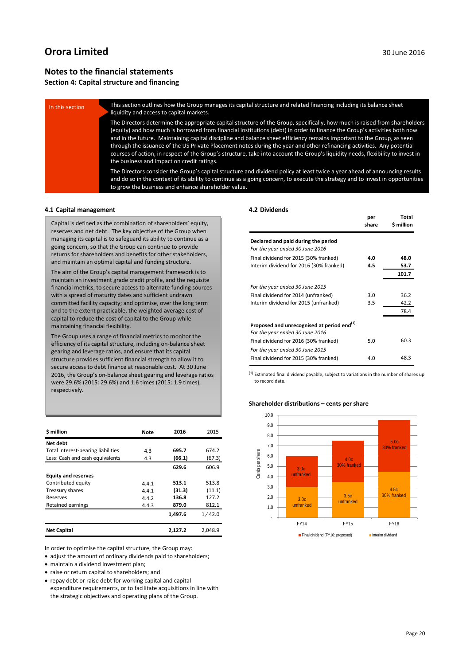**Total**

### **Notes to the financial statements**

#### **Section 4: Capital structure and financing**

| In this section | This section outlines how the Group manages its capital structure and related financing including its balance sheet<br>liquidity and access to capital markets.                                                                                                                                                                                                                                                                                                                                                                                                                                                                                                                             |
|-----------------|---------------------------------------------------------------------------------------------------------------------------------------------------------------------------------------------------------------------------------------------------------------------------------------------------------------------------------------------------------------------------------------------------------------------------------------------------------------------------------------------------------------------------------------------------------------------------------------------------------------------------------------------------------------------------------------------|
|                 | The Directors determine the appropriate capital structure of the Group, specifically, how much is raised from shareholders<br>(equity) and how much is borrowed from financial institutions (debt) in order to finance the Group's activities both now<br>and in the future. Maintaining capital discipline and balance sheet efficiency remains important to the Group, as seen<br>through the issuance of the US Private Placement notes during the year and other refinancing activities. Any potential<br>courses of action, in respect of the Group's structure, take into account the Group's liquidity needs, flexibility to invest in<br>the business and impact on credit ratings. |
|                 | The Directors consider the Group's capital structure and dividend policy at least twice a year ahead of announcing results<br>and do so in the context of its ability to continue as a going concern, to execute the strategy and to invest in opportunities<br>to grow the business and enhance shareholder value.                                                                                                                                                                                                                                                                                                                                                                         |

#### **4.1 Capital management**

Capital is defined as the combination of shareholders' equity, reserves and net debt. The key objective of the Group when managing its capital is to safeguard its ability to continue as a going concern, so that the Group can continue to provide returns for shareholders and benefits for other stakeholders, and maintain an optimal capital and funding structure.

The aim of the Group's capital management framework is to maintain an investment grade credit profile, and the requisite financial metrics, to secure access to alternate funding sources with a spread of maturity dates and sufficient undrawn committed facility capacity; and optimise, over the long term and to the extent practicable, the weighted average cost of capital to reduce the cost of capital to the Group while maintaining financial flexibility.

The Group uses a range of financial metrics to monitor the efficiency of its capital structure, including on-balance sheet gearing and leverage ratios, and ensure that its capital structure provides sufficient financial strength to allow it to secure access to debt finance at reasonable cost. At 30 June 2016, the Group's on-balance sheet gearing and leverage ratios were 29.6% (2015: 29.6%) and 1.6 times (2015: 1.9 times), respectively.

| \$ million                         | Note  | 2016    | 2015    |
|------------------------------------|-------|---------|---------|
| Net debt                           |       |         |         |
| Total interest-bearing liabilities | 4.3   | 695.7   | 674.2   |
| Less: Cash and cash equivalents    | 4.3   | (66.1)  | (67.3)  |
|                                    |       | 629.6   | 606.9   |
| <b>Equity and reserves</b>         |       |         |         |
| Contributed equity                 | 4.4.1 | 513.1   | 513.8   |
| Treasury shares                    | 4.4.1 | (31.3)  | (11.1)  |
| Reserves                           | 4.4.2 | 136.8   | 127.2   |
| <b>Retained earnings</b>           | 4.4.3 | 879.0   | 812.1   |
|                                    |       | 1,497.6 | 1.442.0 |
| <b>Net Capital</b>                 |       | 2.127.2 | 2.048.9 |

In order to optimise the capital structure, the Group may:

• adjust the amount of ordinary dividends paid to shareholders;

• maintain a dividend investment plan;

• raise or return capital to shareholders; and

• repay debt or raise debt for working capital and capital

expenditure requirements, or to facilitate acquisitions in line with the strategic objectives and operating plans of the Group.

#### **4.2 Dividends**

|                                                                                           | per<br>share | Total<br>\$ million |
|-------------------------------------------------------------------------------------------|--------------|---------------------|
| Declared and paid during the period<br>For the year ended 30 June 2016                    |              |                     |
| Final dividend for 2015 (30% franked)                                                     | 4.0          | 48.0                |
| Interim dividend for 2016 (30% franked)                                                   | 4.5          | 53.7                |
|                                                                                           |              | 101.7               |
| For the year ended 30 June 2015                                                           |              |                     |
| Final dividend for 2014 (unfranked)                                                       | 3.0          | 36.2                |
| Interim dividend for 2015 (unfranked)                                                     | 3.5          | 42.2                |
|                                                                                           |              | 78.4                |
| Proposed and unrecognised at period end <sup>(1)</sup><br>For the year ended 30 June 2016 |              |                     |
| Final dividend for 2016 (30% franked)                                                     | 5.0          | 60.3                |
| For the year ended 30 June 2015                                                           |              |                     |
| Final dividend for 2015 (30% franked)                                                     | 4.0          | 48.3                |

 $(1)$  Estimated final dividend payable, subject to variations in the number of shares up to record date

#### **Shareholder distributions – cents per share**

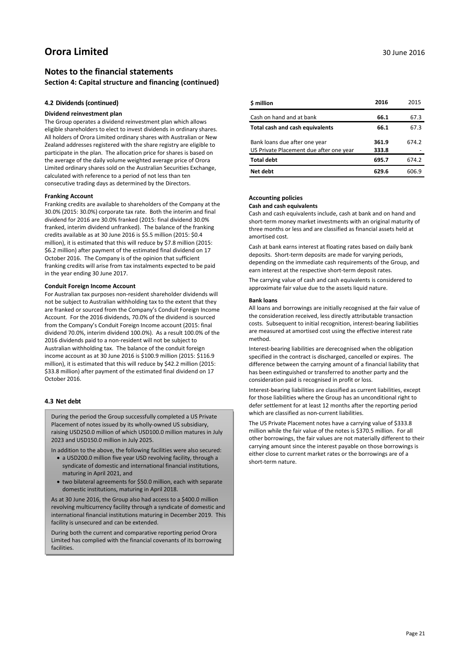### **Notes to the financial statements Section 4: Capital structure and financing (continued)**

#### **4.2 Dividends (continued)**

#### **Dividend reinvestment plan**

The Group operates a dividend reinvestment plan which allows eligible shareholders to elect to invest dividends in ordinary shares. All holders of Orora Limited ordinary shares with Australian or New Zealand addresses registered with the share registry are eligible to participate in the plan. The allocation price for shares is based on the average of the daily volume weighted average price of Orora Limited ordinary shares sold on the Australian Securities Exchange, calculated with reference to a period of not less than ten consecutive trading days as determined by the Directors.

#### **Franking Account**

Franking credits are available to shareholders of the Company at the 30.0% (2015: 30.0%) corporate tax rate. Both the interim and final dividend for 2016 are 30.0% franked (2015: final dividend 30.0% franked, interim dividend unfranked). The balance of the franking credits available as at 30 June 2016 is \$5.5 million (2015: \$0.4 million), it is estimated that this will reduce by \$7.8 million (2015: \$6.2 million) after payment of the estimated final dividend on 17 October 2016. The Company is of the opinion that sufficient franking credits will arise from tax instalments expected to be paid in the year ending 30 June 2017.

#### **Conduit Foreign Income Account**

For Australian tax purposes non-resident shareholder dividends will not be subject to Australian withholding tax to the extent that they are franked or sourced from the Company's Conduit Foreign Income Account. For the 2016 dividends, 70.0% of the dividend is sourced from the Company's Conduit Foreign Income account (2015: final dividend 70.0%, interim dividend 100.0%). As a result 100.0% of the 2016 dividends paid to a non-resident will not be subject to Australian withholding tax. The balance of the conduit foreign income account as at 30 June 2016 is \$100.9 million (2015: \$116.9 million), it is estimated that this will reduce by \$42.2 million (2015: \$33.8 million) after payment of the estimated final dividend on 17 October 2016.

#### **4.3 Net debt**

During the period the Group successfully completed a US Private Placement of notes issued by its wholly-owned US subsidiary, raising USD250.0 million of which USD100.0 million matures in July 2023 and USD150.0 million in July 2025.

In addition to the above, the following facilities were also secured:

- a USD200.0 million five year USD revolving facility, through a syndicate of domestic and international financial institutions, maturing in April 2021, and
- two bilateral agreements for \$50.0 million, each with separate domestic institutions, maturing in April 2018.

As at 30 June 2016, the Group also had access to a \$400.0 million revolving multicurrency facility through a syndicate of domestic and international financial institutions maturing in December 2019. This facility is unsecured and can be extended.

During both the current and comparative reporting period Orora Limited has complied with the financial covenants of its borrowing facilities.

| \$ million                              | 2016  | 2015  |
|-----------------------------------------|-------|-------|
| Cash on hand and at bank                | 66.1  | 67.3  |
| Total cash and cash equivalents         | 66.1  | 67.3  |
| Bank loans due after one year           | 361.9 | 674.2 |
| US Private Placement due after one year | 333.8 |       |
| <b>Total debt</b>                       | 695.7 | 674.2 |
| Net debt                                | 629.6 | 606.9 |

#### **Accounting policies**

#### **Cash and cash equivalents**

Cash and cash equivalents include, cash at bank and on hand and short-term money market investments with an original maturity of three months or less and are classified as financial assets held at amortised cost.

Cash at bank earns interest at floating rates based on daily bank deposits. Short-term deposits are made for varying periods, depending on the immediate cash requirements of the Group, and earn interest at the respective short-term deposit rates.

The carrying value of cash and cash equivalents is considered to approximate fair value due to the assets liquid nature.

#### **Bank loans**

All loans and borrowings are initially recognised at the fair value of the consideration received, less directly attributable transaction costs. Subsequent to initial recognition, interest-bearing liabilities are measured at amortised cost using the effective interest rate method.

Interest-bearing liabilities are derecognised when the obligation specified in the contract is discharged, cancelled or expires. The difference between the carrying amount of a financial liability that has been extinguished or transferred to another party and the consideration paid is recognised in profit or loss.

Interest-bearing liabilities are classified as current liabilities, except for those liabilities where the Group has an unconditional right to defer settlement for at least 12 months after the reporting period which are classified as non-current liabilities.

The US Private Placement notes have a carrying value of \$333.8 million while the fair value of the notes is \$370.5 million. For all other borrowings, the fair values are not materially different to their carrying amount since the interest payable on those borrowings is either close to current market rates or the borrowings are of a short-term nature.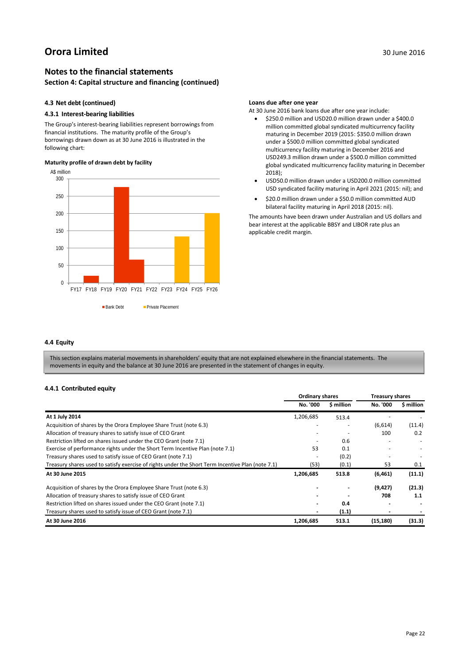### **Notes to the financial statements Section 4: Capital structure and financing (continued)**

#### **4.3 Net debt (continued)**

#### **4.3.1 Interest-bearing liabilities**

The Group's interest-bearing liabilities represent borrowings from financial institutions. The maturity profile of the Group's borrowings drawn down as at 30 June 2016 is illustrated in the following chart:

#### **Maturity profile of drawn debt by facility**



#### **Loans due after one year**

At 30 June 2016 bank loans due after one year include:

- \$250.0 million and USD20.0 million drawn under a \$400.0 million committed global syndicated multicurrency facility maturing in December 2019 (2015: \$350.0 million drawn under a \$500.0 million committed global syndicated multicurrency facility maturing in December 2016 and USD249.3 million drawn under a \$500.0 million committed global syndicated multicurrency facility maturing in December 2018);
- USD50.0 million drawn under a USD200.0 million committed USD syndicated facility maturing in April 2021 (2015: nil); and
- \$20.0 million drawn under a \$50.0 million committed AUD bilateral facility maturing in April 2018 (2015: nil).

The amounts have been drawn under Australian and US dollars and bear interest at the applicable BBSY and LIBOR rate plus an applicable credit margin.

### **4.4 Equity**

This section explains material movements in shareholders' equity that are not explained elsewhere in the financial statements. The movements in equity and the balance at 30 June 2016 are presented in the statement of changes in equity.

#### **4.4.1 Contributed equity**

|                                                                                                   | <b>Ordinary shares</b> |            | <b>Treasury shares</b> |            |
|---------------------------------------------------------------------------------------------------|------------------------|------------|------------------------|------------|
|                                                                                                   | No. '000               | \$ million | No. '000               | \$ million |
| At 1 July 2014                                                                                    | 1,206,685              | 513.4      |                        |            |
| Acquisition of shares by the Orora Employee Share Trust (note 6.3)                                |                        |            | (6,614)                | (11.4)     |
| Allocation of treasury shares to satisfy issue of CEO Grant                                       |                        |            | 100                    | 0.2        |
| Restriction lifted on shares issued under the CEO Grant (note 7.1)                                |                        | 0.6        |                        |            |
| Exercise of performance rights under the Short Term Incentive Plan (note 7.1)                     | 53                     | 0.1        |                        |            |
| Treasury shares used to satisfy issue of CEO Grant (note 7.1)                                     |                        | (0.2)      |                        |            |
| Treasury shares used to satisfy exercise of rights under the Short Term Incentive Plan (note 7.1) | (53)                   | (0.1)      | 53                     | 0.1        |
| At 30 June 2015                                                                                   | 1,206,685              | 513.8      | (6, 461)               | (11.1)     |
| Acquisition of shares by the Orora Employee Share Trust (note 6.3)                                |                        |            | (9, 427)               | (21.3)     |
| Allocation of treasury shares to satisfy issue of CEO Grant                                       |                        |            | 708                    | 1.1        |
| Restriction lifted on shares issued under the CEO Grant (note 7.1)                                |                        | 0.4        |                        |            |
| Treasury shares used to satisfy issue of CEO Grant (note 7.1)                                     |                        | (1.1)      |                        |            |
| At 30 June 2016                                                                                   | 1,206,685              | 513.1      | (15, 180)              | (31.3)     |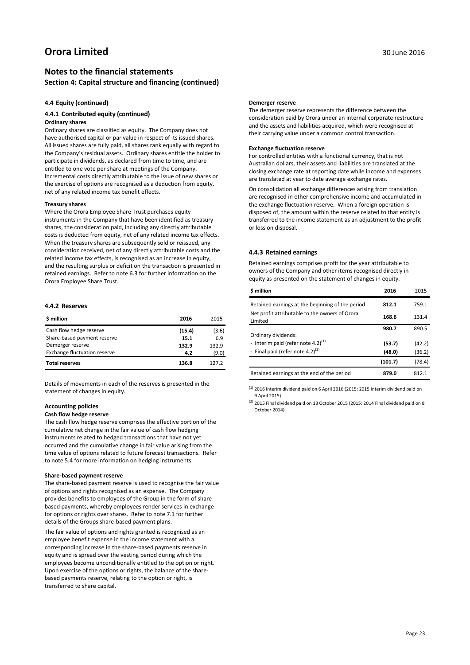#### **Notes to the financial statements Section 4: Capital structure and financing (continued)**

#### **4.4 Equity (continued)**

#### **4.4.1 Contributed equity (continued)**

#### **Ordinary shares**

Ordinary shares are classified as equity. The Company does not have authorised capital or par value in respect of its issued shares. All issued shares are fully paid, all shares rank equally with regard to the Company's residual assets. Ordinary shares entitle the holder to participate in dividends, as declared from time to time, and are entitled to one vote per share at meetings of the Company. Incremental costs directly attributable to the issue of new shares or the exercise of options are recognised as a deduction from equity, net of any related income tax benefit effects.

#### **Treasury shares**

Where the Orora Employee Share Trust purchases equity instruments in the Company that have been identified as treasury shares, the consideration paid, including any directly attributable costs is deducted from equity, net of any related income tax effects. When the treasury shares are subsequently sold or reissued, any consideration received, net of any directly attributable costs and the related income tax effects, is recognised as an increase in equity, and the resulting surplus or deficit on the transaction is presented in retained earnings. Refer to note 6.3 for further information on the Orora Employee Share Trust.

#### **4.4.2 Reserves**

| \$ million                          | 2016   | 2015  |
|-------------------------------------|--------|-------|
| Cash flow hedge reserve             | (15.4) | (3.6) |
| Share-based payment reserve         | 15.1   | 6.9   |
| Demerger reserve                    | 132.9  | 132.9 |
| <b>Exchange fluctuation reserve</b> | 4.2    | (9.0) |
| <b>Total reserves</b>               | 136.8  | 127.2 |

Details of movements in each of the reserves is presented in the statement of changes in equity.

#### **Accounting policies**

#### **Cash flow hedge reserve**

The cash flow hedge reserve comprises the effective portion of the cumulative net change in the fair value of cash flow hedging instruments related to hedged transactions that have not yet occurred and the cumulative change in fair value arising from the time value of options related to future forecast transactions. Refer to note 5.4 for more information on hedging instruments.

#### **Share-based payment reserve**

The share-based payment reserve is used to recognise the fair value of options and rights recognised as an expense. The Company provides benefits to employees of the Group in the form of sharebased payments, whereby employees render services in exchange for options or rights over shares. Refer to note 7.1 for further details of the Groups share-based payment plans.

The fair value of options and rights granted is recognised as an employee benefit expense in the income statement with a corresponding increase in the share-based payments reserve in equity and is spread over the vesting period during which the employees become unconditionally entitled to the option or right. Upon exercise of the options or rights, the balance of the sharebased payments reserve, relating to the option or right, is transferred to share capital.

#### **Demerger reserve**

The demerger reserve represents the difference between the consideration paid by Orora under an internal corporate restructure and the assets and liabilities acquired, which were recognised at their carrying value under a common control transaction.

#### **Exchange fluctuation reserve**

For controlled entities with a functional currency, that is not Australian dollars, their assets and liabilities are translated at the closing exchange rate at reporting date while income and expenses are translated at year to date average exchange rates.

On consolidation all exchange differences arising from translation are recognised in other comprehensive income and accumulated in the exchange fluctuation reserve. When a foreign operation is disposed of, the amount within the reserve related to that entity is transferred to the income statement as an adjustment to the profit or loss on disposal.

#### **4.4.3 Retained earnings**

Retained earnings comprises profit for the year attributable to owners of the Company and other items recognised directly in equity as presented on the statement of changes in equity.

| \$ million                                                | 2016    | 2015   |
|-----------------------------------------------------------|---------|--------|
| Retained earnings at the beginning of the period          | 812.1   | 759.1  |
| Net profit attributable to the owners of Orora<br>Limited | 168.6   | 131.4  |
|                                                           | 980.7   | 890.5  |
| Ordinary dividends:                                       |         |        |
| - Interim paid (refer note 4.2) $(1)$                     | (53.7)  | (42.2) |
| - Final paid (refer note 4.2) $(2)$                       | (48.0)  | (36.2) |
|                                                           | (101.7) | (78.4) |
| Retained earnings at the end of the period                | 879.0   | 8121   |

(1) 2016 Interim dividend paid on 6 April 2016 (2015: 2015 Interim dividend paid on 9 April 2015)

 $<sup>(2)</sup>$  2015 Final dividend paid on 13 October 2015 (2015: 2014 Final dividend paid on 8</sup> October 2014)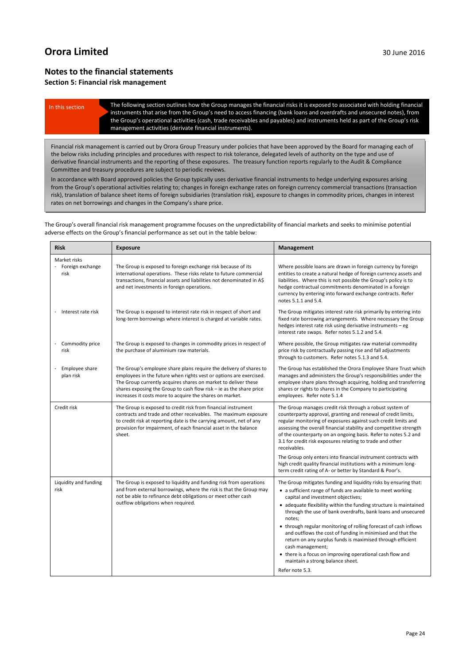### **Notes to the financial statements**

**Section 5: Financial risk management**

#### In this section The following section outlines how the Group manages the financial risks it is exposed to associated with holding financial instruments that arise from the Group's need to access financing (bank loans and overdrafts and unsecured notes), from the Group's operational activities (cash, trade receivables and payables) and instruments held as part of the Group's risk management activities (derivate financial instruments).

Financial risk management is carried out by Orora Group Treasury under policies that have been approved by the Board for managing each of the below risks including principles and procedures with respect to risk tolerance, delegated levels of authority on the type and use of derivative financial instruments and the reporting of these exposures. The treasury function reports regularly to the Audit & Compliance Committee and treasury procedures are subject to periodic reviews.

In accordance with Board approved policies the Group typically uses derivative financial instruments to hedge underlying exposures arising from the Group's operational activities relating to; changes in foreign exchange rates on foreign currency commercial transactions (transaction risk), translation of balance sheet items of foreign subsidiaries (translation risk), exposure to changes in commodity prices, changes in interest rates on net borrowings and changes in the Company's share price.

The Group's overall financial risk management programme focuses on the unpredictability of financial markets and seeks to minimise potential adverse effects on the Group's financial performance as set out in the table below:

| <b>Risk</b>                              | <b>Exposure</b>                                                                                                                                                                                                                                                                                                                               | Management                                                                                                                                                                                                                                                                                                                                                                                                                                                                                                                                                                                                                                                    |
|------------------------------------------|-----------------------------------------------------------------------------------------------------------------------------------------------------------------------------------------------------------------------------------------------------------------------------------------------------------------------------------------------|---------------------------------------------------------------------------------------------------------------------------------------------------------------------------------------------------------------------------------------------------------------------------------------------------------------------------------------------------------------------------------------------------------------------------------------------------------------------------------------------------------------------------------------------------------------------------------------------------------------------------------------------------------------|
| Market risks<br>Foreign exchange<br>risk | The Group is exposed to foreign exchange risk because of its<br>international operations. These risks relate to future commercial<br>transactions, financial assets and liabilities not denominated in A\$<br>and net investments in foreign operations.                                                                                      | Where possible loans are drawn in foreign currency by foreign<br>entities to create a natural hedge of foreign currency assets and<br>liabilities. Where this is not possible the Group's policy is to<br>hedge contractual commitments denominated in a foreign<br>currency by entering into forward exchange contracts. Refer<br>notes 5.1.1 and 5.4.                                                                                                                                                                                                                                                                                                       |
| Interest rate risk                       | The Group is exposed to interest rate risk in respect of short and<br>long-term borrowings where interest is charged at variable rates.                                                                                                                                                                                                       | The Group mitigates interest rate risk primarily by entering into<br>fixed rate borrowing arrangements. Where necessary the Group<br>hedges interest rate risk using derivative instruments - eg<br>interest rate swaps. Refer notes 5.1.2 and 5.4.                                                                                                                                                                                                                                                                                                                                                                                                           |
| Commodity price<br>risk                  | The Group is exposed to changes in commodity prices in respect of<br>the purchase of aluminium raw materials.                                                                                                                                                                                                                                 | Where possible, the Group mitigates raw material commodity<br>price risk by contractually passing rise and fall adjustments<br>through to customers. Refer notes 5.1.3 and 5.4.                                                                                                                                                                                                                                                                                                                                                                                                                                                                               |
| Employee share<br>plan risk              | The Group's employee share plans require the delivery of shares to<br>employees in the future when rights vest or options are exercised.<br>The Group currently acquires shares on market to deliver these<br>shares exposing the Group to cash flow risk - ie as the share price<br>increases it costs more to acquire the shares on market. | The Group has established the Orora Employee Share Trust which<br>manages and administers the Group's responsibilities under the<br>employee share plans through acquiring, holding and transferring<br>shares or rights to shares in the Company to participating<br>employees. Refer note 5.1.4                                                                                                                                                                                                                                                                                                                                                             |
| Credit risk                              | The Group is exposed to credit risk from financial instrument<br>contracts and trade and other receivables. The maximum exposure<br>to credit risk at reporting date is the carrying amount, net of any<br>provision for impairment, of each financial asset in the balance<br>sheet.                                                         | The Group manages credit risk through a robust system of<br>counterparty approval, granting and renewal of credit limits,<br>regular monitoring of exposures against such credit limits and<br>assessing the overall financial stability and competitive strength<br>of the counterparty on an ongoing basis. Refer to notes 5.2 and<br>3.1 for credit risk exposures relating to trade and other<br>receivables.<br>The Group only enters into financial instrument contracts with                                                                                                                                                                           |
|                                          |                                                                                                                                                                                                                                                                                                                                               | high credit quality financial institutions with a minimum long-<br>term credit rating of A- or better by Standard & Poor's.                                                                                                                                                                                                                                                                                                                                                                                                                                                                                                                                   |
| Liquidity and funding<br>risk            | The Group is exposed to liquidity and funding risk from operations<br>and from external borrowings, where the risk is that the Group may<br>not be able to refinance debt obligations or meet other cash<br>outflow obligations when required.                                                                                                | The Group mitigates funding and liquidity risks by ensuring that:<br>• a sufficient range of funds are available to meet working<br>capital and investment objectives;<br>• adequate flexibility within the funding structure is maintained<br>through the use of bank overdrafts, bank loans and unsecured<br>notes:<br>• through regular monitoring of rolling forecast of cash inflows<br>and outflows the cost of funding in minimised and that the<br>return on any surplus funds is maximised through efficient<br>cash management;<br>• there is a focus on improving operational cash flow and<br>maintain a strong balance sheet.<br>Refer note 5.3. |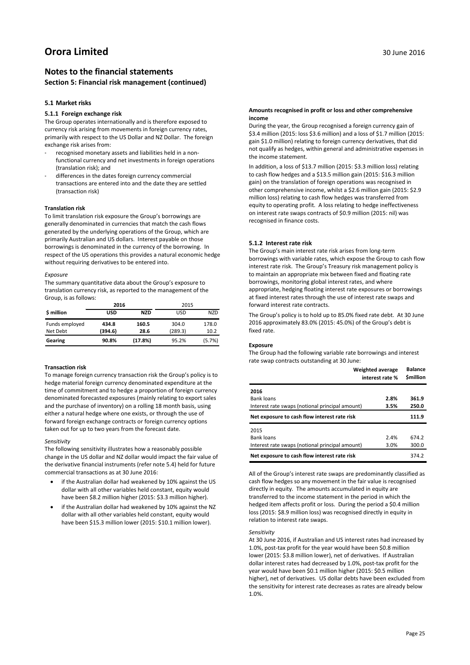#### **Notes to the financial statements Section 5: Financial risk management (continued)**

#### **5.1 Market risks**

#### **5.1.1 Foreign exchange risk**

The Group operates internationally and is therefore exposed to currency risk arising from movements in foreign currency rates, primarily with respect to the US Dollar and NZ Dollar. The foreign exchange risk arises from:

- recognised monetary assets and liabilities held in a nonfunctional currency and net investments in foreign operations (translation risk); and
- differences in the dates foreign currency commercial transactions are entered into and the date they are settled (transaction risk)

#### **Translation risk**

To limit translation risk exposure the Group's borrowings are generally denominated in currencies that match the cash flows generated by the underlying operations of the Group, which are primarily Australian and US dollars. Interest payable on those borrowings is denominated in the currency of the borrowing. In respect of the US operations this provides a natural economic hedge without requiring derivatives to be entered into.

#### *Exposure*

The summary quantitative data about the Group's exposure to translation currency risk, as reported to the management of the Group, is as follows:

|                | 2016       |         | 2015       |            |
|----------------|------------|---------|------------|------------|
| \$ million     | <b>USD</b> | NZD     | <b>USD</b> | <b>NZD</b> |
| Funds employed | 434.8      | 160.5   | 304.0      | 178.0      |
| Net Debt       | (394.6)    | 28.6    | (289.3)    | 10.2       |
| Gearing        | 90.8%      | (17.8%) | 95.2%      | (5.7%)     |

#### **Transaction risk**

To manage foreign currency transaction risk the Group's policy is to hedge material foreign currency denominated expenditure at the time of commitment and to hedge a proportion of foreign currency denominated forecasted exposures (mainly relating to export sales and the purchase of inventory) on a rolling 18 month basis, using either a natural hedge where one exists, or through the use of forward foreign exchange contracts or foreign currency options taken out for up to two years from the forecast date.

#### *Sensitivity*

The following sensitivity illustrates how a reasonably possible change in the US dollar and NZ dollar would impact the fair value of the derivative financial instruments (refer note 5.4) held for future commercial transactions as at 30 June 2016:

- if the Australian dollar had weakened by 10% against the US dollar with all other variables held constant, equity would have been \$8.2 million higher (2015: \$3.3 million higher).
- if the Australian dollar had weakened by 10% against the NZ dollar with all other variables held constant, equity would have been \$15.3 million lower (2015: \$10.1 million lower).

#### **Amounts recognised in profit or loss and other comprehensive income**

During the year, the Group recognised a foreign currency gain of \$3.4 million (2015: loss \$3.6 million) and a loss of \$1.7 million (2015: gain \$1.0 million) relating to foreign currency derivatives, that did not qualify as hedges, within general and administrative expenses in the income statement.

In addition, a loss of \$13.7 million (2015: \$3.3 million loss) relating to cash flow hedges and a \$13.5 million gain (2015: \$16.3 million gain) on the translation of foreign operations was recognised in other comprehensive income, whilst a \$2.6 million gain (2015: \$2.9 million loss) relating to cash flow hedges was transferred from equity to operating profit. A loss relating to hedge ineffectiveness on interest rate swaps contracts of \$0.9 million (2015: nil) was recognised in finance costs.

#### **5.1.2 Interest rate risk**

The Group's main interest rate risk arises from long-term borrowings with variable rates, which expose the Group to cash flow interest rate risk. The Group's Treasury risk management policy is to maintain an appropriate mix between fixed and floating rate borrowings, monitoring global interest rates, and where appropriate, hedging floating interest rate exposures or borrowings at fixed interest rates through the use of interest rate swaps and forward interest rate contracts.

The Group's policy is to hold up to 85.0% fixed rate debt. At 30 June 2016 approximately 83.0% (2015: 45.0%) of the Group's debt is fixed rate.

#### **Exposure**

The Group had the following variable rate borrowings and interest rate swap contracts outstanding at 30 June:

|                                                 | <b>Weighted average</b><br>interest rate % | <b>Balance</b><br><b>Smillion</b> |
|-------------------------------------------------|--------------------------------------------|-----------------------------------|
| 2016                                            |                                            |                                   |
| <b>Bank loans</b>                               | 2.8%                                       | 361.9                             |
| Interest rate swaps (notional principal amount) | 3.5%                                       | 250.0                             |
| Net exposure to cash flow interest rate risk    |                                            | 111.9                             |
| 2015                                            |                                            |                                   |
| <b>Bank loans</b>                               | 2.4%                                       | 674.2                             |
| Interest rate swaps (notional principal amount) | 3.0%                                       | 300.0                             |
| Net exposure to cash flow interest rate risk    |                                            | 374.2                             |

All of the Group's interest rate swaps are predominantly classified as cash flow hedges so any movement in the fair value is recognised directly in equity. The amounts accumulated in equity are transferred to the income statement in the period in which the hedged item affects profit or loss. During the period a \$0.4 million loss (2015: \$8.9 million loss) was recognised directly in equity in relation to interest rate swaps.

#### *Sensitivity*

At 30 June 2016, if Australian and US interest rates had increased by 1.0%, post-tax profit for the year would have been \$0.8 million lower (2015: \$3.8 million lower), net of derivatives. If Australian dollar interest rates had decreased by 1.0%, post-tax profit for the year would have been \$0.1 million higher (2015: \$0.5 million higher), net of derivatives. US dollar debts have been excluded from the sensitivity for interest rate decreases as rates are already below 1.0%.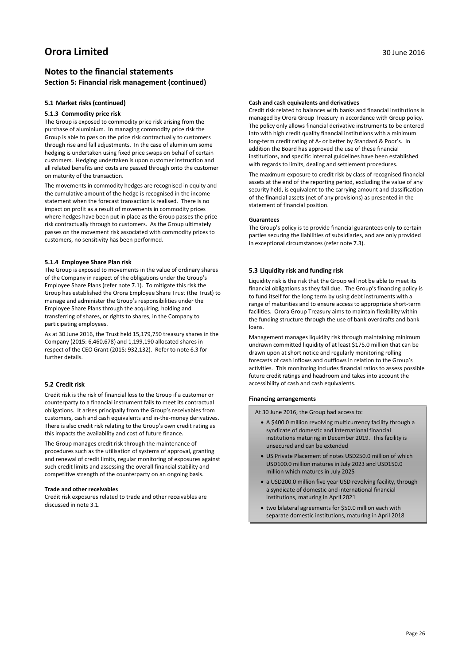### **Notes to the financial statements Section 5: Financial risk management (continued)**

#### **5.1 Market risks (continued)**

#### **5.1.3 Commodity price risk**

The Group is exposed to commodity price risk arising from the purchase of aluminium. In managing commodity price risk the Group is able to pass on the price risk contractually to customers through rise and fall adjustments. In the case of aluminium some hedging is undertaken using fixed price swaps on behalf of certain customers. Hedging undertaken is upon customer instruction and all related benefits and costs are passed through onto the customer on maturity of the transaction.

The movements in commodity hedges are recognised in equity and the cumulative amount of the hedge is recognised in the income statement when the forecast transaction is realised. There is no impact on profit as a result of movements in commodity prices where hedges have been put in place as the Group passes the price risk contractually through to customers. As the Group ultimately passes on the movement risk associated with commodity prices to customers, no sensitivity has been performed.

#### **5.1.4 Employee Share Plan risk**

The Group is exposed to movements in the value of ordinary shares of the Company in respect of the obligations under the Group's Employee Share Plans (refer note 7.1). To mitigate this risk the Group has established the Orora Employee Share Trust (the Trust) to manage and administer the Group's responsibilities under the Employee Share Plans through the acquiring, holding and transferring of shares, or rights to shares, in the Company to participating employees.

As at 30 June 2016, the Trust held 15,179,750 treasury shares in the Company (2015: 6,460,678) and 1,199,190 allocated shares in respect of the CEO Grant (2015: 932,132). Refer to note 6.3 for further details.

#### **5.2 Credit risk**

Credit risk is the risk of financial loss to the Group if a customer or counterparty to a financial instrument fails to meet its contractual obligations. It arises principally from the Group's receivables from customers, cash and cash equivalents and in-the-money derivatives. There is also credit risk relating to the Group's own credit rating as this impacts the availability and cost of future finance.

The Group manages credit risk through the maintenance of procedures such as the utilisation of systems of approval, granting and renewal of credit limits, regular monitoring of exposures against such credit limits and assessing the overall financial stability and competitive strength of the counterparty on an ongoing basis.

#### **Trade and other receivables**

Credit risk exposures related to trade and other receivables are discussed in note 3.1.

#### **Cash and cash equivalents and derivatives**

Credit risk related to balances with banks and financial institutions is managed by Orora Group Treasury in accordance with Group policy. The policy only allows financial derivative instruments to be entered into with high credit quality financial institutions with a minimum long-term credit rating of A- or better by Standard & Poor's. In addition the Board has approved the use of these financial institutions, and specific internal guidelines have been established with regards to limits, dealing and settlement procedures.

The maximum exposure to credit risk by class of recognised financial assets at the end of the reporting period, excluding the value of any security held, is equivalent to the carrying amount and classification of the financial assets (net of any provisions) as presented in the statement of financial position.

#### **Guarantees**

The Group's policy is to provide financial guarantees only to certain parties securing the liabilities of subsidiaries, and are only provided in exceptional circumstances (refer note 7.3).

#### **5.3 Liquidity risk and funding risk**

Liquidity risk is the risk that the Group will not be able to meet its financial obligations as they fall due. The Group's financing policy is to fund itself for the long term by using debt instruments with a range of maturities and to ensure access to appropriate short-term facilities. Orora Group Treasury aims to maintain flexibility within the funding structure through the use of bank overdrafts and bank loans.

Management manages liquidity risk through maintaining minimum undrawn committed liquidity of at least \$175.0 million that can be drawn upon at short notice and regularly monitoring rolling forecasts of cash inflows and outflows in relation to the Group's activities. This monitoring includes financial ratios to assess possible future credit ratings and headroom and takes into account the accessibility of cash and cash equivalents.

#### **Financing arrangements**

At 30 June 2016, the Group had access to:

- A \$400.0 million revolving multicurrency facility through a syndicate of domestic and international financial institutions maturing in December 2019. This facility is unsecured and can be extended
- US Private Placement of notes USD250.0 million of which USD100.0 million matures in July 2023 and USD150.0 million which matures in July 2025
- a USD200.0 million five year USD revolving facility, through a syndicate of domestic and international financial institutions, maturing in April 2021
- two bilateral agreements for \$50.0 million each with separate domestic institutions, maturing in April 2018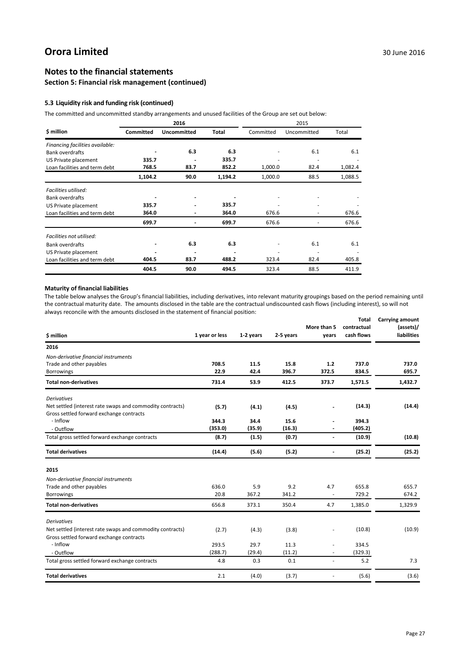### **Notes to the financial statements**

### **Section 5: Financial risk management (continued)**

#### **5.3 Liquidity risk and funding risk (continued)**

The committed and uncommitted standby arrangements and unused facilities of the Group are set out below:

| 2016                            |           |                    |              |           |             |         |
|---------------------------------|-----------|--------------------|--------------|-----------|-------------|---------|
| \$ million                      | Committed | <b>Uncommitted</b> | <b>Total</b> | Committed | Uncommitted | Total   |
| Financing facilities available: |           |                    |              |           |             |         |
| <b>Bank overdrafts</b>          |           | 6.3                | 6.3          |           | 6.1         | 6.1     |
| US Private placement            | 335.7     |                    | 335.7        |           |             |         |
| Loan facilities and term debt   | 768.5     | 83.7               | 852.2        | 1,000.0   | 82.4        | 1,082.4 |
|                                 | 1,104.2   | 90.0               | 1,194.2      | 1,000.0   | 88.5        | 1,088.5 |
| Facilities utilised:            |           |                    |              |           |             |         |
| <b>Bank overdrafts</b>          |           |                    |              |           |             |         |
| US Private placement            | 335.7     |                    | 335.7        |           |             |         |
| Loan facilities and term debt   | 364.0     |                    | 364.0        | 676.6     |             | 676.6   |
|                                 | 699.7     |                    | 699.7        | 676.6     |             | 676.6   |
| Facilities not utilised:        |           |                    |              |           |             |         |
| <b>Bank overdrafts</b>          |           | 6.3                | 6.3          |           | 6.1         | 6.1     |
| US Private placement            |           |                    |              | -         | ٠           |         |
| Loan facilities and term debt   | 404.5     | 83.7               | 488.2        | 323.4     | 82.4        | 405.8   |
|                                 | 404.5     | 90.0               | 494.5        | 323.4     | 88.5        | 411.9   |

#### **Maturity of financial liabilities**

The table below analyses the Group's financial liabilities, including derivatives, into relevant maturity groupings based on the period remaining until the contractual maturity date. The amounts disclosed in the table are the contractual undiscounted cash flows (including interest), so will not always reconcile with the amounts disclosed in the statement of financial position:

|                                                                                                       |                |           |           | More than 5              | Total<br>contractual | Carrying amount          |
|-------------------------------------------------------------------------------------------------------|----------------|-----------|-----------|--------------------------|----------------------|--------------------------|
| \$ million                                                                                            | 1 year or less | 1-2 years | 2-5 years | years                    | cash flows           | (assets)/<br>liabilities |
| 2016                                                                                                  |                |           |           |                          |                      |                          |
| Non-derivative financial instruments                                                                  |                |           |           |                          |                      |                          |
| Trade and other payables                                                                              | 708.5          | 11.5      | 15.8      | $1.2$                    | 737.0                | 737.0                    |
| <b>Borrowings</b>                                                                                     | 22.9           | 42.4      | 396.7     | 372.5                    | 834.5                | 695.7                    |
| <b>Total non-derivatives</b>                                                                          | 731.4          | 53.9      | 412.5     | 373.7                    | 1,571.5              | 1,432.7                  |
| <b>Derivatives</b>                                                                                    |                |           |           |                          |                      |                          |
| Net settled (interest rate swaps and commodity contracts)<br>Gross settled forward exchange contracts | (5.7)          | (4.1)     | (4.5)     |                          | (14.3)               | (14.4)                   |
| - Inflow                                                                                              | 344.3          | 34.4      | 15.6      | $\blacksquare$           | 394.3                |                          |
| - Outflow                                                                                             | (353.0)        | (35.9)    | (16.3)    | $\blacksquare$           | (405.2)              |                          |
| Total gross settled forward exchange contracts                                                        | (8.7)          | (1.5)     | (0.7)     | $\overline{a}$           | (10.9)               | (10.8)                   |
| <b>Total derivatives</b>                                                                              | (14.4)         | (5.6)     | (5.2)     | $\overline{\phantom{a}}$ | (25.2)               | (25.2)                   |
| 2015                                                                                                  |                |           |           |                          |                      |                          |
| Non-derivative financial instruments                                                                  |                |           |           |                          |                      |                          |
| Trade and other payables                                                                              | 636.0          | 5.9       | 9.2       | 4.7                      | 655.8                | 655.7                    |
| <b>Borrowings</b>                                                                                     | 20.8           | 367.2     | 341.2     |                          | 729.2                | 674.2                    |
| <b>Total non-derivatives</b>                                                                          | 656.8          | 373.1     | 350.4     | 4.7                      | 1,385.0              | 1,329.9                  |
| <b>Derivatives</b>                                                                                    |                |           |           |                          |                      |                          |
| Net settled (interest rate swaps and commodity contracts)                                             | (2.7)          | (4.3)     | (3.8)     |                          | (10.8)               | (10.9)                   |
| Gross settled forward exchange contracts                                                              |                |           |           |                          |                      |                          |
| - Inflow                                                                                              | 293.5          | 29.7      | 11.3      |                          | 334.5                |                          |
| - Outflow                                                                                             | (288.7)        | (29.4)    | (11.2)    | $\overline{\phantom{a}}$ | (329.3)              |                          |
| Total gross settled forward exchange contracts                                                        | 4.8            | 0.3       | 0.1       | ×.                       | 5.2                  | 7.3                      |
| <b>Total derivatives</b>                                                                              | 2.1            | (4.0)     | (3.7)     |                          | (5.6)                | (3.6)                    |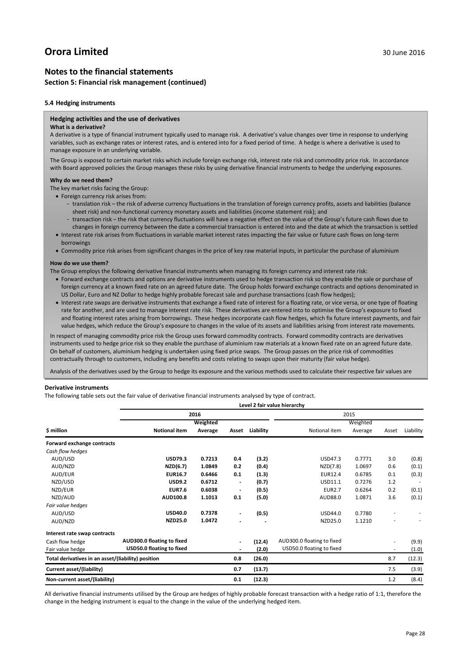### **Notes to the financial statements**

### **Section 5: Financial risk management (continued)**

#### **5.4 Hedging instruments**

#### **Hedging activities and the use of derivatives**

#### **What is a derivative?**

A derivative is a type of financial instrument typically used to manage risk. A derivative's value changes over time in response to underlying variables, such as exchange rates or interest rates, and is entered into for a fixed period of time. A hedge is where a derivative is used to manage exposure in an underlying variable.

The Group is exposed to certain market risks which include foreign exchange risk, interest rate risk and commodity price risk. In accordance with Board approved policies the Group manages these risks by using derivative financial instruments to hedge the underlying exposures.

#### **Why do we need them?**

The key market risks facing the Group:

• Foreign currency risk arises from:

- translation risk the risk of adverse currency fluctuations in the translation of foreign currency profits, assets and liabilities (balance sheet risk) and non-functional currency monetary assets and liabilities (income statement risk); and
- transaction risk the risk that currency fluctuations will have a negative effect on the value of the Group's future cash flows due to changes in foreign currency between the date a commercial transaction is entered into and the date at which the transaction is settled
- Interest rate risk arises from fluctuations in variable market interest rates impacting the fair value or future cash flows on long-term borrowings
- Commodity price risk arises from significant changes in the price of key raw material inputs, in particular the purchase of aluminium

#### **How do we use them?**

The Group employs the following derivative financial instruments when managing its foreign currency and interest rate risk:

- Forward exchange contracts and options are derivative instruments used to hedge transaction risk so they enable the sale or purchase of foreign currency at a known fixed rate on an agreed future date. The Group holds forward exchange contracts and options denominated in US Dollar, Euro and NZ Dollar to hedge highly probable forecast sale and purchase transactions (cash flow hedges);
- Interest rate swaps are derivative instruments that exchange a fixed rate of interest for a floating rate, or vice versa, or one type of floating rate for another, and are used to manage interest rate risk. These derivatives are entered into to optimise the Group's exposure to fixed and floating interest rates arising from borrowings. These hedges incorporate cash flow hedges, which fix future interest payments, and fair value hedges, which reduce the Group's exposure to changes in the value of its assets and liabilities arising from interest rate movements.

In respect of managing commodity price risk the Group uses forward commodity contracts. Forward commodity contracts are derivatives instruments used to hedge price risk so they enable the purchase of aluminium raw materials at a known fixed rate on an agreed future date. On behalf of customers, aluminium hedging is undertaken using fixed price swaps. The Group passes on the price risk of commodities contractually through to customers, including any benefits and costs relating to swaps upon their maturity (fair value hedge).

Analysis of the derivatives used by the Group to hedge its exposure and the various methods used to calculate their respective fair values are

#### **Derivative instruments** j

The following table sets out the fair value of derivative financial instruments analysed by type of contract.

|                                                    |                            | Level 2 fair value hierarchy |                          |           |                            |         |       |           |  |
|----------------------------------------------------|----------------------------|------------------------------|--------------------------|-----------|----------------------------|---------|-------|-----------|--|
|                                                    |                            | 2016                         |                          |           | 2015                       |         |       |           |  |
|                                                    |                            | Weighted                     |                          |           | Weighted                   |         |       |           |  |
| \$ million                                         | <b>Notional item</b>       | Average                      | Asset                    | Liability | Notional item              | Average | Asset | Liability |  |
| Forward exchange contracts                         |                            |                              |                          |           |                            |         |       |           |  |
| Cash flow hedges                                   |                            |                              |                          |           |                            |         |       |           |  |
| AUD/USD                                            | <b>USD79.3</b>             | 0.7213                       | 0.4                      | (3.2)     | USD47.3                    | 0.7771  | 3.0   | (0.8)     |  |
| AUD/NZD                                            | NZD(6.7)                   | 1.0849                       | 0.2                      | (0.4)     | NZD(7.8)                   | 1.0697  | 0.6   | (0.1)     |  |
| AUD/EUR                                            | <b>EUR16.7</b>             | 0.6466                       | 0.1                      | (1.3)     | EUR12.4                    | 0.6785  | 0.1   | (0.3)     |  |
| NZD/USD                                            | <b>USD9.2</b>              | 0.6712                       | $\overline{\phantom{a}}$ | (0.7)     | USD11.1                    | 0.7276  | 1.2   |           |  |
| NZD/EUR                                            | <b>EUR7.6</b>              | 0.6038                       |                          | (0.5)     | <b>EUR2.7</b>              | 0.6264  | 0.2   | (0.1)     |  |
| NZD/AUD                                            | AUD100.8                   | 1.1013                       | 0.1                      | (5.0)     | AUD88.0                    | 1.0871  | 3.6   | (0.1)     |  |
| Fair value hedges                                  |                            |                              |                          |           |                            |         |       |           |  |
| AUD/USD                                            | <b>USD40.0</b>             | 0.7378                       | $\overline{\phantom{a}}$ | (0.5)     | USD44.0                    | 0.7780  |       |           |  |
| AUD/NZD                                            | NZD25.0                    | 1.0472                       | $\blacksquare$           |           | NZD25.0                    | 1.1210  |       |           |  |
| Interest rate swap contracts                       |                            |                              |                          |           |                            |         |       |           |  |
| Cash flow hedge                                    | AUD300.0 floating to fixed |                              | $\overline{\phantom{a}}$ | (12.4)    | AUD300.0 floating to fixed |         |       | (9.9)     |  |
| Fair value hedge                                   | USD50.0 floating to fixed  |                              | $\overline{\phantom{a}}$ | (2.0)     | USD50.0 floating to fixed  |         | ٠     | (1.0)     |  |
| Total derivatives in an asset/(liability) position |                            |                              | 0.8                      | (26.0)    |                            |         | 8.7   | (12.3)    |  |
| Current asset/(liability)                          |                            |                              | 0.7                      | (13.7)    |                            |         | 7.5   | (3.9)     |  |
| Non-current asset/(liability)                      |                            |                              | 0.1                      | (12.3)    |                            |         | 1.2   | (8.4)     |  |

All derivative financial instruments utilised by the Group are hedges of highly probable forecast transaction with a hedge ratio of 1:1, therefore the change in the hedging instrument is equal to the change in the value of the underlying hedged item.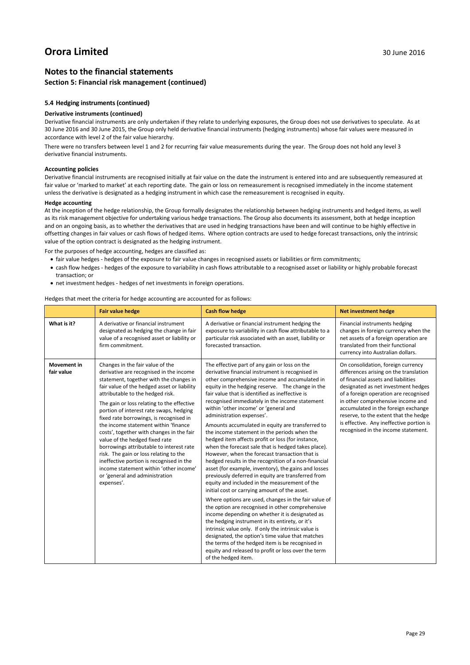### **Notes to the financial statements**

### **Section 5: Financial risk management (continued)**

#### **5.4 Hedging instruments (continued)**

#### **Derivative instruments (continued)**

Derivative financial instruments are only undertaken if they relate to underlying exposures, the Group does not use derivatives to speculate. As at 30 June 2016 and 30 June 2015, the Group only held derivative financial instruments (hedging instruments) whose fair values were measured in accordance with level 2 of the fair value hierarchy.

There were no transfers between level 1 and 2 for recurring fair value measurements during the year. The Group does not hold any level 3 derivative financial instruments.

#### **Accounting policies**

Derivative financial instruments are recognised initially at fair value on the date the instrument is entered into and are subsequently remeasured at fair value or 'marked to market' at each reporting date. The gain or loss on remeasurement is recognised immediately in the income statement unless the derivative is designated as a hedging instrument in which case the remeasurement is recognised in equity.

#### **Hedge accounting**

At the inception of the hedge relationship, the Group formally designates the relationship between hedging instruments and hedged items, as well as its risk management objective for undertaking various hedge transactions. The Group also documents its assessment, both at hedge inception and on an ongoing basis, as to whether the derivatives that are used in hedging transactions have been and will continue to be highly effective in offsetting changes in fair values or cash flows of hedged items. Where option contracts are used to hedge forecast transactions, only the intrinsic value of the option contract is designated as the hedging instrument.

For the purposes of hedge accounting, hedges are classified as:

- fair value hedges hedges of the exposure to fair value changes in recognised assets or liabilities or firm commitments;
- cash flow hedges hedges of the exposure to variability in cash flows attributable to a recognised asset or liability or highly probable forecast transaction; or
- net investment hedges hedges of net investments in foreign operations.

Hedges that meet the criteria for hedge accounting are accounted for as follows:

|                                  | <b>Fair value hedge</b>                                                                                                                                                                                                                                                                                                                                                                                                                                                                                                                                                                                                                                                                          | <b>Cash flow hedge</b>                                                                                                                                                                                                                                                                                                                                                                                                                                                                                                                                                                                                                                                                                                                                                                                                                                                                                                                                                                                                                                                                                                                                                                                                                                                                                                                                                                      | <b>Net investment hedge</b>                                                                                                                                                                                                                                                                                                                                                                                 |
|----------------------------------|--------------------------------------------------------------------------------------------------------------------------------------------------------------------------------------------------------------------------------------------------------------------------------------------------------------------------------------------------------------------------------------------------------------------------------------------------------------------------------------------------------------------------------------------------------------------------------------------------------------------------------------------------------------------------------------------------|---------------------------------------------------------------------------------------------------------------------------------------------------------------------------------------------------------------------------------------------------------------------------------------------------------------------------------------------------------------------------------------------------------------------------------------------------------------------------------------------------------------------------------------------------------------------------------------------------------------------------------------------------------------------------------------------------------------------------------------------------------------------------------------------------------------------------------------------------------------------------------------------------------------------------------------------------------------------------------------------------------------------------------------------------------------------------------------------------------------------------------------------------------------------------------------------------------------------------------------------------------------------------------------------------------------------------------------------------------------------------------------------|-------------------------------------------------------------------------------------------------------------------------------------------------------------------------------------------------------------------------------------------------------------------------------------------------------------------------------------------------------------------------------------------------------------|
| What is it?                      | A derivative or financial instrument<br>designated as hedging the change in fair<br>value of a recognised asset or liability or<br>firm commitment.                                                                                                                                                                                                                                                                                                                                                                                                                                                                                                                                              | A derivative or financial instrument hedging the<br>exposure to variability in cash flow attributable to a<br>particular risk associated with an asset, liability or<br>forecasted transaction.                                                                                                                                                                                                                                                                                                                                                                                                                                                                                                                                                                                                                                                                                                                                                                                                                                                                                                                                                                                                                                                                                                                                                                                             | Financial instruments hedging<br>changes in foreign currency when the<br>net assets of a foreign operation are<br>translated from their functional<br>currency into Australian dollars.                                                                                                                                                                                                                     |
| <b>Movement</b> in<br>fair value | Changes in the fair value of the<br>derivative are recognised in the income<br>statement, together with the changes in<br>fair value of the hedged asset or liability<br>attributable to the hedged risk.<br>The gain or loss relating to the effective<br>portion of interest rate swaps, hedging<br>fixed rate borrowings, is recognised in<br>the income statement within 'finance<br>costs', together with changes in the fair<br>value of the hedged fixed rate<br>borrowings attributable to interest rate<br>risk. The gain or loss relating to the<br>ineffective portion is recognised in the<br>income statement within 'other income'<br>or 'general and administration<br>expenses'. | The effective part of any gain or loss on the<br>derivative financial instrument is recognised in<br>other comprehensive income and accumulated in<br>equity in the hedging reserve. The change in the<br>fair value that is identified as ineffective is<br>recognised immediately in the income statement<br>within 'other income' or 'general and<br>administration expenses'.<br>Amounts accumulated in equity are transferred to<br>the income statement in the periods when the<br>hedged item affects profit or loss (for instance,<br>when the forecast sale that is hedged takes place).<br>However, when the forecast transaction that is<br>hedged results in the recognition of a non-financial<br>asset (for example, inventory), the gains and losses<br>previously deferred in equity are transferred from<br>equity and included in the measurement of the<br>initial cost or carrying amount of the asset.<br>Where options are used, changes in the fair value of<br>the option are recognised in other comprehensive<br>income depending on whether it is designated as<br>the hedging instrument in its entirety, or it's<br>intrinsic value only. If only the intrinsic value is<br>designated, the option's time value that matches<br>the terms of the hedged item is be recognised in<br>equity and released to profit or loss over the term<br>of the hedged item. | On consolidation, foreign currency<br>differences arising on the translation<br>of financial assets and liabilities<br>designated as net investment hedges<br>of a foreign operation are recognised<br>in other comprehensive income and<br>accumulated in the foreign exchange<br>reserve, to the extent that the hedge<br>is effective. Any ineffective portion is<br>recognised in the income statement. |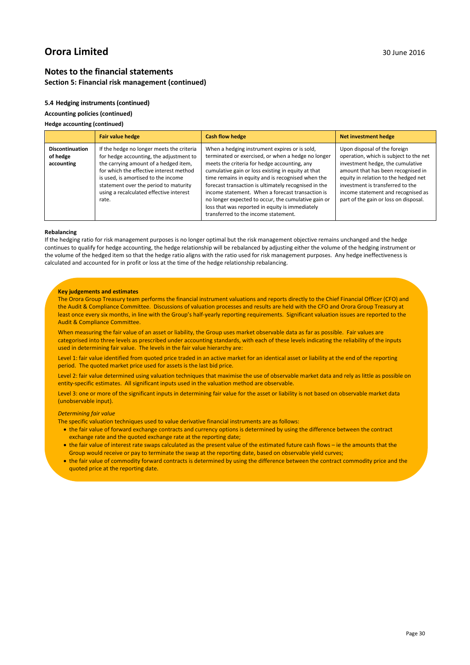### **Notes to the financial statements**

### **Section 5: Financial risk management (continued)**

#### **5.4 Hedging instruments (continued)**

#### **Accounting policies (continued)**

#### **Hedge accounting (continued)**

|                                                  | <b>Fair value hedge</b>                                                                                                                                                                                                                                                                                      | <b>Cash flow hedge</b>                                                                                                                                                                                                                                                                                                                                                                                                                                                                                                       | <b>Net investment hedge</b>                                                                                                                                                                                                                                                                                 |
|--------------------------------------------------|--------------------------------------------------------------------------------------------------------------------------------------------------------------------------------------------------------------------------------------------------------------------------------------------------------------|------------------------------------------------------------------------------------------------------------------------------------------------------------------------------------------------------------------------------------------------------------------------------------------------------------------------------------------------------------------------------------------------------------------------------------------------------------------------------------------------------------------------------|-------------------------------------------------------------------------------------------------------------------------------------------------------------------------------------------------------------------------------------------------------------------------------------------------------------|
| <b>Discontinuation</b><br>of hedge<br>accounting | If the hedge no longer meets the criteria<br>for hedge accounting, the adjustment to<br>the carrying amount of a hedged item,<br>for which the effective interest method<br>is used, is amortised to the income<br>statement over the period to maturity<br>using a recalculated effective interest<br>rate. | When a hedging instrument expires or is sold,<br>terminated or exercised, or when a hedge no longer<br>meets the criteria for hedge accounting, any<br>cumulative gain or loss existing in equity at that<br>time remains in equity and is recognised when the<br>forecast transaction is ultimately recognised in the<br>income statement. When a forecast transaction is<br>no longer expected to occur, the cumulative gain or<br>loss that was reported in equity is immediately<br>transferred to the income statement. | Upon disposal of the foreign<br>operation, which is subject to the net<br>investment hedge, the cumulative<br>amount that has been recognised in<br>equity in relation to the hedged net<br>investment is transferred to the<br>income statement and recognised as<br>part of the gain or loss on disposal. |

#### **Rebalancing**

If the hedging ratio for risk management purposes is no longer optimal but the risk management objective remains unchanged and the hedge continues to qualify for hedge accounting, the hedge relationship will be rebalanced by adjusting either the volume of the hedging instrument or the volume of the hedged item so that the hedge ratio aligns with the ratio used for risk management purposes. Any hedge ineffectiveness is calculated and accounted for in profit or loss at the time of the hedge relationship rebalancing.

#### **Key judgements and estimates**

The Orora Group Treasury team performs the financial instrument valuations and reports directly to the Chief Financial Officer (CFO) and the Audit & Compliance Committee. Discussions of valuation processes and results are held with the CFO and Orora Group Treasury at least once every six months, in line with the Group's half-yearly reporting requirements. Significant valuation issues are reported to the Audit & Compliance Committee.

When measuring the fair value of an asset or liability, the Group uses market observable data as far as possible. Fair values are categorised into three levels as prescribed under accounting standards, with each of these levels indicating the reliability of the inputs used in determining fair value. The levels in the fair value hierarchy are:

Level 1: fair value identified from quoted price traded in an active market for an identical asset or liability at the end of the reporting period. The quoted market price used for assets is the last bid price.

Level 2: fair value determined using valuation techniques that maximise the use of observable market data and rely as little as possible on entity-specific estimates. All significant inputs used in the valuation method are observable.

Level 3: one or more of the significant inputs in determining fair value for the asset or liability is not based on observable market data (unobservable input).

#### *Determining fair value*

The specific valuation techniques used to value derivative financial instruments are as follows:

- the fair value of forward exchange contracts and currency options is determined by using the difference between the contract exchange rate and the quoted exchange rate at the reporting date;
- the fair value of interest rate swaps calculated as the present value of the estimated future cash flows ie the amounts that the Group would receive or pay to terminate the swap at the reporting date, based on observable yield curves;
- the fair value of commodity forward contracts is determined by using the difference between the contract commodity price and the quoted price at the reporting date.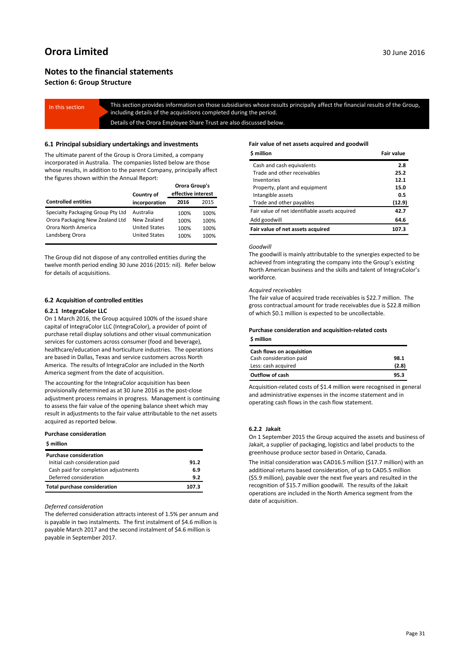### **Notes to the financial statements**

**Section 6: Group Structure**

In this section This section provides information on those subsidiaries whose results principally affect the financial results of the Group, including details of the acquisitions completed during the period.

Details of the Orora Employee Share Trust are also discussed below.

#### **6.1 Principal subsidiary undertakings and investments**

The ultimate parent of the Group is Orora Limited, a company incorporated in Australia. The companies listed below are those whose results, in addition to the parent Company, principally affect the figures shown within the Annual Report:

|                                   |                      | <b>Orora Group's</b> |      |
|-----------------------------------|----------------------|----------------------|------|
|                                   | Country of           | effective interest   |      |
| <b>Controlled entities</b>        | incorporation        | 2016                 | 2015 |
| Specialty Packaging Group Pty Ltd | Australia            | 100%                 | 100% |
| Orora Packaging New Zealand Ltd   | New Zealand          | 100%                 | 100% |
| Orora North America               | <b>United States</b> | 100%                 | 100% |
| Landsberg Orora                   | <b>United States</b> | 100%                 | 100% |

The Group did not dispose of any controlled entities during the twelve month period ending 30 June 2016 (2015: nil). Refer below for details of acquisitions.

#### **6.2 Acquisition of controlled entities**

#### **6.2.1 IntegraColor LLC**

On 1 March 2016, the Group acquired 100% of the issued share capital of IntegraColor LLC (IntegraColor), a provider of point of purchase retail display solutions and other visual communication services for customers across consumer (food and beverage), healthcare/education and horticulture industries. The operations are based in Dallas, Texas and service customers across North America. The results of IntegraColor are included in the North America segment from the date of acquisition.

The accounting for the IntegraColor acquisition has been provisionally determined as at 30 June 2016 as the post-close adjustment process remains in progress. Management is continuing to assess the fair value of the opening balance sheet which may result in adjustments to the fair value attributable to the net assets acquired as reported below.

#### **Purchase consideration**

#### **\$ million Purchase consideration** Initial cash consideration paid **91.2**  Cash paid for completion adjustments **6.9**  Deferred consideration **9.2 Total purchase consideration 107.3**

*Deferred consideration*

The deferred consideration attracts interest of 1.5% per annum and is payable in two instalments. The first instalment of \$4.6 million is payable March 2017 and the second instalment of \$4.6 million is payable in September 2017.

#### **Fair value of net assets acquired and goodwill**

| \$ million                                     | <b>Fair value</b> |
|------------------------------------------------|-------------------|
| Cash and cash equivalents                      | 2.8               |
| Trade and other receivables                    | 25.2              |
| Inventories                                    | 12.1              |
| Property, plant and equipment                  | 15.0              |
| Intangible assets                              | 0.5               |
| Trade and other payables                       | (12.9)            |
| Fair value of net identifiable assets acquired | 42.7              |
| Add goodwill                                   | 64.6              |
| Fair value of net assets acquired              | 107.3             |

#### *Goodwill*

The goodwill is mainly attributable to the synergies expected to be achieved from integrating the company into the Group's existing North American business and the skills and talent of IntegraColor's workforce.

#### *Acquired receivables*

The fair value of acquired trade receivables is \$22.7 million. The gross contractual amount for trade receivables due is \$22.8 million of which \$0.1 million is expected to be uncollectable.

#### **Purchase consideration and acquisition-related costs \$ million**

| Cash flows on acquisition |       |
|---------------------------|-------|
| Cash consideration paid   | 98.1  |
| Less: cash acquired       | (2.8) |
| <b>Outflow of cash</b>    | 95.3  |

Acquisition-related costs of \$1.4 million were recognised in general and administrative expenses in the income statement and in operating cash flows in the cash flow statement.

#### **6.2.2 Jakait**

On 1 September 2015 the Group acquired the assets and business of Jakait, a supplier of packaging, logistics and label products to the greenhouse produce sector based in Ontario, Canada.

The initial consideration was CAD16.5 million (\$17.7 million) with an additional returns based consideration, of up to CAD5.5 million (\$5.9 million), payable over the next five years and resulted in the recognition of \$15.7 million goodwill. The results of the Jakait operations are included in the North America segment from the date of acquisition.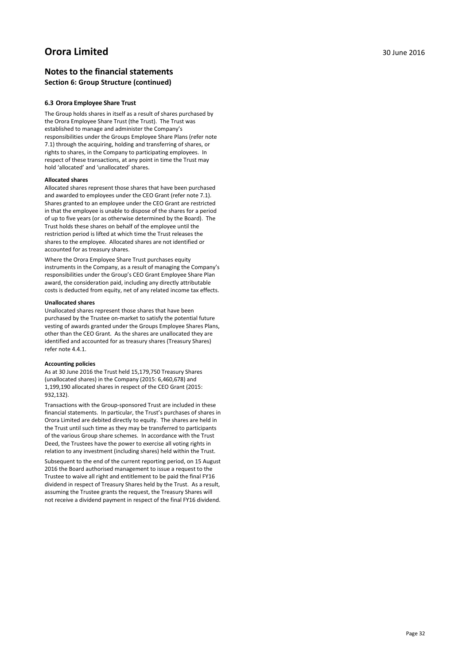### **Notes to the financial statements Section 6: Group Structure (continued)**

#### **6.3 Orora Employee Share Trust**

The Group holds shares in itself as a result of shares purchased by the Orora Employee Share Trust (the Trust). The Trust was established to manage and administer the Company's responsibilities under the Groups Employee Share Plans (refer note 7.1) through the acquiring, holding and transferring of shares, or rights to shares, in the Company to participating employees. In respect of these transactions, at any point in time the Trust may hold 'allocated' and 'unallocated' shares.

#### **Allocated shares**

Allocated shares represent those shares that have been purchased and awarded to employees under the CEO Grant (refer note 7.1). Shares granted to an employee under the CEO Grant are restricted in that the employee is unable to dispose of the shares for a period of up to five years (or as otherwise determined by the Board). The Trust holds these shares on behalf of the employee until the restriction period is lifted at which time the Trust releases the shares to the employee. Allocated shares are not identified or accounted for as treasury shares.

Where the Orora Employee Share Trust purchases equity instruments in the Company, as a result of managing the Company's responsibilities under the Group's CEO Grant Employee Share Plan award, the consideration paid, including any directly attributable costs is deducted from equity, net of any related income tax effects.

#### **Unallocated shares**

Unallocated shares represent those shares that have been purchased by the Trustee on-market to satisfy the potential future vesting of awards granted under the Groups Employee Shares Plans, other than the CEO Grant. As the shares are unallocated they are identified and accounted for as treasury shares (Treasury Shares) refer note 4.4.1.

#### **Accounting policies**

As at 30 June 2016 the Trust held 15,179,750 Treasury Shares (unallocated shares) in the Company (2015: 6,460,678) and 1,199,190 allocated shares in respect of the CEO Grant (2015: 932,132).

Transactions with the Group-sponsored Trust are included in these financial statements. In particular, the Trust's purchases of shares in Orora Limited are debited directly to equity. The shares are held in the Trust until such time as they may be transferred to participants of the various Group share schemes. In accordance with the Trust Deed, the Trustees have the power to exercise all voting rights in relation to any investment (including shares) held within the Trust.

Subsequent to the end of the current reporting period, on 15 August 2016 the Board authorised management to issue a request to the Trustee to waive all right and entitlement to be paid the final FY16 dividend in respect of Treasury Shares held by the Trust. As a result, assuming the Trustee grants the request, the Treasury Shares will not receive a dividend payment in respect of the final FY16 dividend.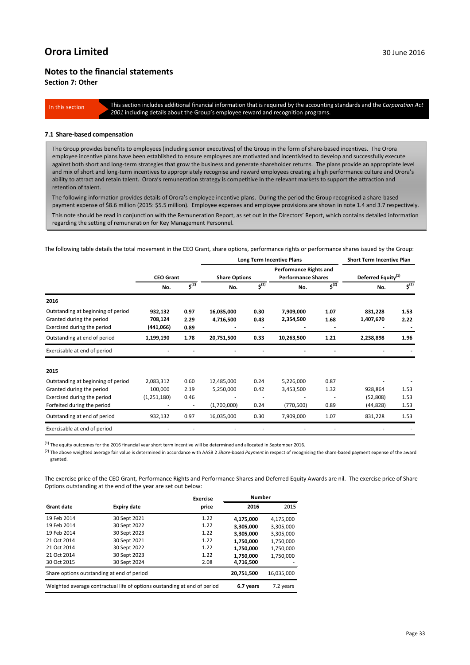### **Notes to the financial statements**

**Section 7: Other**

In this section This section includes additional financial information that is required by the accounting standards and the *Corporation Act 2001* including details about the Group's employee reward and recognition programs.

#### **7.1 Share-based compensation**

The Group provides benefits to employees (including senior executives) of the Group in the form of share-based incentives. The Orora employee incentive plans have been established to ensure employees are motivated and incentivised to develop and successfully execute against both short and long-term strategies that grow the business and generate shareholder returns. The plans provide an appropriate level and mix of short and long-term incentives to appropriately recognise and reward employees creating a high performance culture and Orora's ability to attract and retain talent. Orora's remuneration strategy is competitive in the relevant markets to support the attraction and retention of talent.

The following information provides details of Orora's employee incentive plans. During the period the Group recognised a share-based payment expense of \$8.6 million (2015: \$5.5 million). Employee expenses and employee provisions are shown in note 1.4 and 3.7 respectively. This note should be read in conjunction with the Remuneration Report, as set out in the Directors' Report, which contains detailed information regarding the setting of remuneration for Key Management Personnel.

The following table details the total movement in the CEO Grant, share options, performance rights or performance shares issued by the Group:

|                                    |                  |           |                      |           | Long Term Incentive Plans                                  |           | <b>Short Term Incentive Plan</b> |           |
|------------------------------------|------------------|-----------|----------------------|-----------|------------------------------------------------------------|-----------|----------------------------------|-----------|
|                                    | <b>CEO Grant</b> |           | <b>Share Options</b> |           | <b>Performance Rights and</b><br><b>Performance Shares</b> |           | Deferred Equity <sup>(1)</sup>   |           |
|                                    | No.              | $5^{(2)}$ | No.                  | $5^{(2)}$ | No.                                                        | $5^{(2)}$ | No.                              | $5^{(2)}$ |
| 2016                               |                  |           |                      |           |                                                            |           |                                  |           |
| Outstanding at beginning of period | 932,132          | 0.97      | 16,035,000           | 0.30      | 7,909,000                                                  | 1.07      | 831,228                          | 1.53      |
| Granted during the period          | 708,124          | 2.29      | 4,716,500            | 0.43      | 2,354,500                                                  | 1.68      | 1,407,670                        | 2.22      |
| Exercised during the period        | (441,066)        | 0.89      |                      |           |                                                            |           |                                  |           |
| Outstanding at end of period       | 1,199,190        | 1.78      | 20,751,500           | 0.33      | 10,263,500                                                 | 1.21      | 2,238,898                        | 1.96      |
| Exercisable at end of period       |                  |           |                      |           |                                                            |           |                                  |           |
| 2015                               |                  |           |                      |           |                                                            |           |                                  |           |
| Outstanding at beginning of period | 2,083,312        | 0.60      | 12,485,000           | 0.24      | 5,226,000                                                  | 0.87      |                                  |           |
| Granted during the period          | 100,000          | 2.19      | 5,250,000            | 0.42      | 3,453,500                                                  | 1.32      | 928,864                          | 1.53      |
| Exercised during the period        | (1,251,180)      | 0.46      |                      |           |                                                            |           | (52,808)                         | 1.53      |
| Forfeited during the period        |                  |           | (1,700,000)          | 0.24      | (770, 500)                                                 | 0.89      | (44, 828)                        | 1.53      |
| Outstanding at end of period       | 932,132          | 0.97      | 16,035,000           | 0.30      | 7,909,000                                                  | 1.07      | 831,228                          | 1.53      |
| Exercisable at end of period       |                  |           |                      |           |                                                            |           |                                  |           |

 $<sup>(1)</sup>$  The equity outcomes for the 2016 financial year short term incentive will be determined and allocated in September 2016.</sup>

(2) The above weighted average fair value is determined in accordance with AASB 2 *Share-based Payment* in respect of recognising the share-based payment expense of the award granted.

The exercise price of the CEO Grant, Performance Rights and Performance Shares and Deferred Equity Awards are nil. The exercise price of Share Options outstanding at the end of the year are set out below:

|             |                                                                          | <b>Exercise</b> | <b>Number</b> |            |
|-------------|--------------------------------------------------------------------------|-----------------|---------------|------------|
| Grant date  | <b>Expiry date</b>                                                       | price           | 2016          | 2015       |
| 19 Feb 2014 | 30 Sept 2021                                                             | 1.22            | 4,175,000     | 4,175,000  |
| 19 Feb 2014 | 30 Sept 2022                                                             | 1.22            | 3.305.000     | 3.305.000  |
| 19 Feb 2014 | 30 Sept 2023                                                             | 1.22            | 3.305.000     | 3.305.000  |
| 21 Oct 2014 | 30 Sept 2021                                                             | 1.22            | 1,750,000     | 1,750,000  |
| 21 Oct 2014 | 30 Sept 2022                                                             | 1.22            | 1.750.000     | 1,750,000  |
| 21 Oct 2014 | 30 Sept 2023                                                             | 1.22            | 1,750,000     | 1,750,000  |
| 30 Oct 2015 | 30 Sept 2024                                                             | 2.08            | 4,716,500     |            |
|             | Share options outstanding at end of period                               |                 | 20,751,500    | 16.035.000 |
|             | Weighted average contractual life of options oustanding at end of period |                 | 6.7 years     | 7.2 years  |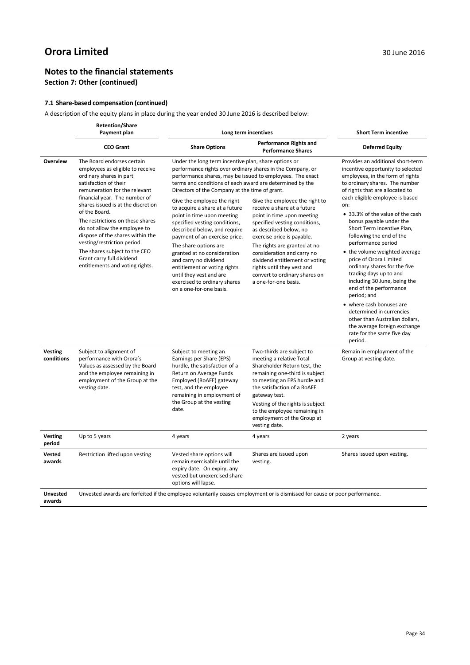### **Notes to the financial statements**

### **Section 7: Other (continued)**

#### **7.1 Share-based compensation (continued)**

A description of the equity plans in place during the year ended 30 June 2016 is described below:

|                              | <b>Retention/Share</b><br>Payment plan                                                                                                                                                                                                                                                                                                                                                                                                                                              | Long term incentives                                                                                                                                                                                                                                                                                                                                                                                                                                                                                                                                                                                                                                                                                  |                                                                                                                                                                                                                                                                                                                                                                             | <b>Short Term incentive</b>                                                                                                                                                                                                                                                                                                                                                                                                                                                                                                                                                                                                                                                                                                               |
|------------------------------|-------------------------------------------------------------------------------------------------------------------------------------------------------------------------------------------------------------------------------------------------------------------------------------------------------------------------------------------------------------------------------------------------------------------------------------------------------------------------------------|-------------------------------------------------------------------------------------------------------------------------------------------------------------------------------------------------------------------------------------------------------------------------------------------------------------------------------------------------------------------------------------------------------------------------------------------------------------------------------------------------------------------------------------------------------------------------------------------------------------------------------------------------------------------------------------------------------|-----------------------------------------------------------------------------------------------------------------------------------------------------------------------------------------------------------------------------------------------------------------------------------------------------------------------------------------------------------------------------|-------------------------------------------------------------------------------------------------------------------------------------------------------------------------------------------------------------------------------------------------------------------------------------------------------------------------------------------------------------------------------------------------------------------------------------------------------------------------------------------------------------------------------------------------------------------------------------------------------------------------------------------------------------------------------------------------------------------------------------------|
|                              | <b>CEO Grant</b>                                                                                                                                                                                                                                                                                                                                                                                                                                                                    | <b>Share Options</b>                                                                                                                                                                                                                                                                                                                                                                                                                                                                                                                                                                                                                                                                                  | <b>Performance Rights and</b><br><b>Performance Shares</b>                                                                                                                                                                                                                                                                                                                  | <b>Deferred Equity</b>                                                                                                                                                                                                                                                                                                                                                                                                                                                                                                                                                                                                                                                                                                                    |
| Overview                     | The Board endorses certain<br>employees as eligible to receive<br>ordinary shares in part<br>satisfaction of their<br>remuneration for the relevant<br>financial year. The number of<br>shares issued is at the discretion<br>of the Board.<br>The restrictions on these shares<br>do not allow the employee to<br>dispose of the shares within the<br>vesting/restriction period.<br>The shares subject to the CEO<br>Grant carry full dividend<br>entitlements and voting rights. | Under the long term incentive plan, share options or<br>performance rights over ordinary shares in the Company, or<br>performance shares, may be issued to employees. The exact<br>terms and conditions of each award are determined by the<br>Directors of the Company at the time of grant.<br>Give the employee the right<br>to acquire a share at a future<br>point in time upon meeting<br>specified vesting conditions,<br>described below, and require<br>payment of an exercise price.<br>The share options are<br>granted at no consideration<br>and carry no dividend<br>entitlement or voting rights<br>until they vest and are<br>exercised to ordinary shares<br>on a one-for-one basis. | Give the employee the right to<br>receive a share at a future<br>point in time upon meeting<br>specified vesting conditions,<br>as described below, no<br>exercise price is payable.<br>The rights are granted at no<br>consideration and carry no<br>dividend entitlement or voting<br>rights until they vest and<br>convert to ordinary shares on<br>a one-for-one basis. | Provides an additional short-term<br>incentive opportunity to selected<br>employees, in the form of rights<br>to ordinary shares. The number<br>of rights that are allocated to<br>each eligible employee is based<br>on:<br>• 33.3% of the value of the cash<br>bonus payable under the<br>Short Term Incentive Plan,<br>following the end of the<br>performance period<br>• the volume weighted average<br>price of Orora Limited<br>ordinary shares for the five<br>trading days up to and<br>including 30 June, being the<br>end of the performance<br>period; and<br>• where cash bonuses are<br>determined in currencies<br>other than Australian dollars,<br>the average foreign exchange<br>rate for the same five day<br>period. |
| <b>Vesting</b><br>conditions | Subject to alignment of<br>performance with Orora's<br>Values as assessed by the Board<br>and the employee remaining in<br>employment of the Group at the<br>vesting date.                                                                                                                                                                                                                                                                                                          | Subject to meeting an<br>Earnings per Share (EPS)<br>hurdle, the satisfaction of a<br>Return on Average Funds<br>Employed (RoAFE) gateway<br>test, and the employee<br>remaining in employment of<br>the Group at the vesting<br>date.                                                                                                                                                                                                                                                                                                                                                                                                                                                                | Two-thirds are subject to<br>meeting a relative Total<br>Shareholder Return test, the<br>remaining one-third is subject<br>to meeting an EPS hurdle and<br>the satisfaction of a RoAFE<br>gateway test.<br>Vesting of the rights is subject<br>to the employee remaining in<br>employment of the Group at<br>vesting date.                                                  | Remain in employment of the<br>Group at vesting date.                                                                                                                                                                                                                                                                                                                                                                                                                                                                                                                                                                                                                                                                                     |
| <b>Vesting</b><br>period     | Up to 5 years                                                                                                                                                                                                                                                                                                                                                                                                                                                                       | 4 years                                                                                                                                                                                                                                                                                                                                                                                                                                                                                                                                                                                                                                                                                               | 4 years                                                                                                                                                                                                                                                                                                                                                                     | 2 years                                                                                                                                                                                                                                                                                                                                                                                                                                                                                                                                                                                                                                                                                                                                   |
| Vested<br>awards             | Restriction lifted upon vesting                                                                                                                                                                                                                                                                                                                                                                                                                                                     | Vested share options will<br>remain exercisable until the<br>expiry date. On expiry, any<br>vested but unexercised share<br>options will lapse.                                                                                                                                                                                                                                                                                                                                                                                                                                                                                                                                                       | Shares are issued upon<br>vesting.                                                                                                                                                                                                                                                                                                                                          | Shares issued upon vesting.                                                                                                                                                                                                                                                                                                                                                                                                                                                                                                                                                                                                                                                                                                               |
| <b>Unvested</b><br>awards    | Unvested awards are forfeited if the employee voluntarily ceases employment or is dismissed for cause or poor performance.                                                                                                                                                                                                                                                                                                                                                          |                                                                                                                                                                                                                                                                                                                                                                                                                                                                                                                                                                                                                                                                                                       |                                                                                                                                                                                                                                                                                                                                                                             |                                                                                                                                                                                                                                                                                                                                                                                                                                                                                                                                                                                                                                                                                                                                           |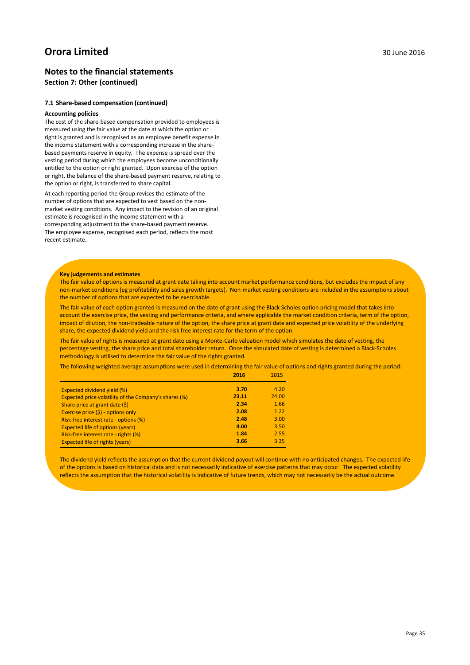## **Notes to the financial statements**

**Section 7: Other (continued)**

#### **7.1 Share-based compensation (continued)**

#### **Accounting policies**

The cost of the share-based compensation provided to employees is measured using the fair value at the date at which the option or right is granted and is recognised as an employee benefit expense in the income statement with a corresponding increase in the sharebased payments reserve in equity. The expense is spread over the vesting period during which the employees become unconditionally entitled to the option or right granted. Upon exercise of the option or right, the balance of the share-based payment reserve, relating to the option or right, is transferred to share capital.

At each reporting period the Group revises the estimate of the number of options that are expected to vest based on the nonmarket vesting conditions. Any impact to the revision of an original estimate is recognised in the income statement with a corresponding adjustment to the share-based payment reserve. The employee expense, recognised each period, reflects the most recent estimate.

#### **Key judgements and estimates**

The fair value of options is measured at grant date taking into account market performance conditions, but excludes the impact of any non-market conditions (eg profitability and sales growth targets). Non-market vesting conditions are included in the assumptions about the number of options that are expected to be exercisable.

The fair value of each option granted is measured on the date of grant using the Black Scholes option pricing model that takes into account the exercise price, the vesting and performance criteria, and where applicable the market condition criteria, term of the option, impact of dilution, the non-tradeable nature of the option, the share price at grant date and expected price volatility of the underlying share, the expected dividend yield and the risk free interest rate for the term of the option.

The fair value of rights is measured at grant date using a Monte-Carlo valuation model which simulates the date of vesting, the percentage vesting, the share price and total shareholder return. Once the simulated date of vesting is determined a Black-Scholes methodology is utilised to determine the fair value of the rights granted.

The following weighted average assumptions were used in determining the fair value of options and rights granted during the period:

|                                                       | 2016  | 2015  |
|-------------------------------------------------------|-------|-------|
| <b>Expected dividend yield (%)</b>                    | 3.70  | 4.20  |
| Expected price volatility of the Company's shares (%) | 23.11 | 24.00 |
| Share price at grant date (\$)                        | 2.34  | 1.66  |
| Exercise price (\$) - options only                    | 2.08  | 1.22  |
| Risk-free interest rate - options (%)                 | 2.48  | 3.00  |
| <b>Expected life of options (years)</b>               | 4.00  | 3.50  |
| Risk-free interest rate - rights (%)                  | 1.84  | 2.55  |
| <b>Expected life of rights (years)</b>                | 3.66  | 3.35  |

The dividend yield reflects the assumption that the current dividend payout will continue with no anticipated changes. The expected life of the options is based on historical data and is not necessarily indicative of exercise patterns that may occur. The expected volatility reflects the assumption that the historical volatility is indicative of future trends, which may not necessarily be the actual outcome.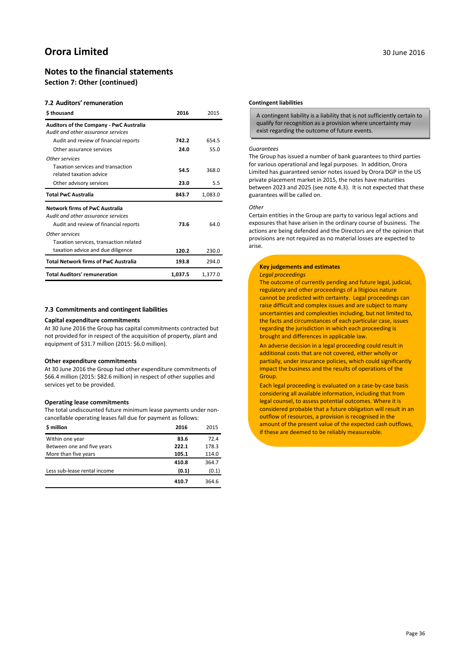#### **Notes to the financial statements Section 7: Other (continued)**

#### **7.2 Auditors' remuneration**

| <b>S</b> thousand                              | 2016    | 2015    |
|------------------------------------------------|---------|---------|
| <b>Auditors of the Company - PwC Australia</b> |         |         |
| Audit and other assurance services             |         |         |
| Audit and review of financial reports          | 742.2   | 654.5   |
| Other assurance services                       | 24.0    | 55.0    |
| Other services                                 |         |         |
| Taxation services and transaction              | 54.5    | 368.0   |
| related taxation advice                        |         |         |
| Other advisory services                        | 23.0    | 5.5     |
| <b>Total PwC Australia</b>                     | 843.7   | 1,083.0 |
| <b>Network firms of PwC Australia</b>          |         |         |
| Audit and other assurance services             |         |         |
| Audit and review of financial reports          | 73.6    | 64 O    |
| Other services                                 |         |         |
| Taxation services, transaction related         |         |         |
| taxation advice and due diligence              | 120.2   | 230.0   |
| <b>Total Network firms of PwC Australia</b>    | 193.8   | 294.0   |
| <b>Total Auditors' remuneration</b>            | 1,037.5 | 1,377.0 |

#### **7.3 Commitments and contingent liabilities**

#### **Capital expenditure commitments**

At 30 June 2016 the Group has capital commitments contracted but not provided for in respect of the acquisition of property, plant and equipment of \$31.7 million (2015: \$6.0 million).

#### **Other expenditure commitments**

At 30 June 2016 the Group had other expenditure commitments of \$66.4 million (2015: \$82.6 million) in respect of other supplies and services yet to be provided.

#### **Operating lease commitments**

The total undiscounted future minimum lease payments under noncancellable operating leases fall due for payment as follows:

| \$ million                   | 2016  | 2015  |
|------------------------------|-------|-------|
| Within one year              | 83.6  | 72.4  |
| Between one and five years   | 222.1 | 178.3 |
| More than five years         | 105.1 | 114.0 |
|                              | 410.8 | 364.7 |
| Less sub-lease rental income | (0.1) | (0.1) |
|                              | 410.7 | 364.6 |

#### **Contingent liabilities**

A contingent liability is a liability that is not sufficiently certain to qualify for recognition as a provision where uncertainty may exist regarding the outcome of future events.

#### *Guarantees*

The Group has issued a number of bank guarantees to third parties for various operational and legal purposes. In addition, Orora Limited has guaranteed senior notes issued by Orora DGP in the US private placement market in 2015, the notes have maturities between 2023 and 2025 (see note 4.3). It is not expected that these guarantees will be called on.

#### *Other*

Certain entities in the Group are party to various legal actions and exposures that have arisen in the ordinary course of business. The actions are being defended and the Directors are of the opinion that provisions are not required as no material losses are expected to arise.

#### **Key judgements and estimates** *Legal proceedings*

The outcome of currently pending and future legal, judicial, regulatory and other proceedings of a litigious nature cannot be predicted with certainty. Legal proceedings can raise difficult and complex issues and are subject to many uncertainties and complexities including, but not limited to, the facts and circumstances of each particular case, issues regarding the jurisdiction in which each proceeding is brought and differences in applicable law.

An adverse decision in a legal proceeding could result in additional costs that are not covered, either wholly or partially, under insurance policies, which could significantly impact the business and the results of operations of the Group.

Each legal proceeding is evaluated on a case-by-case basis considering all available information, including that from legal counsel, to assess potential outcomes. Where it is considered probable that a future obligation will result in an outflow of resources, a provision is recognised in the amount of the present value of the expected cash outflows, if these are deemed to be reliably measureable.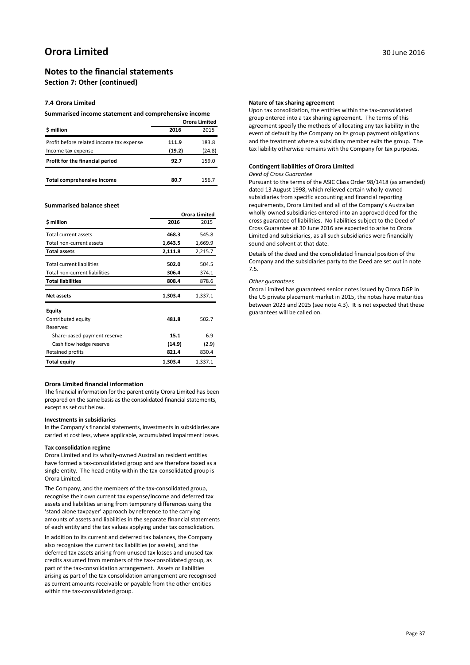### **Notes to the financial statements**

**Section 7: Other (continued)**

#### **7.4 Orora Limited**

#### **Summarised income statement and comprehensive income**

|                                          | Orora Limited |        |
|------------------------------------------|---------------|--------|
| \$ million                               | 2016          | 2015   |
| Profit before related income tax expense | 111.9         | 183.8  |
| Income tax expense                       | (19.2)        | (24.8) |
| Profit for the financial period          | 92.7          | 159.0  |
| Total comprehensive income               | 80.7          | 156.7  |

#### **Summarised balance sheet**

|                                  |         | <b>Orora Limited</b> |
|----------------------------------|---------|----------------------|
| \$ million                       | 2016    | 2015                 |
| <b>Total current assets</b>      | 468.3   | 545.8                |
| Total non-current assets         | 1,643.5 | 1,669.9              |
| <b>Total assets</b>              | 2,111.8 | 2,215.7              |
| <b>Total current liabilities</b> | 502.0   | 504.5                |
| Total non-current liabilities    | 306.4   | 374.1                |
| <b>Total liabilities</b>         | 808.4   | 878.6                |
|                                  |         |                      |
| Net assets                       | 1,303.4 | 1,337.1              |
| Equity                           |         |                      |
| Contributed equity               | 481.8   | 502.7                |
| Reserves:                        |         |                      |
| Share-based payment reserve      | 15.1    | 6.9                  |
| Cash flow hedge reserve          | (14.9)  | (2.9)                |
| Retained profits                 | 821.4   | 830.4                |

#### **Orora Limited financial information**

The financial information for the parent entity Orora Limited has been prepared on the same basis as the consolidated financial statements, except as set out below.

#### **Investments in subsidiaries**

In the Company's financial statements, investments in subsidiaries are carried at cost less, where applicable, accumulated impairment losses.

#### **Tax consolidation regime**

Orora Limited and its wholly-owned Australian resident entities have formed a tax-consolidated group and are therefore taxed as a single entity. The head entity within the tax-consolidated group is Orora Limited.

The Company, and the members of the tax-consolidated group, recognise their own current tax expense/income and deferred tax assets and liabilities arising from temporary differences using the 'stand alone taxpayer' approach by reference to the carrying amounts of assets and liabilities in the separate financial statements of each entity and the tax values applying under tax consolidation.

In addition to its current and deferred tax balances, the Company also recognises the current tax liabilities (or assets), and the deferred tax assets arising from unused tax losses and unused tax credits assumed from members of the tax-consolidated group, as part of the tax-consolidation arrangement. Assets or liabilities arising as part of the tax consolidation arrangement are recognised as current amounts receivable or payable from the other entities within the tax-consolidated group.

#### **Nature of tax sharing agreement**

Upon tax consolidation, the entities within the tax-consolidated group entered into a tax sharing agreement. The terms of this agreement specify the methods of allocating any tax liability in the event of default by the Company on its group payment obligations and the treatment where a subsidiary member exits the group. The tax liability otherwise remains with the Company for tax purposes.

#### **Contingent liabilities of Orora Limited**

#### *Deed of Cross Guarantee*

Pursuant to the terms of the ASIC Class Order 98/1418 (as amended) dated 13 August 1998, which relieved certain wholly-owned subsidiaries from specific accounting and financial reporting requirements, Orora Limited and all of the Company's Australian wholly-owned subsidiaries entered into an approved deed for the cross guarantee of liabilities. No liabilities subject to the Deed of Cross Guarantee at 30 June 2016 are expected to arise to Orora Limited and subsidiaries, as all such subsidiaries were financially sound and solvent at that date.

Details of the deed and the consolidated financial position of the Company and the subsidiaries party to the Deed are set out in note 7.5.

#### *Other guarantees*

Orora Limited has guaranteed senior notes issued by Orora DGP in the US private placement market in 2015, the notes have maturities between 2023 and 2025 (see note 4.3). It is not expected that these guarantees will be called on.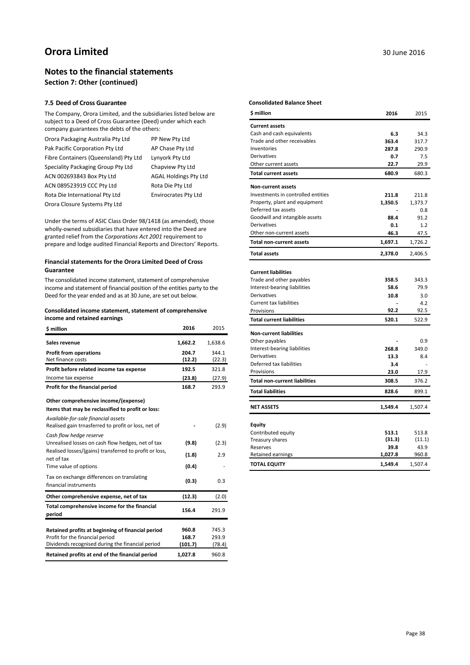### **Notes to the financial statements Section 7: Other (continued)**

### **7.5 Deed of Cross Guarantee**

The Company, Orora Limited, and the subsidiaries listed below are subject to a Deed of Cross Guarantee (Deed) under which each company guarantees the debts of the others:

| Orora Packaging Australia Pty Ltd     | PP New Pty Ltd               |
|---------------------------------------|------------------------------|
| Pak Pacific Corporation Pty Ltd       | AP Chase Pty Ltd             |
| Fibre Containers (Queensland) Pty Ltd | Lynyork Pty Ltd              |
| Speciality Packaging Group Pty Ltd    | Chapview Pty Ltd             |
| ACN 002693843 Box Pty Ltd             | <b>AGAL Holdings Pty Ltd</b> |
| ACN 089523919 CCC Pty Ltd             | Rota Die Pty Ltd             |
| Rota Die International Pty Ltd        | <b>Envirocrates Pty Ltd</b>  |
| Orora Closure Systems Pty Ltd         |                              |

Under the terms of ASIC Class Order 98/1418 (as amended), those wholly-owned subsidiaries that have entered into the Deed are granted relief from the *Corporations Act 2001* requirement to prepare and lodge audited Financial Reports and Directors' Reports.

#### **Financial statements for the Orora Limited Deed of Cross Guarantee**

The consolidated income statement, statement of comprehensive income and statement of financial position of the entities party to the Deed for the year ended and as at 30 June, are set out below.

#### **Consolidated income statement, statement of comprehensive income and retained earnings**

| \$ million                                                                                 | 2016            | 2015            |
|--------------------------------------------------------------------------------------------|-----------------|-----------------|
| Sales revenue                                                                              | 1,662.2         | 1,638.6         |
| <b>Profit from operations</b><br>Net finance costs                                         | 204.7<br>(12.2) | 344.1<br>(22.3) |
| Profit before related income tax expense                                                   | 192.5           | 321.8           |
| Income tax expense                                                                         | (23.8)          | (27.9)          |
| Profit for the financial period                                                            | 168.7           | 293.9           |
| Other comprehensive income/(expense)                                                       |                 |                 |
| Items that may be reclassified to profit or loss:                                          |                 |                 |
| Available-for-sale financial assets<br>Realised gain trnasferred to profit or loss, net of |                 | (2.9)           |
| Cash flow hedge reserve<br>Unrealised losses on cash flow hedges, net of tax               | (9.8)           | (2.3)           |
| Realised losses/(gains) transferred to profit or loss,<br>net of tax                       | (1.8)           | 2.9             |
| Time value of options                                                                      | (0.4)           |                 |
| Tax on exchange differences on translating<br>financial instruments                        | (0.3)           | 0.3             |
| Other comprehensive expense, net of tax                                                    | (12.3)          | (2.0)           |
| Total comprehensive income for the financial<br>period                                     | 156.4           | 291.9           |
| Retained profits at beginning of financial period                                          | 960.8           | 745.3           |
| Profit for the financial period                                                            | 168.7           | 293.9           |
| Dividends recognised during the financial period                                           | (101.7)         | (78.4)          |
| Retained profits at end of the financial period                                            | 1,027.8         | 960.8           |

#### **Consolidated Balance Sheet**

| \$ million                           | 2016    | 2015    |
|--------------------------------------|---------|---------|
| <b>Current assets</b>                |         |         |
| Cash and cash equivalents            | 6.3     | 34.3    |
| Trade and other receivables          | 363.4   | 317.7   |
| Inventories                          | 287.8   | 290.9   |
| Derivatives                          | 0.7     | 7.5     |
| Other current assets                 | 22.7    | 29.9    |
| <b>Total current assets</b>          | 680.9   | 680.3   |
| <b>Non-current assets</b>            |         |         |
| Investments in controlled entities   | 211.8   | 211.8   |
| Property, plant and equipment        | 1,350.5 | 1,373.7 |
| Deferred tax assets                  |         | 0.8     |
| Goodwill and intangible assets       | 88.4    | 91.2    |
| Derivatives                          | 0.1     | 1.2     |
| Other non-current assets             | 46.3    | 47.5    |
| <b>Total non-current assets</b>      | 1,697.1 | 1,726.2 |
| <b>Total assets</b>                  | 2,378.0 | 2,406.5 |
|                                      |         |         |
| <b>Current liabilities</b>           |         |         |
| Trade and other payables             | 358.5   | 343.3   |
| Interest-bearing liabilities         | 58.6    | 79.9    |
| <b>Derivatives</b>                   | 10.8    | 3.0     |
| <b>Current tax liabilities</b>       |         | 4.2     |
| Provisions                           | 92.2    | 92.5    |
| <b>Total current liabilities</b>     | 520.1   | 522.9   |
| <b>Non-current liabilities</b>       |         |         |
| Other payables                       |         | 0.9     |
| Interest-bearing liabilities         | 268.8   | 349.0   |
| Derivatives                          | 13.3    | 8.4     |
| Deferred tax liabilities             | 3.4     |         |
| Provisions                           | 23.0    | 17.9    |
| <b>Total non-current liabilities</b> | 308.5   | 376.2   |
| Total liabilities                    | 828.6   | 899.1   |
| <b>NET ASSETS</b>                    | 1,549.4 | 1,507.4 |
|                                      |         |         |
| Equity                               |         |         |
| Contributed equity                   | 513.1   | 513.8   |
| <b>Treasury shares</b>               | (31.3)  | (11.1)  |
| Reserves                             | 39.8    | 43.9    |
| Retained earnings                    | 1,027.8 | 960.8   |
| <b>TOTAL EQUITY</b>                  | 1.549.4 | 1.507.4 |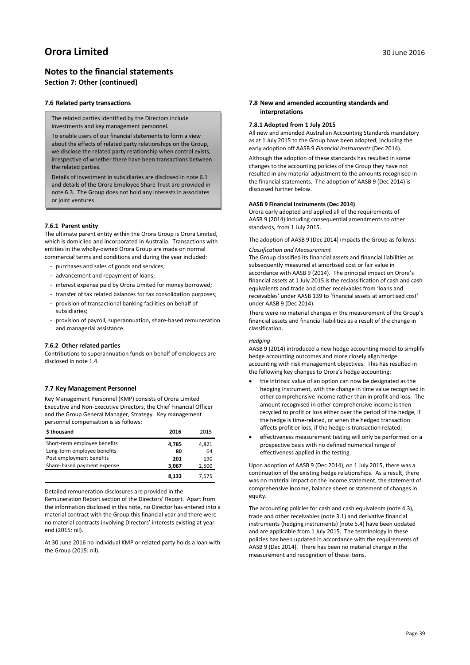### **Notes to the financial statements Section 7: Other (continued)**

#### **7.6 Related party transactions**

The related parties identified by the Directors include investments and key management personnel.

To enable users of our financial statements to form a view about the effects of related party relationships on the Group, we disclose the related party relationship when control exists, irrespective of whether there have been transactions between the related parties.

Details of investment in subsidiaries are disclosed in note 6.1 and details of the Orora Employee Share Trust are provided in note 6.3. The Group does not hold any interests in associates or joint ventures.

#### **7.6.1 Parent entity**

The ultimate parent entity within the Orora Group is Orora Limited, which is domiciled and incorporated in Australia. Transactions with entities in the wholly-owned Orora Group are made on normal commercial terms and conditions and during the year included:

- purchases and sales of goods and services;

- advancement and repayment of loans;
- interest expense paid by Orora Limited for money borrowed;
- transfer of tax related balances for tax consolidation purposes;
- provision of transactional banking facilities on behalf of subsidiaries;
- provision of payroll, superannuation, share-based remuneration and managerial assistance.

#### **7.6.2 Other related parties**

Contributions to superannuation funds on behalf of employees are disclosed in note 1.4.

#### **7.7 Key Management Personnel**

Key Management Personnel (KMP) consists of Orora Limited Executive and Non-Executive Directors, the Chief Financial Officer and the Group General Manager, Strategy. Key management personnel compensation is as follows:

| \$thousand                   | 2016  | 2015  |
|------------------------------|-------|-------|
| Short-term employee benefits | 4.785 | 4,821 |
| Long-term employee benefits  | 80    | 64    |
| Post employment benefits     | 201   | 190   |
| Share-based payment expense  | 3.067 | 2,500 |
|                              | 8.133 | 7.575 |

Detailed remuneration disclosures are provided in the

Remuneration Report section of the Directors' Report. Apart from the information disclosed in this note, no Director has entered into a material contract with the Group this financial year and there were no material contracts involving Directors' interests existing at year end (2015: nil).

At 30 June 2016 no individual KMP or related party holds a loan with the Group (2015: nil).

#### **7.8 New and amended accounting standards and interpretations**

#### **7.8.1 Adopted from 1 July 2015**

All new and amended Australian Accounting Standards mandatory as at 1 July 2015 to the Group have been adopted, including the early adoption off AASB 9 *Financial Instruments* (Dec 2014).

Although the adoption of these standards has resulted in some changes to the accounting policies of the Group they have not resulted in any material adjustment to the amounts recognised in the financial statements. The adoption of AASB 9 (Dec 2014) is discussed further below.

#### **AASB 9 Financial Instruments (Dec 2014)**

Orora early adopted and applied all of the requirements of AASB 9 (2014) including consequential amendments to other standards, from 1 July 2015.

The adoption of AASB 9 (Dec 2014) impacts the Group as follows: *Classification and Measurement*

The Group classified its financial assets and financial liabilities as subsequently measured at amortised cost or fair value in accordance with AASB 9 (2014). The principal impact on Orora's financial assets at 1 July 2015 is the reclassification of cash and cash equivalents and trade and other receivables from 'loans and receivables' under AASB 139 to 'financial assets at amortised cost' under AASB 9 (Dec 2014).

There were no material changes in the measurement of the Group's financial assets and financial liabilities as a result of the change in classification.

#### *Hedging*

AASB 9 (2014) introduced a new hedge accounting model to simplify hedge accounting outcomes and more closely align hedge accounting with risk management objectives. This has resulted in the following key changes to Orora's hedge accounting:

- the intrinsic value of an option can now be designated as the hedging instrument, with the change in time value recognised in other comprehensive income rather than in profit and loss. The amount recognised in other comprehensive income is then recycled to profit or loss either over the period of the hedge, if the hedge is time-related, or when the hedged transaction affects profit or loss, if the hedge is transaction related;
- effectiveness measurement testing will only be performed on a prospective basis with no defined numerical range of effectiveness applied in the testing.

Upon adoption of AASB 9 (Dec 2014), on 1 July 2015, there was a continuation of the existing hedge relationships. As a result, there was no material impact on the income statement, the statement of comprehensive income, balance sheet or statement of changes in equity.

The accounting policies for cash and cash equivalents (note 4.3), trade and other receivables (note 3.1) and derivative financial instruments (hedging instruments) (note 5.4) have been updated and are applicable from 1 July 2015. The terminology in these policies has been updated in accordance with the requirements of AASB 9 (Dec 2014). There has been no material change in the measurement and recognition of these items.